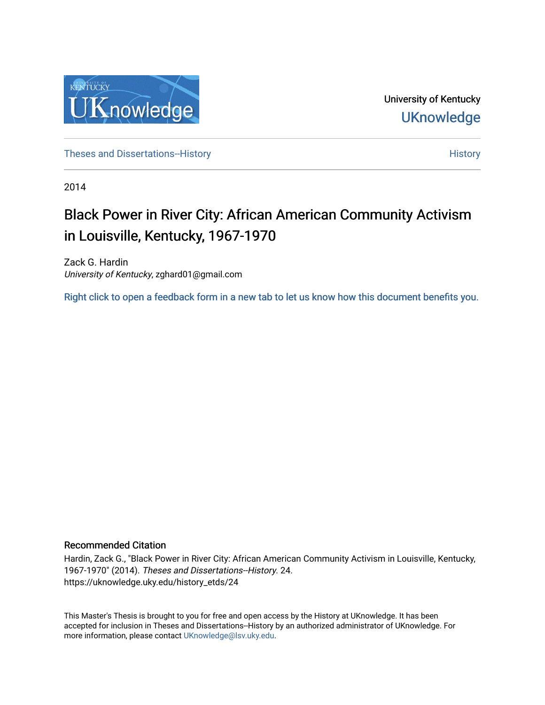

University of Kentucky **UKnowledge** 

Theses and Dissertations-[History](https://uknowledge.uky.edu/history) **History History History History** 

2014

# Black Power in River City: African American Community Activism in Louisville, Kentucky, 1967-1970

Zack G. Hardin University of Kentucky, zghard01@gmail.com

[Right click to open a feedback form in a new tab to let us know how this document benefits you.](https://uky.az1.qualtrics.com/jfe/form/SV_9mq8fx2GnONRfz7)

### Recommended Citation

Hardin, Zack G., "Black Power in River City: African American Community Activism in Louisville, Kentucky, 1967-1970" (2014). Theses and Dissertations--History. 24. https://uknowledge.uky.edu/history\_etds/24

This Master's Thesis is brought to you for free and open access by the History at UKnowledge. It has been accepted for inclusion in Theses and Dissertations--History by an authorized administrator of UKnowledge. For more information, please contact [UKnowledge@lsv.uky.edu](mailto:UKnowledge@lsv.uky.edu).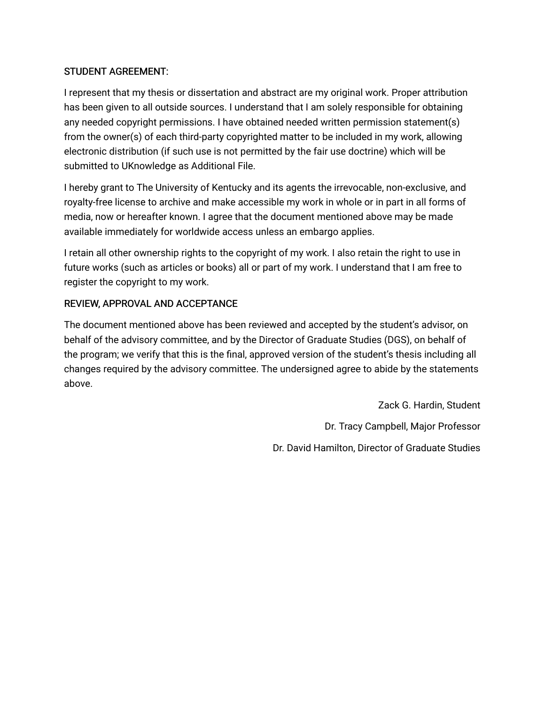# STUDENT AGREEMENT:

I represent that my thesis or dissertation and abstract are my original work. Proper attribution has been given to all outside sources. I understand that I am solely responsible for obtaining any needed copyright permissions. I have obtained needed written permission statement(s) from the owner(s) of each third-party copyrighted matter to be included in my work, allowing electronic distribution (if such use is not permitted by the fair use doctrine) which will be submitted to UKnowledge as Additional File.

I hereby grant to The University of Kentucky and its agents the irrevocable, non-exclusive, and royalty-free license to archive and make accessible my work in whole or in part in all forms of media, now or hereafter known. I agree that the document mentioned above may be made available immediately for worldwide access unless an embargo applies.

I retain all other ownership rights to the copyright of my work. I also retain the right to use in future works (such as articles or books) all or part of my work. I understand that I am free to register the copyright to my work.

# REVIEW, APPROVAL AND ACCEPTANCE

The document mentioned above has been reviewed and accepted by the student's advisor, on behalf of the advisory committee, and by the Director of Graduate Studies (DGS), on behalf of the program; we verify that this is the final, approved version of the student's thesis including all changes required by the advisory committee. The undersigned agree to abide by the statements above.

> Zack G. Hardin, Student Dr. Tracy Campbell, Major Professor Dr. David Hamilton, Director of Graduate Studies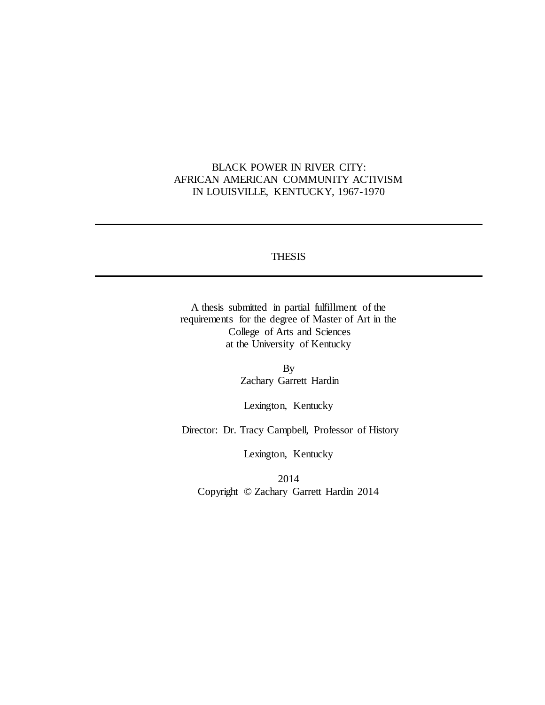# BLACK POWER IN RIVER CITY: AFRICAN AMERICAN COMMUNITY ACTIVISM IN LOUISVILLE, KENTUCKY, 1967-1970

### **THESIS**

A thesis submitted in partial fulfillment of the requirements for the degree of Master of Art in the College of Arts and Sciences at the University of Kentucky

> By Zachary Garrett Hardin

Lexington, Kentucky

Director: Dr. Tracy Campbell, Professor of History

Lexington, Kentucky

2014 Copyright © Zachary Garrett Hardin 2014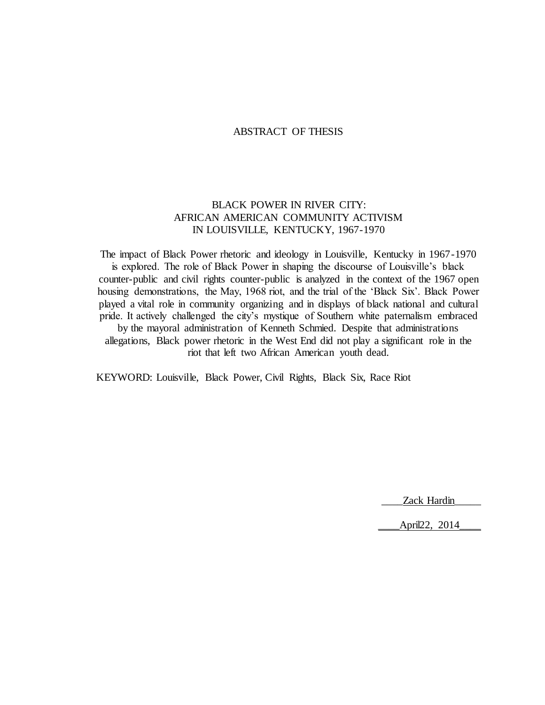#### ABSTRACT OF THESIS

## BLACK POWER IN RIVER CITY: AFRICAN AMERICAN COMMUNITY ACTIVISM IN LOUISVILLE, KENTUCKY, 1967-1970

The impact of Black Power rhetoric and ideology in Louisville, Kentucky in 1967-1970 is explored. The role of Black Power in shaping the discourse of Louisville's black counter-public and civil rights counter-public is analyzed in the context of the 1967 open housing demonstrations, the May, 1968 riot, and the trial of the 'Black Six'. Black Power played a vital role in community organizing and in displays of black national and cultural pride. It actively challenged the city's mystique of Southern white paternalism embraced by the mayoral administration of Kenneth Schmied. Despite that administrations allegations, Black power rhetoric in the West End did not play a significant role in the riot that left two African American youth dead.

KEYWORD: Louisville, Black Power, Civil Rights, Black Six, Race Riot

Zack Hardin

\_\_\_\_April22, 2014\_\_\_\_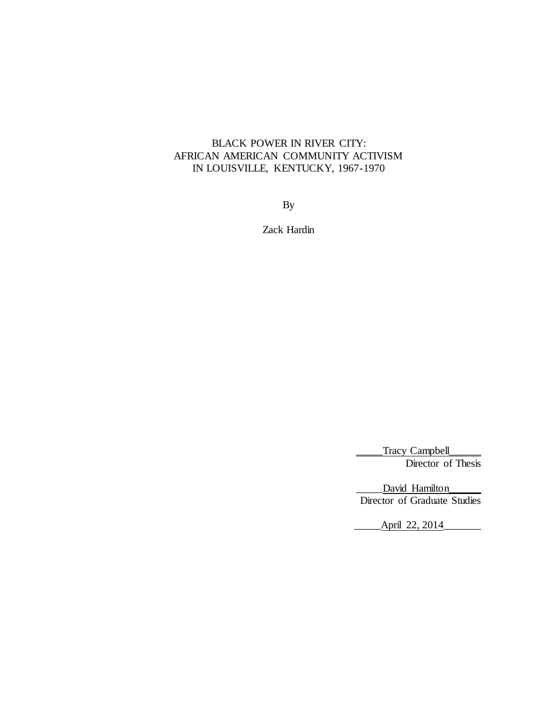# BLACK POWER IN RIVER CITY: AFRICAN AMERICAN COMMUNITY ACTIVISM IN LOUISVILLE, KENTUCKY, 1967-1970

By

Zack Hardin

Tracy Campbell Director of Thesis

David Hamilton Director of Graduate Studies

April 22, 2014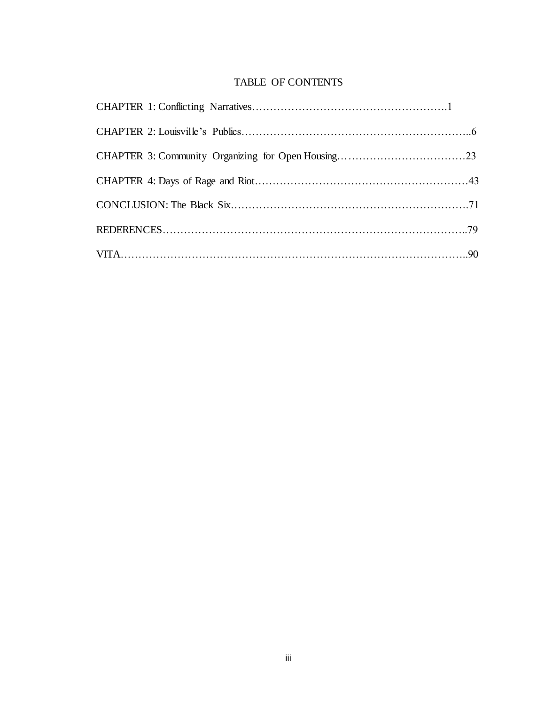# TABLE OF CONTENTS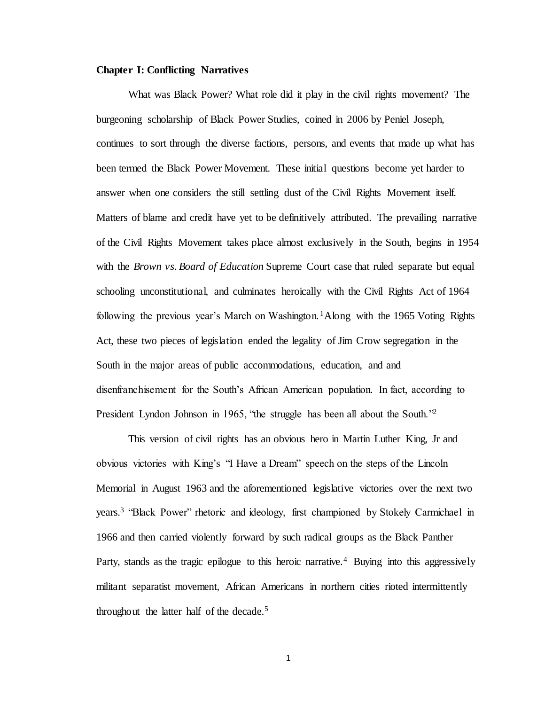#### **Chapter I: Conflicting Narratives**

What was Black Power? What role did it play in the civil rights movement? The burgeoning scholarship of Black Power Studies, coined in 2006 by Peniel Joseph, continues to sort through the diverse factions, persons, and events that made up what has been termed the Black Power Movement. These initial questions become yet harder to answer when one considers the still settling dust of the Civil Rights Movement itself. Matters of blame and credit have yet to be definitively attributed. The prevailing narrative of the Civil Rights Movement takes place almost exclusively in the South, begins in 1954 with the *Brown vs. Board of Education* Supreme Court case that ruled separate but equal schooling unconstitutional, and culminates heroically with the Civil Rights Act of 1964 following the previous year's March on Washington. <sup>1</sup>Along with the 1965 Voting Rights Act, these two pieces of legislation ended the legality of Jim Crow segregation in the South in the major areas of public accommodations, education, and and disenfranchisement for the South's African American population. In fact, according to President Lyndon Johnson in 1965, "the struggle has been all about the South."<sup>2</sup>

This version of civil rights has an obvious hero in Martin Luther King, Jr and obvious victories with King's "I Have a Dream" speech on the steps of the Lincoln Memorial in August 1963 and the aforementioned legislative victories over the next two years.<sup>3</sup> "Black Power" rhetoric and ideology, first championed by Stokely Carmichael in 1966 and then carried violently forward by such radical groups as the Black Panther Party, stands as the tragic epilogue to this heroic narrative.<sup>4</sup> Buying into this aggressively militant separatist movement, African Americans in northern cities rioted intermittently throughout the latter half of the decade.<sup>5</sup>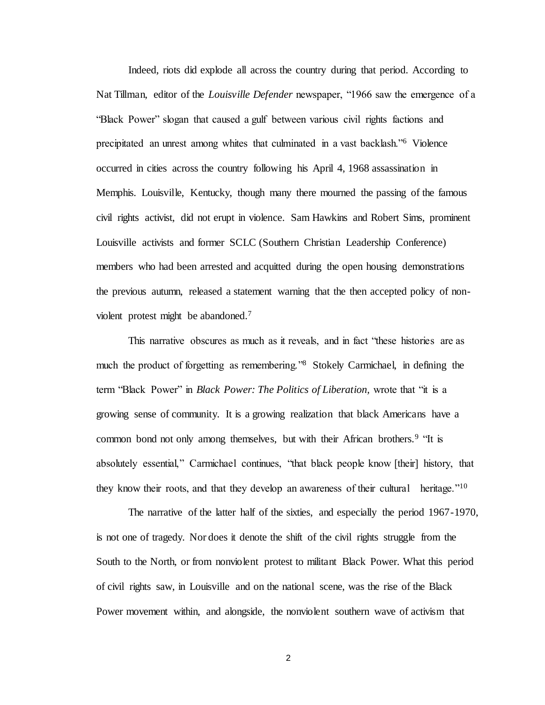Indeed, riots did explode all across the country during that period. According to Nat Tillman, editor of the *Louisville Defender* newspaper, "1966 saw the emergence of a "Black Power" slogan that caused a gulf between various civil rights factions and precipitated an unrest among whites that culminated in a vast backlash."<sup>6</sup> Violence occurred in cities across the country following his April 4, 1968 assassination in Memphis. Louisville, Kentucky, though many there mourned the passing of the famous civil rights activist, did not erupt in violence. Sam Hawkins and Robert Sims, prominent Louisville activists and former SCLC (Southern Christian Leadership Conference) members who had been arrested and acquitted during the open housing demonstrations the previous autumn, released a statement warning that the then accepted policy of nonviolent protest might be abandoned.<sup>7</sup>

This narrative obscures as much as it reveals, and in fact "these histories are as much the product of forgetting as remembering."<sup>8</sup> Stokely Carmichael, in defining the term "Black Power" in *Black Power: The Politics of Liberation,* wrote that "it is a growing sense of community. It is a growing realization that black Americans have a common bond not only among themselves, but with their African brothers.<sup>9</sup> "It is absolutely essential," Carmichael continues, "that black people know [their] history, that they know their roots, and that they develop an awareness of their cultural heritage."<sup>10</sup>

The narrative of the latter half of the sixties, and especially the period 1967-1970, is not one of tragedy. Nor does it denote the shift of the civil rights struggle from the South to the North, or from nonviolent protest to militant Black Power. What this period of civil rights saw, in Louisville and on the national scene, was the rise of the Black Power movement within, and alongside, the nonviolent southern wave of activism that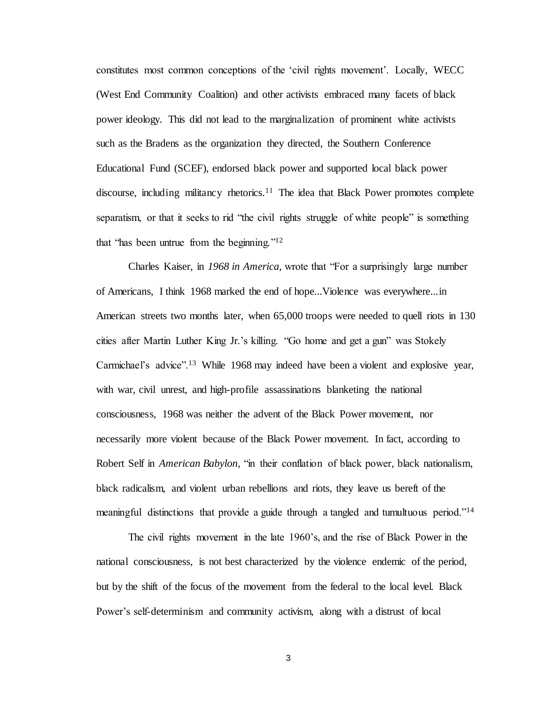constitutes most common conceptions of the 'civil rights movement'. Locally, WECC (West End Community Coalition) and other activists embraced many facets of black power ideology. This did not lead to the marginalization of prominent white activists such as the Bradens as the organization they directed, the Southern Conference Educational Fund (SCEF), endorsed black power and supported local black power discourse, including militancy rhetorics.<sup>11</sup> The idea that Black Power promotes complete separatism, or that it seeks to rid "the civil rights struggle of white people" is something that "has been untrue from the beginning."<sup>12</sup>

Charles Kaiser, in *1968 in America,* wrote that "For a surprisingly large number of Americans, I think 1968 marked the end of hope...Violence was everywhere...in American streets two months later, when 65,000 troops were needed to quell riots in 130 cities after Martin Luther King Jr.'s killing. "Go home and get a gun" was Stokely Carmichael's advice".<sup>13</sup> While 1968 may indeed have been a violent and explosive year, with war, civil unrest, and high-profile assassinations blanketing the national consciousness, 1968 was neither the advent of the Black Power movement, nor necessarily more violent because of the Black Power movement. In fact, according to Robert Self in *American Babylon,* "in their conflation of black power, black nationalism, black radicalism, and violent urban rebellions and riots, they leave us bereft of the meaningful distinctions that provide a guide through a tangled and tumultuous period."<sup>14</sup>

The civil rights movement in the late 1960's, and the rise of Black Power in the national consciousness, is not best characterized by the violence endemic of the period, but by the shift of the focus of the movement from the federal to the local level. Black Power's self-determinism and community activism, along with a distrust of local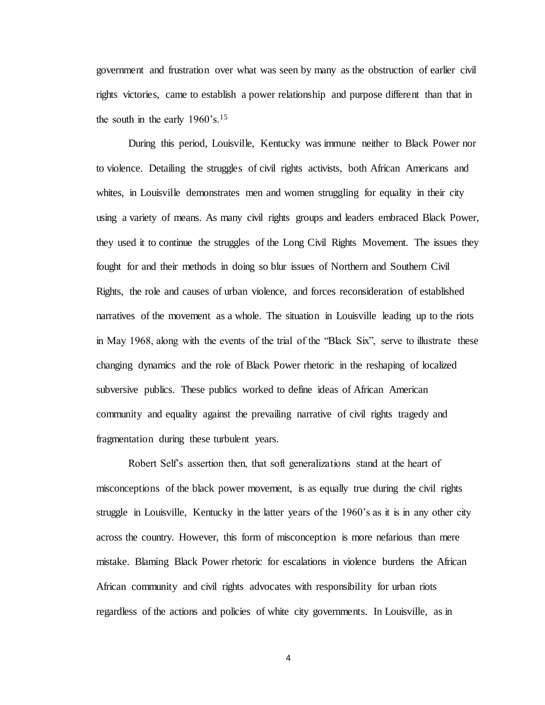government and frustration over what was seen by many as the obstruction of earlier civil rights victories, came to establish a power relationship and purpose different than that in the south in the early  $1960$ 's.<sup>15</sup>

During this period, Louisville, Kentucky was immune neither to Black Power nor to violence. Detailing the struggles of civil rights activists, both African Americans and whites, in Louisville demonstrates men and women struggling for equality in their city using a variety of means. As many civil rights groups and leaders embraced Black Power, they used it to continue the struggles of the Long Civil Rights Movement. The issues they fought for and their methods in doing so blur issues of Northern and Southern Civil Rights, the role and causes of urban violence, and forces reconsideration of established narratives of the movement as a whole. The situation in Louisville leading up to the riots in May 1968, along with the events of the trial of the "Black Six", serve to illustrate these changing dynamics and the role of Black Power rhetoric in the reshaping of localized subversive publics. These publics worked to define ideas of African American community and equality against the prevailing narrative of civil rights tragedy and fragmentation during these turbulent years.

Robert Self's assertion then, that soft generalizations stand at the heart of misconceptions of the black power movement, is as equally true during the civil rights struggle in Louisville, Kentucky in the latter years of the 1960's as it is in any other city across the country. However, this form of misconception is more nefarious than mere mistake. Blaming Black Power rhetoric for escalations in violence burdens the African African community and civil rights advocates with responsibility for urban riots regardless of the actions and policies of white city governments. In Louisville, as in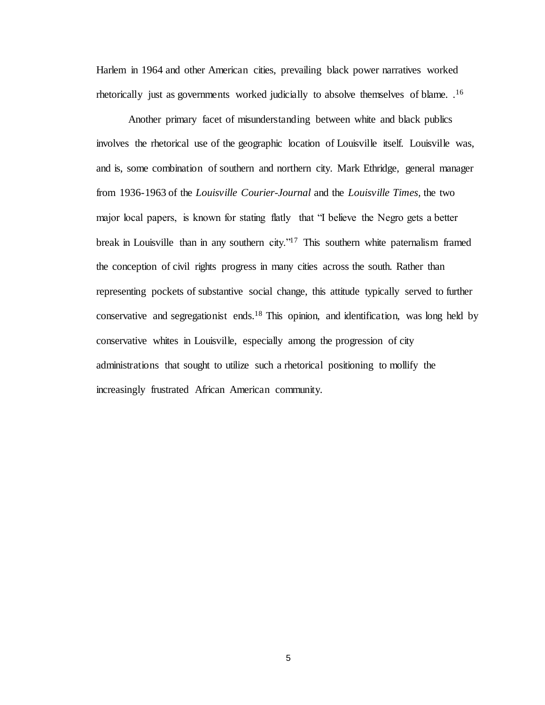Harlem in 1964 and other American cities, prevailing black power narratives worked rhetorically just as governments worked judicially to absolve themselves of blame. .<sup>16</sup>

Another primary facet of misunderstanding between white and black publics involves the rhetorical use of the geographic location of Louisville itself. Louisville was, and is, some combination of southern and northern city. Mark Ethridge, general manager from 1936-1963 of the *Louisville Courier-Journal* and the *Louisville Times,* the two major local papers, is known for stating flatly that "I believe the Negro gets a better break in Louisville than in any southern city."<sup>17</sup> This southern white paternalism framed the conception of civil rights progress in many cities across the south. Rather than representing pockets of substantive social change, this attitude typically served to further conservative and segregationist ends.<sup>18</sup> This opinion, and identification, was long held by conservative whites in Louisville, especially among the progression of city administrations that sought to utilize such a rhetorical positioning to mollify the increasingly frustrated African American community.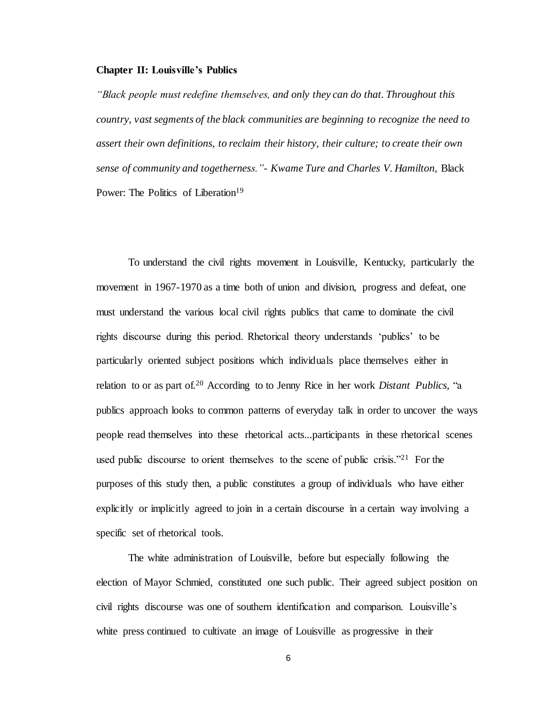#### **Chapter II: Louisville's Publics**

*"Black people must redefine themselves, and only they can do that. Throughout this country, vast segments of the black communities are beginning to recognize the need to assert their own definitions, to reclaim their history, their culture; to create their own sense of community and togetherness."- Kwame Ture and Charles V. Hamilton,* Black Power: The Politics of Liberation<sup>19</sup>

To understand the civil rights movement in Louisville, Kentucky, particularly the movement in 1967-1970 as a time both of union and division, progress and defeat, one must understand the various local civil rights publics that came to dominate the civil rights discourse during this period. Rhetorical theory understands 'publics' to be particularly oriented subject positions which individuals place themselves either in relation to or as part of.<sup>20</sup> According to to Jenny Rice in her work *Distant Publics,* "a publics approach looks to common patterns of everyday talk in order to uncover the ways people read themselves into these rhetorical acts...participants in these rhetorical scenes used public discourse to orient themselves to the scene of public crisis."<sup>21</sup> For the purposes of this study then, a public constitutes a group of individuals who have either explicitly or implicitly agreed to join in a certain discourse in a certain way involving a specific set of rhetorical tools.

The white administration of Louisville, before but especially following the election of Mayor Schmied, constituted one such public. Their agreed subject position on civil rights discourse was one of southern identification and comparison. Louisville's white press continued to cultivate an image of Louisville as progressive in their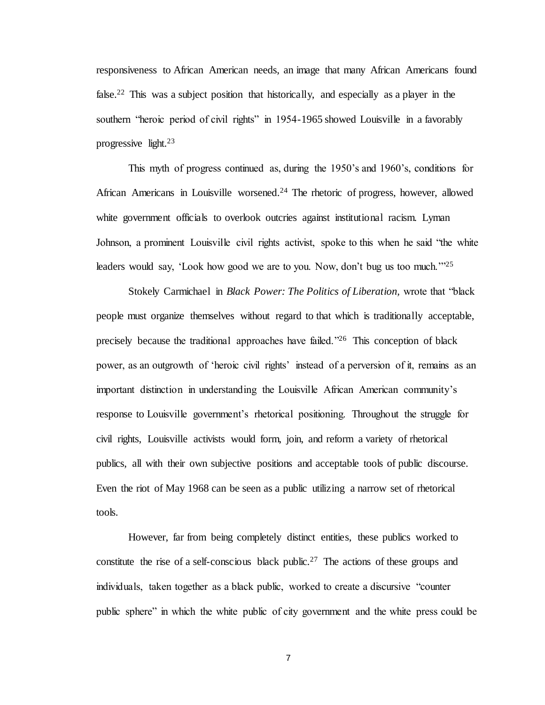responsiveness to African American needs, an image that many African Americans found false.<sup>22</sup> This was a subject position that historically, and especially as a player in the southern "heroic period of civil rights" in 1954-1965 showed Louisville in a favorably progressive light.<sup>23</sup>

This myth of progress continued as, during the 1950's and 1960's, conditions for African Americans in Louisville worsened.<sup>24</sup> The rhetoric of progress, however, allowed white government officials to overlook outcries against institutional racism. Lyman Johnson, a prominent Louisville civil rights activist, spoke to this when he said "the white leaders would say, 'Look how good we are to you. Now, don't bug us too much.'"<sup>25</sup>

Stokely Carmichael in *Black Power: The Politics of Liberation,* wrote that "black people must organize themselves without regard to that which is traditionally acceptable, precisely because the traditional approaches have failed."<sup>26</sup> This conception of black power, as an outgrowth of 'heroic civil rights' instead of a perversion of it, remains as an important distinction in understanding the Louisville African American community's response to Louisville government's rhetorical positioning. Throughout the struggle for civil rights, Louisville activists would form, join, and reform a variety of rhetorical publics, all with their own subjective positions and acceptable tools of public discourse. Even the riot of May 1968 can be seen as a public utilizing a narrow set of rhetorical tools.

However, far from being completely distinct entities, these publics worked to constitute the rise of a self-conscious black public.<sup>27</sup> The actions of these groups and individuals, taken together as a black public, worked to create a discursive "counter public sphere" in which the white public of city government and the white press could be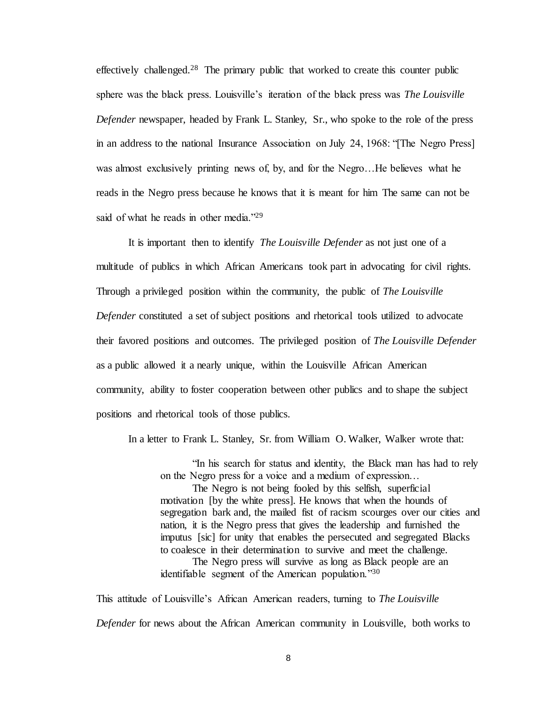effectively challenged.<sup>28</sup> The primary public that worked to create this counter public sphere was the black press. Louisville's iteration of the black press was *The Louisville Defender* newspaper, headed by Frank L. Stanley, Sr., who spoke to the role of the press in an address to the national Insurance Association on July 24, 1968: "[The Negro Press] was almost exclusively printing news of, by, and for the Negro…He believes what he reads in the Negro press because he knows that it is meant for him The same can not be said of what he reads in other media."<sup>29</sup>

It is important then to identify *The Louisville Defender* as not just one of a multitude of publics in which African Americans took part in advocating for civil rights. Through a privileged position within the community, the public of *The Louisville Defender* constituted a set of subject positions and rhetorical tools utilized to advocate their favored positions and outcomes. The privileged position of *The Louisville Defender*  as a public allowed it a nearly unique, within the Louisville African American community, ability to foster cooperation between other publics and to shape the subject positions and rhetorical tools of those publics.

In a letter to Frank L. Stanley, Sr. from William O. Walker, Walker wrote that:

"In his search for status and identity, the Black man has had to rely on the Negro press for a voice and a medium of expression…

The Negro is not being fooled by this selfish, superficial motivation [by the white press]. He knows that when the hounds of segregation bark and, the mailed fist of racism scourges over our cities and nation, it is the Negro press that gives the leadership and furnished the imputus [sic] for unity that enables the persecuted and segregated Blacks to coalesce in their determination to survive and meet the challenge.

The Negro press will survive as long as Black people are an identifiable segment of the American population."<sup>30</sup>

This attitude of Louisville's African American readers, turning to *The Louisville Defender* for news about the African American community in Louisville, both works to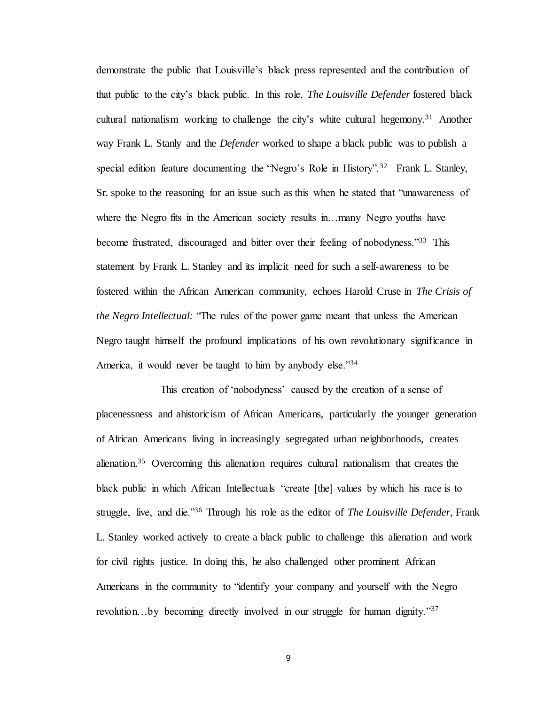demonstrate the public that Louisville's black press represented and the contribution of that public to the city's black public. In this role, *The Louisville Defender* fostered black cultural nationalism working to challenge the city's white cultural hegemony.<sup>31</sup> Another way Frank L. Stanly and the *Defender* worked to shape a black public was to publish a special edition feature documenting the "Negro's Role in History".<sup>32</sup> Frank L. Stanley, Sr. spoke to the reasoning for an issue such as this when he stated that "unawareness of where the Negro fits in the American society results in…many Negro youths have become frustrated, discouraged and bitter over their feeling of nobodyness."<sup>33</sup> This statement by Frank L. Stanley and its implicit need for such a self-awareness to be fostered within the African American community, echoes Harold Cruse in *The Crisis of the Negro Intellectual:* "The rules of the power game meant that unless the American Negro taught himself the profound implications of his own revolutionary significance in America, it would never be taught to him by anybody else."34

This creation of 'nobodyness' caused by the creation of a sense of placenessness and ahistoricism of African Americans, particularly the younger generation of African Americans living in increasingly segregated urban neighborhoods, creates alienation.<sup>35</sup> Overcoming this alienation requires cultural nationalism that creates the black public in which African Intellectuals "create [the] values by which his race is to struggle, live, and die."<sup>36</sup> Through his role as the editor of *The Louisville Defender,* Frank L. Stanley worked actively to create a black public to challenge this alienation and work for civil rights justice. In doing this, he also challenged other prominent African Americans in the community to "identify your company and yourself with the Negro revolution…by becoming directly involved in our struggle for human dignity."37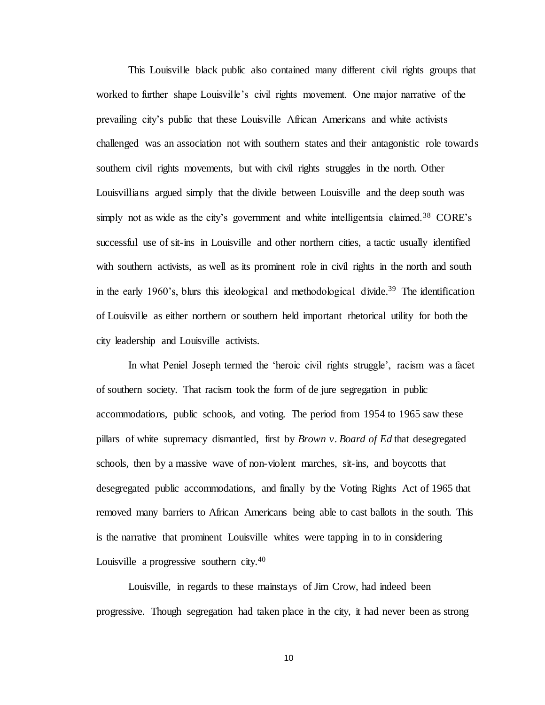This Louisville black public also contained many different civil rights groups that worked to further shape Louisville's civil rights movement. One major narrative of the prevailing city's public that these Louisville African Americans and white activists challenged was an association not with southern states and their antagonistic role towards southern civil rights movements, but with civil rights struggles in the north. Other Louisvillians argued simply that the divide between Louisville and the deep south was simply not as wide as the city's government and white intelligentsia claimed.<sup>38</sup> CORE's successful use of sit-ins in Louisville and other northern cities, a tactic usually identified with southern activists, as well as its prominent role in civil rights in the north and south in the early 1960's, blurs this ideological and methodological divide.<sup>39</sup> The identification of Louisville as either northern or southern held important rhetorical utility for both the city leadership and Louisville activists.

In what Peniel Joseph termed the 'heroic civil rights struggle', racism was a facet of southern society. That racism took the form of de jure segregation in public accommodations, public schools, and voting. The period from 1954 to 1965 saw these pillars of white supremacy dismantled, first by *Brown v. Board of Ed* that desegregated schools, then by a massive wave of non-violent marches, sit-ins, and boycotts that desegregated public accommodations, and finally by the Voting Rights Act of 1965 that removed many barriers to African Americans being able to cast ballots in the south. This is the narrative that prominent Louisville whites were tapping in to in considering Louisville a progressive southern city.<sup>40</sup>

Louisville, in regards to these mainstays of Jim Crow, had indeed been progressive. Though segregation had taken place in the city, it had never been as strong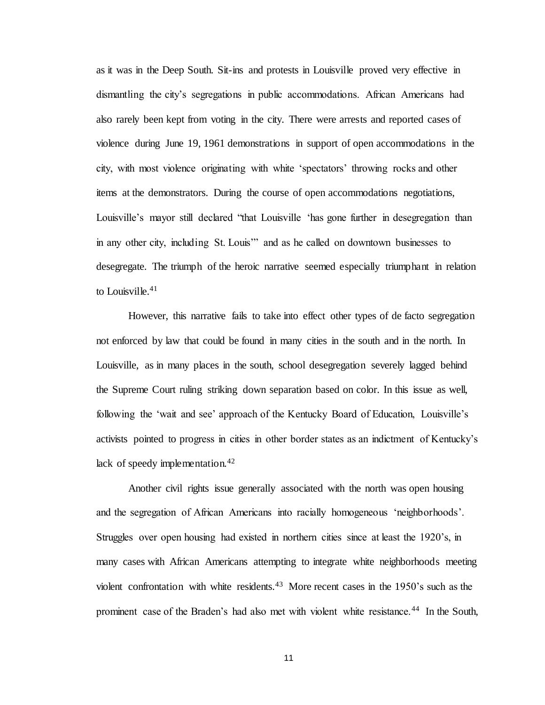as it was in the Deep South. Sit-ins and protests in Louisville proved very effective in dismantling the city's segregations in public accommodations. African Americans had also rarely been kept from voting in the city. There were arrests and reported cases of violence during June 19, 1961 demonstrations in support of open accommodations in the city, with most violence originating with white 'spectators' throwing rocks and other items at the demonstrators. During the course of open accommodations negotiations, Louisville's mayor still declared "that Louisville 'has gone further in desegregation than in any other city, including St. Louis'" and as he called on downtown businesses to desegregate. The triumph of the heroic narrative seemed especially triumphant in relation to Louisville. $41$ 

However, this narrative fails to take into effect other types of de facto segregation not enforced by law that could be found in many cities in the south and in the north. In Louisville, as in many places in the south, school desegregation severely lagged behind the Supreme Court ruling striking down separation based on color. In this issue as well, following the 'wait and see' approach of the Kentucky Board of Education, Louisville's activists pointed to progress in cities in other border states as an indictment of Kentucky's lack of speedy implementation.<sup>42</sup>

Another civil rights issue generally associated with the north was open housing and the segregation of African Americans into racially homogeneous 'neighborhoods'. Struggles over open housing had existed in northern cities since at least the 1920's, in many cases with African Americans attempting to integrate white neighborhoods meeting violent confrontation with white residents.<sup>43</sup> More recent cases in the 1950's such as the prominent case of the Braden's had also met with violent white resistance.<sup>44</sup> In the South,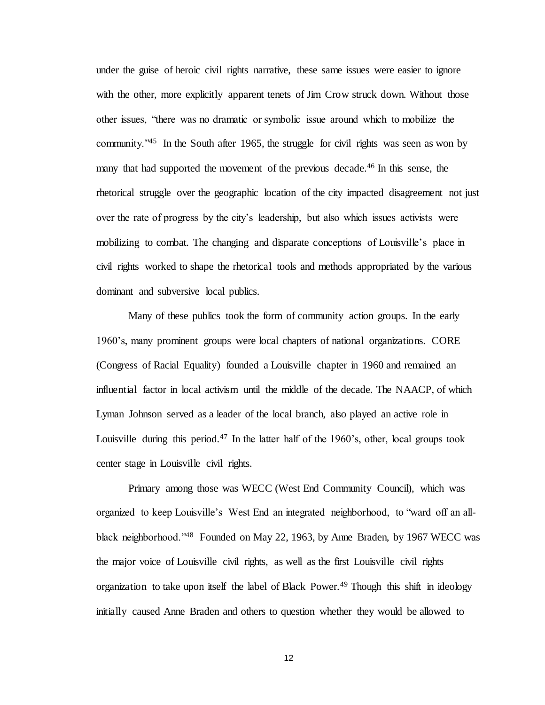under the guise of heroic civil rights narrative, these same issues were easier to ignore with the other, more explicitly apparent tenets of Jim Crow struck down. Without those other issues, "there was no dramatic or symbolic issue around which to mobilize the community."<sup>45</sup> In the South after 1965, the struggle for civil rights was seen as won by many that had supported the movement of the previous decade.<sup>46</sup> In this sense, the rhetorical struggle over the geographic location of the city impacted disagreement not just over the rate of progress by the city's leadership, but also which issues activists were mobilizing to combat. The changing and disparate conceptions of Louisville's place in civil rights worked to shape the rhetorical tools and methods appropriated by the various dominant and subversive local publics.

Many of these publics took the form of community action groups. In the early 1960's, many prominent groups were local chapters of national organizations. CORE (Congress of Racial Equality) founded a Louisville chapter in 1960 and remained an influential factor in local activism until the middle of the decade. The NAACP, of which Lyman Johnson served as a leader of the local branch, also played an active role in Louisville during this period.<sup>47</sup> In the latter half of the 1960's, other, local groups took center stage in Louisville civil rights.

Primary among those was WECC (West End Community Council), which was organized to keep Louisville's West End an integrated neighborhood, to "ward off an allblack neighborhood."<sup>48</sup> Founded on May 22, 1963, by Anne Braden, by 1967 WECC was the major voice of Louisville civil rights, as well as the first Louisville civil rights organization to take upon itself the label of Black Power.<sup>49</sup> Though this shift in ideology initially caused Anne Braden and others to question whether they would be allowed to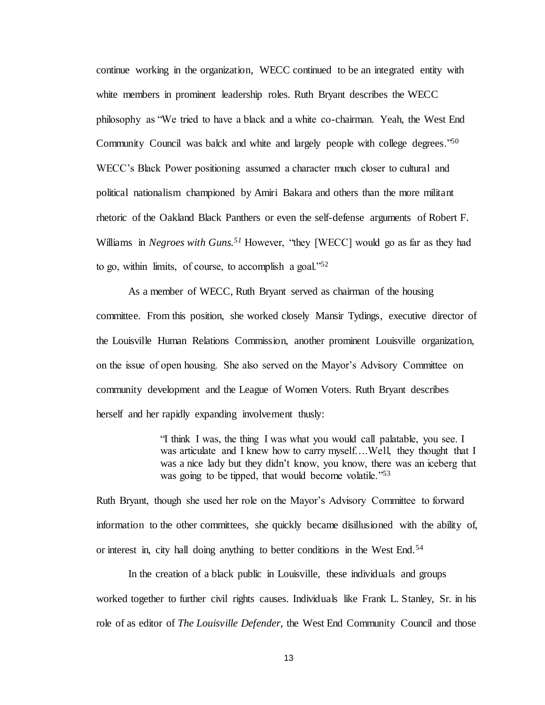continue working in the organization, WECC continued to be an integrated entity with white members in prominent leadership roles. Ruth Bryant describes the WECC philosophy as "We tried to have a black and a white co-chairman. Yeah, the West End Community Council was balck and white and largely people with college degrees."<sup>50</sup> WECC's Black Power positioning assumed a character much closer to cultural and political nationalism championed by Amiri Bakara and others than the more militant rhetoric of the Oakland Black Panthers or even the self-defense arguments of Robert F. Williams in *Negroes with Guns.<sup>51</sup>* However, "they [WECC] would go as far as they had to go, within limits, of course, to accomplish a goal." $52$ 

As a member of WECC, Ruth Bryant served as chairman of the housing committee. From this position, she worked closely Mansir Tydings, executive director of the Louisville Human Relations Commission, another prominent Louisville organization, on the issue of open housing. She also served on the Mayor's Advisory Committee on community development and the League of Women Voters. Ruth Bryant describes herself and her rapidly expanding involvement thusly:

> "I think I was, the thing I was what you would call palatable, you see. I was articulate and I knew how to carry myself….Well, they thought that I was a nice lady but they didn't know, you know, there was an iceberg that was going to be tipped, that would become volatile."<sup>53</sup>

Ruth Bryant, though she used her role on the Mayor's Advisory Committee to forward information to the other committees, she quickly became disillusioned with the ability of, or interest in, city hall doing anything to better conditions in the West End.<sup>54</sup>

In the creation of a black public in Louisville, these individuals and groups worked together to further civil rights causes. Individuals like Frank L. Stanley, Sr. in his role of as editor of *The Louisville Defender,* the West End Community Council and those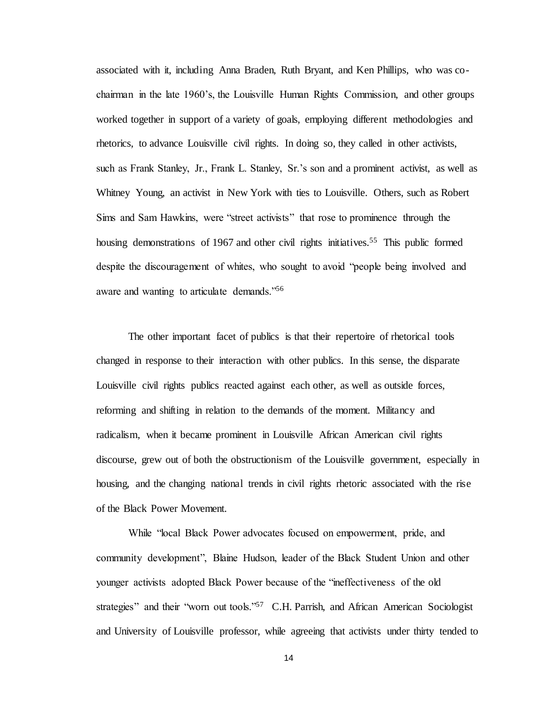associated with it, including Anna Braden, Ruth Bryant, and Ken Phillips, who was cochairman in the late 1960's, the Louisville Human Rights Commission, and other groups worked together in support of a variety of goals, employing different methodologies and rhetorics, to advance Louisville civil rights. In doing so, they called in other activists, such as Frank Stanley, Jr., Frank L. Stanley, Sr.'s son and a prominent activist, as well as Whitney Young, an activist in New York with ties to Louisville. Others, such as Robert Sims and Sam Hawkins, were "street activists" that rose to prominence through the housing demonstrations of 1967 and other civil rights initiatives.<sup>55</sup> This public formed despite the discouragement of whites, who sought to avoid "people being involved and aware and wanting to articulate demands."<sup>56</sup>

The other important facet of publics is that their repertoire of rhetorical tools changed in response to their interaction with other publics. In this sense, the disparate Louisville civil rights publics reacted against each other, as well as outside forces, reforming and shifting in relation to the demands of the moment. Militancy and radicalism, when it became prominent in Louisville African American civil rights discourse, grew out of both the obstructionism of the Louisville government, especially in housing, and the changing national trends in civil rights rhetoric associated with the rise of the Black Power Movement.

While "local Black Power advocates focused on empowerment, pride, and community development", Blaine Hudson, leader of the Black Student Union and other younger activists adopted Black Power because of the "ineffectiveness of the old strategies" and their "worn out tools."<sup>57</sup> C.H. Parrish, and African American Sociologist and University of Louisville professor, while agreeing that activists under thirty tended to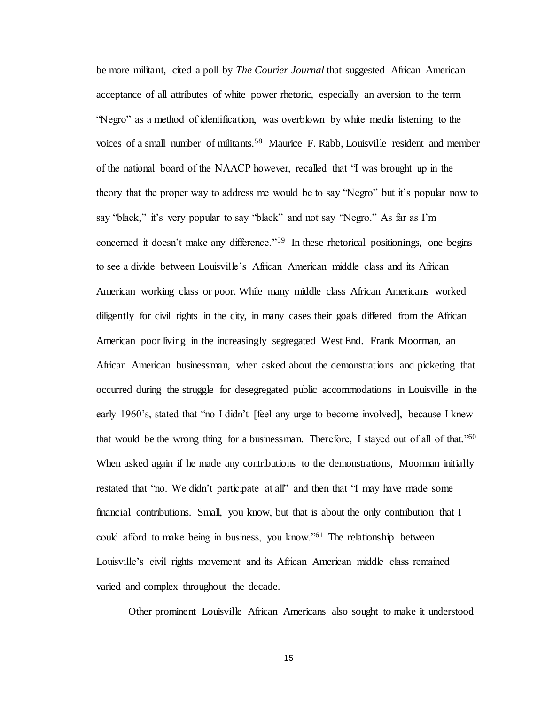be more militant, cited a poll by *The Courier Journal* that suggested African American acceptance of all attributes of white power rhetoric, especially an aversion to the term "Negro" as a method of identification, was overblown by white media listening to the voices of a small number of militants.<sup>58</sup> Maurice F. Rabb, Louisville resident and member of the national board of the NAACP however, recalled that "I was brought up in the theory that the proper way to address me would be to say "Negro" but it's popular now to say "black," it's very popular to say "black" and not say "Negro." As far as I'm concerned it doesn't make any difference."<sup>59</sup> In these rhetorical positionings, one begins to see a divide between Louisville's African American middle class and its African American working class or poor. While many middle class African Americans worked diligently for civil rights in the city, in many cases their goals differed from the African American poor living in the increasingly segregated West End. Frank Moorman, an African American businessman, when asked about the demonstrations and picketing that occurred during the struggle for desegregated public accommodations in Louisville in the early 1960's, stated that "no I didn't [feel any urge to become involved], because I knew that would be the wrong thing for a businessman. Therefore, I stayed out of all of that."<sup>60</sup> When asked again if he made any contributions to the demonstrations, Moorman initially restated that "no. We didn't participate at all" and then that "I may have made some financial contributions. Small, you know, but that is about the only contribution that I could afford to make being in business, you know."<sup>61</sup> The relationship between Louisville's civil rights movement and its African American middle class remained varied and complex throughout the decade.

Other prominent Louisville African Americans also sought to make it understood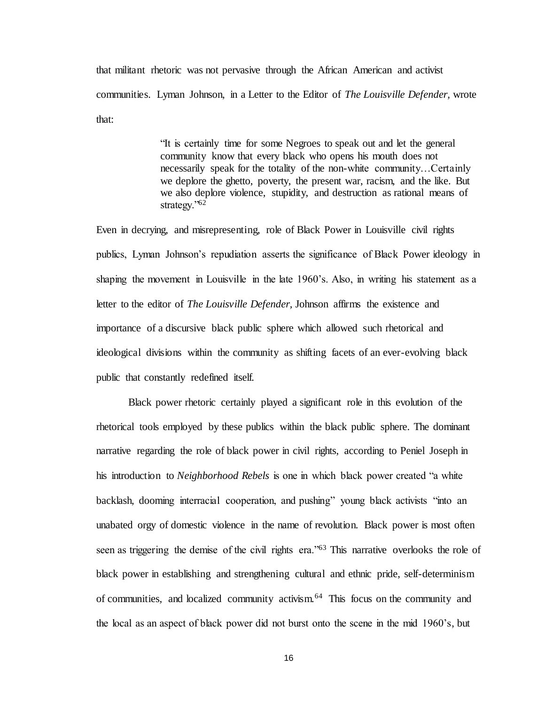that militant rhetoric was not pervasive through the African American and activist communities. Lyman Johnson, in a Letter to the Editor of *The Louisville Defender,* wrote that:

> "It is certainly time for some Negroes to speak out and let the general community know that every black who opens his mouth does not necessarily speak for the totality of the non-white community…Certainly we deplore the ghetto, poverty, the present war, racism, and the like. But we also deplore violence, stupidity, and destruction as rational means of strategy."<sup>62</sup>

Even in decrying, and misrepresenting, role of Black Power in Louisville civil rights publics, Lyman Johnson's repudiation asserts the significance of Black Power ideology in shaping the movement in Louisville in the late 1960's. Also, in writing his statement as a letter to the editor of *The Louisville Defender,* Johnson affirms the existence and importance of a discursive black public sphere which allowed such rhetorical and ideological divisions within the community as shifting facets of an ever-evolving black public that constantly redefined itself.

Black power rhetoric certainly played a significant role in this evolution of the rhetorical tools employed by these publics within the black public sphere. The dominant narrative regarding the role of black power in civil rights, according to Peniel Joseph in his introduction to *Neighborhood Rebels* is one in which black power created "a white backlash, dooming interracial cooperation, and pushing" young black activists "into an unabated orgy of domestic violence in the name of revolution. Black power is most often seen as triggering the demise of the civil rights era."<sup>63</sup> This narrative overlooks the role of black power in establishing and strengthening cultural and ethnic pride, self-determinism of communities, and localized community activism.<sup>64</sup> This focus on the community and the local as an aspect of black power did not burst onto the scene in the mid 1960's, but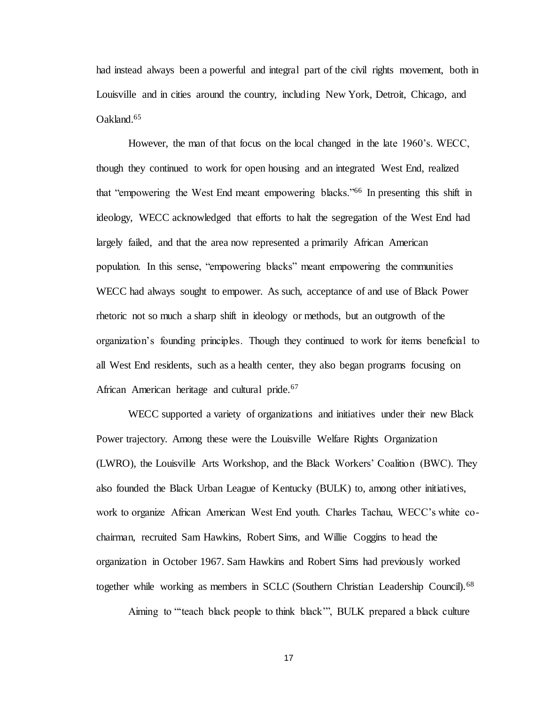had instead always been a powerful and integral part of the civil rights movement, both in Louisville and in cities around the country, including New York, Detroit, Chicago, and Oakland.<sup>65</sup>

However, the man of that focus on the local changed in the late 1960's. WECC, though they continued to work for open housing and an integrated West End, realized that "empowering the West End meant empowering blacks."<sup>66</sup> In presenting this shift in ideology, WECC acknowledged that efforts to halt the segregation of the West End had largely failed, and that the area now represented a primarily African American population. In this sense, "empowering blacks" meant empowering the communities WECC had always sought to empower. As such, acceptance of and use of Black Power rhetoric not so much a sharp shift in ideology or methods, but an outgrowth of the organization's founding principles. Though they continued to work for items beneficial to all West End residents, such as a health center, they also began programs focusing on African American heritage and cultural pride.<sup>67</sup>

WECC supported a variety of organizations and initiatives under their new Black Power trajectory. Among these were the Louisville Welfare Rights Organization (LWRO), the Louisville Arts Workshop, and the Black Workers' Coalition (BWC). They also founded the Black Urban League of Kentucky (BULK) to, among other initiatives, work to organize African American West End youth. Charles Tachau, WECC's white cochairman, recruited Sam Hawkins, Robert Sims, and Willie Coggins to head the organization in October 1967. Sam Hawkins and Robert Sims had previously worked together while working as members in SCLC (Southern Christian Leadership Council).<sup>68</sup>

Aiming to "'teach black people to think black'", BULK prepared a black culture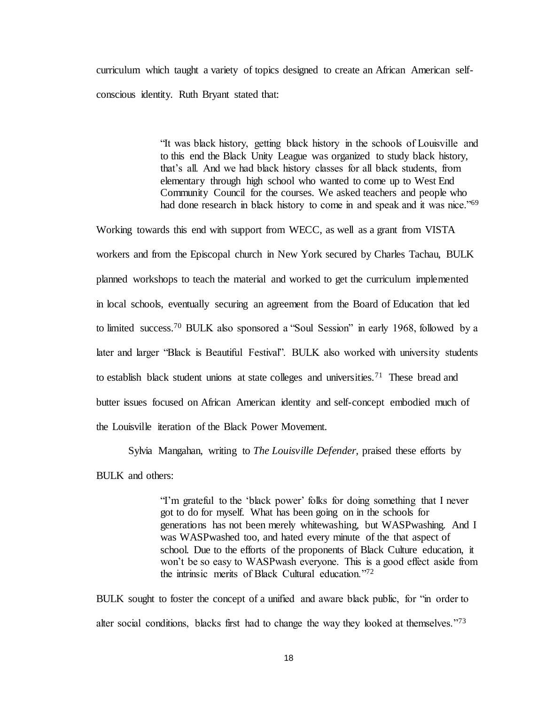curriculum which taught a variety of topics designed to create an African American selfconscious identity. Ruth Bryant stated that:

> "It was black history, getting black history in the schools of Louisville and to this end the Black Unity League was organized to study black history, that's all. And we had black history classes for all black students, from elementary through high school who wanted to come up to West End Community Council for the courses. We asked teachers and people who had done research in black history to come in and speak and it was nice.<sup>769</sup>

Working towards this end with support from WECC, as well as a grant from VISTA workers and from the Episcopal church in New York secured by Charles Tachau, BULK planned workshops to teach the material and worked to get the curriculum implemented in local schools, eventually securing an agreement from the Board of Education that led to limited success.<sup>70</sup> BULK also sponsored a "Soul Session" in early 1968, followed by a later and larger "Black is Beautiful Festival". BULK also worked with university students to establish black student unions at state colleges and universities.<sup>71</sup> These bread and butter issues focused on African American identity and self-concept embodied much of the Louisville iteration of the Black Power Movement.

Sylvia Mangahan, writing to *The Louisville Defender,* praised these efforts by BULK and others:

> "I'm grateful to the 'black power' folks for doing something that I never got to do for myself. What has been going on in the schools for generations has not been merely whitewashing, but WASPwashing. And I was WASPwashed too, and hated every minute of the that aspect of school. Due to the efforts of the proponents of Black Culture education, it won't be so easy to WASPwash everyone. This is a good effect aside from the intrinsic merits of Black Cultural education."<sup>72</sup>

BULK sought to foster the concept of a unified and aware black public, for "in order to alter social conditions, blacks first had to change the way they looked at themselves."<sup>73</sup>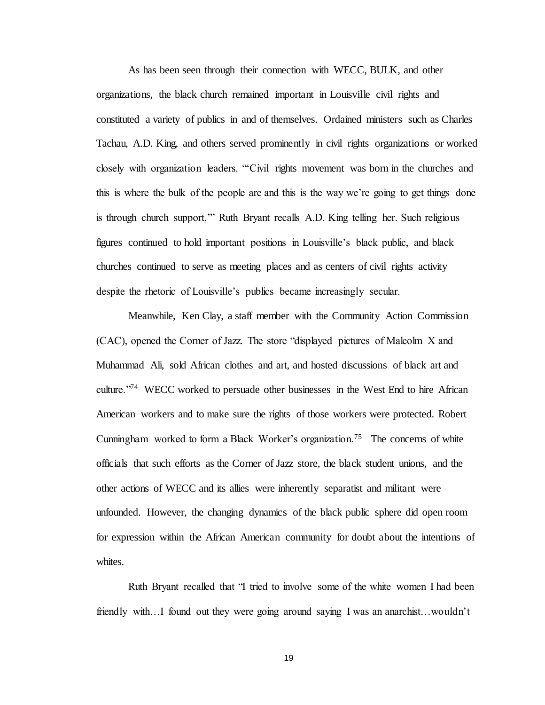As has been seen through their connection with WECC, BULK, and other organizations, the black church remained important in Louisville civil rights and constituted a variety of publics in and of themselves. Ordained ministers such as Charles Tachau, A.D. King, and others served prominently in civil rights organizations or worked closely with organization leaders. "'Civil rights movement was born in the churches and this is where the bulk of the people are and this is the way we're going to get things done is through church support,'" Ruth Bryant recalls A.D. King telling her. Such religious figures continued to hold important positions in Louisville's black public, and black churches continued to serve as meeting places and as centers of civil rights activity despite the rhetoric of Louisville's publics became increasingly secular.

Meanwhile, Ken Clay, a staff member with the Community Action Commission (CAC), opened the Corner of Jazz. The store "displayed pictures of Malcolm X and Muhammad Ali, sold African clothes and art, and hosted discussions of black art and culture."<sup>74</sup> WECC worked to persuade other businesses in the West End to hire African American workers and to make sure the rights of those workers were protected. Robert Cunningham worked to form a Black Worker's organization.<sup>75</sup> The concerns of white officials that such efforts as the Corner of Jazz store, the black student unions, and the other actions of WECC and its allies were inherently separatist and militant were unfounded. However, the changing dynamics of the black public sphere did open room for expression within the African American community for doubt about the intentions of whites.

Ruth Bryant recalled that "I tried to involve some of the white women I had been friendly with…I found out they were going around saying I was an anarchist…wouldn't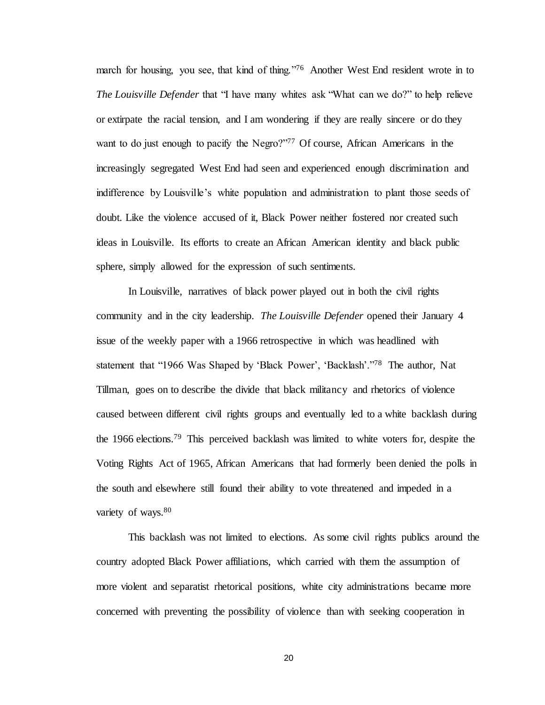march for housing, you see, that kind of thing."<sup>76</sup> Another West End resident wrote in to *The Louisville Defender* that "I have many whites ask "What can we do?" to help relieve or extirpate the racial tension, and I am wondering if they are really sincere or do they want to do just enough to pacify the Negro?"<sup>77</sup> Of course, African Americans in the increasingly segregated West End had seen and experienced enough discrimination and indifference by Louisville's white population and administration to plant those seeds of doubt. Like the violence accused of it, Black Power neither fostered nor created such ideas in Louisville. Its efforts to create an African American identity and black public sphere, simply allowed for the expression of such sentiments.

In Louisville, narratives of black power played out in both the civil rights community and in the city leadership. *The Louisville Defender* opened their January 4 issue of the weekly paper with a 1966 retrospective in which was headlined with statement that "1966 Was Shaped by 'Black Power', 'Backlash'."<sup>78</sup> The author, Nat Tillman, goes on to describe the divide that black militancy and rhetorics of violence caused between different civil rights groups and eventually led to a white backlash during the 1966 elections.<sup>79</sup> This perceived backlash was limited to white voters for, despite the Voting Rights Act of 1965, African Americans that had formerly been denied the polls in the south and elsewhere still found their ability to vote threatened and impeded in a variety of ways.<sup>80</sup>

This backlash was not limited to elections. As some civil rights publics around the country adopted Black Power affiliations, which carried with them the assumption of more violent and separatist rhetorical positions, white city administrations became more concerned with preventing the possibility of violence than with seeking cooperation in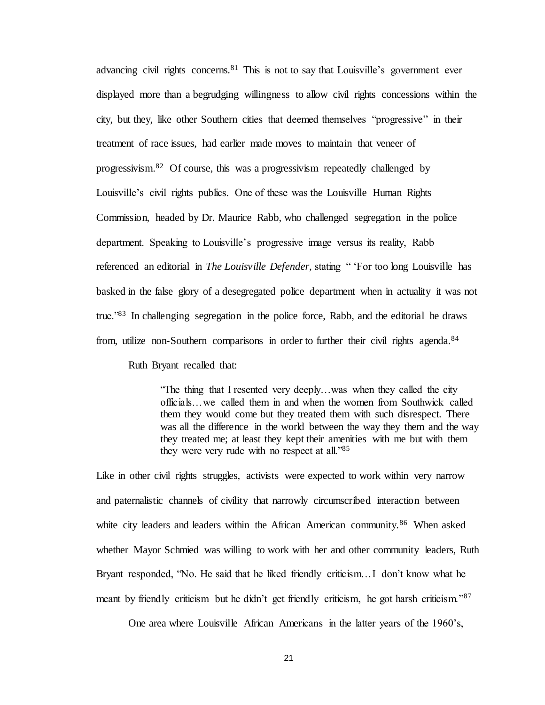advancing civil rights concerns.<sup>81</sup> This is not to say that Louisville's government ever displayed more than a begrudging willingness to allow civil rights concessions within the city, but they, like other Southern cities that deemed themselves "progressive" in their treatment of race issues, had earlier made moves to maintain that veneer of progressivism.<sup>82</sup> Of course, this was a progressivism repeatedly challenged by Louisville's civil rights publics. One of these was the Louisville Human Rights Commission, headed by Dr. Maurice Rabb, who challenged segregation in the police department. Speaking to Louisville's progressive image versus its reality, Rabb referenced an editorial in *The Louisville Defender,* stating " 'For too long Louisville has basked in the false glory of a desegregated police department when in actuality it was not true."<sup>83</sup> In challenging segregation in the police force, Rabb, and the editorial he draws from, utilize non-Southern comparisons in order to further their civil rights agenda.<sup>84</sup>

Ruth Bryant recalled that:

"The thing that I resented very deeply…was when they called the city officials…we called them in and when the women from Southwick called them they would come but they treated them with such disrespect. There was all the difference in the world between the way they them and the way they treated me; at least they kept their amenities with me but with them they were very rude with no respect at all."<sup>85</sup>

Like in other civil rights struggles, activists were expected to work within very narrow and paternalistic channels of civility that narrowly circumscribed interaction between white city leaders and leaders within the African American community.<sup>86</sup> When asked whether Mayor Schmied was willing to work with her and other community leaders, Ruth Bryant responded, "No. He said that he liked friendly criticism…I don't know what he meant by friendly criticism but he didn't get friendly criticism, he got harsh criticism."<sup>87</sup>

One area where Louisville African Americans in the latter years of the 1960's,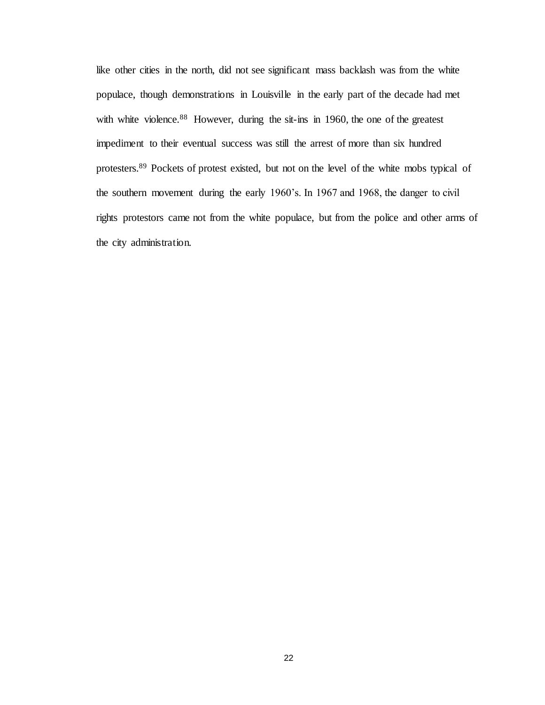like other cities in the north, did not see significant mass backlash was from the white populace, though demonstrations in Louisville in the early part of the decade had met with white violence.<sup>88</sup> However, during the sit-ins in 1960, the one of the greatest impediment to their eventual success was still the arrest of more than six hundred protesters.<sup>89</sup> Pockets of protest existed, but not on the level of the white mobs typical of the southern movement during the early 1960's. In 1967 and 1968, the danger to civil rights protestors came not from the white populace, but from the police and other arms of the city administration.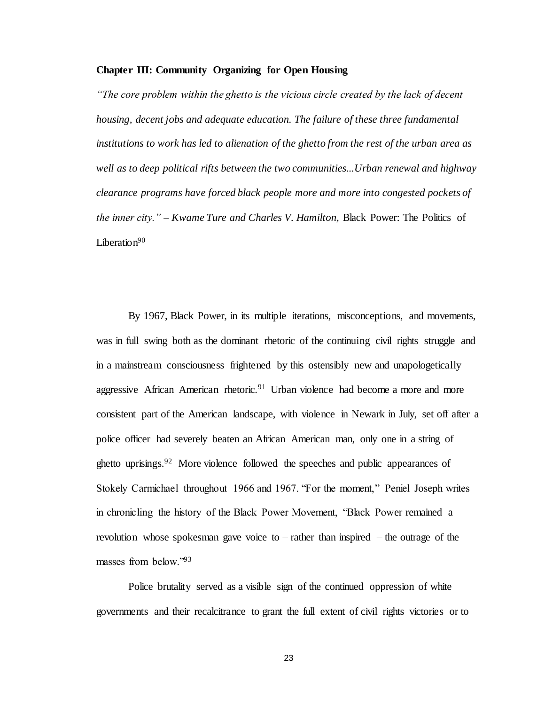#### **Chapter III: Community Organizing for Open Housing**

*"The core problem within the ghetto is the vicious circle created by the lack of decent housing, decent jobs and adequate education. The failure of these three fundamental institutions to work has led to alienation of the ghetto from the rest of the urban area as well as to deep political rifts between the two communities...Urban renewal and highway clearance programs have forced black people more and more into congested pockets of the inner city." – Kwame Ture and Charles V. Hamilton,* Black Power: The Politics of Liberation $90$ 

By 1967, Black Power, in its multiple iterations, misconceptions, and movements, was in full swing both as the dominant rhetoric of the continuing civil rights struggle and in a mainstream consciousness frightened by this ostensibly new and unapologetically aggressive African American rhetoric.<sup>91</sup> Urban violence had become a more and more consistent part of the American landscape, with violence in Newark in July, set off after a police officer had severely beaten an African American man, only one in a string of ghetto uprisings.<sup>92</sup> More violence followed the speeches and public appearances of Stokely Carmichael throughout 1966 and 1967. "For the moment," Peniel Joseph writes in chronicling the history of the Black Power Movement, "Black Power remained a revolution whose spokesman gave voice to – rather than inspired – the outrage of the masses from below."<sup>93</sup>

Police brutality served as a visible sign of the continued oppression of white governments and their recalcitrance to grant the full extent of civil rights victories or to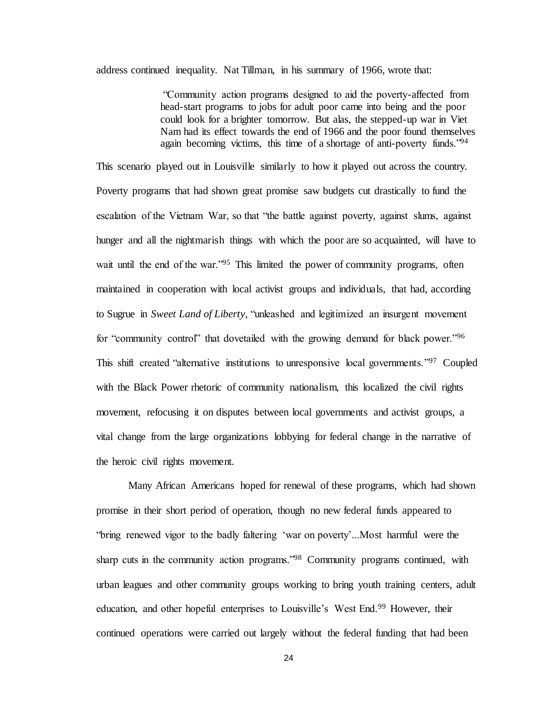address continued inequality. Nat Tillman, in his summary of 1966, wrote that:

"Community action programs designed to aid the poverty-affected from head-start programs to jobs for adult poor came into being and the poor could look for a brighter tomorrow. But alas, the stepped-up war in Viet Nam had its effect towards the end of 1966 and the poor found themselves again becoming victims, this time of a shortage of anti-poverty funds."<sup>94</sup>

This scenario played out in Louisville similarly to how it played out across the country. Poverty programs that had shown great promise saw budgets cut drastically to fund the escalation of the Vietnam War, so that "the battle against poverty, against slums, against hunger and all the nightmarish things with which the poor are so acquainted, will have to wait until the end of the war."<sup>95</sup> This limited the power of community programs, often maintained in cooperation with local activist groups and individuals, that had, according to Sugrue in *Sweet Land of Liberty,* "unleashed and legitimized an insurgent movement for "community control" that dovetailed with the growing demand for black power."<sup>96</sup> This shift created "alternative institutions to unresponsive local governments."<sup>97</sup> Coupled with the Black Power rhetoric of community nationalism, this localized the civil rights movement, refocusing it on disputes between local governments and activist groups, a vital change from the large organizations lobbying for federal change in the narrative of the heroic civil rights movement.

Many African Americans hoped for renewal of these programs, which had shown promise in their short period of operation, though no new federal funds appeared to "bring renewed vigor to the badly faltering 'war on poverty'...Most harmful were the sharp cuts in the community action programs."<sup>98</sup> Community programs continued, with urban leagues and other community groups working to bring youth training centers, adult education, and other hopeful enterprises to Louisville's West End.<sup>99</sup> However, their continued operations were carried out largely without the federal funding that had been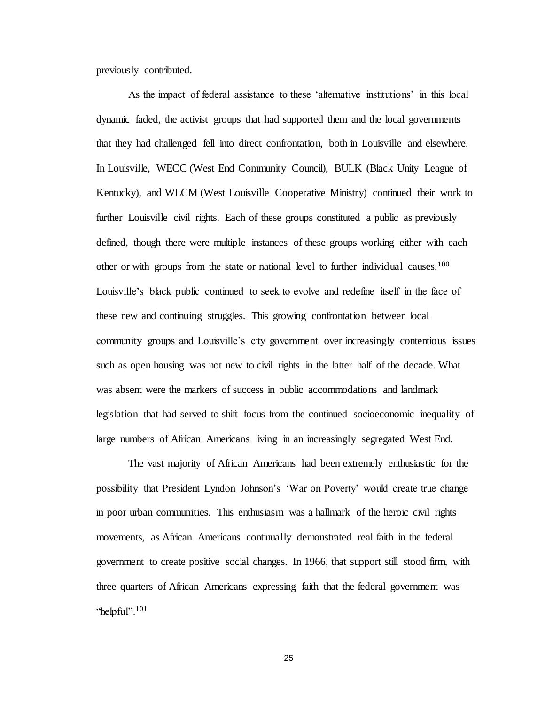previously contributed.

As the impact of federal assistance to these 'alternative institutions' in this local dynamic faded, the activist groups that had supported them and the local governments that they had challenged fell into direct confrontation, both in Louisville and elsewhere. In Louisville, WECC (West End Community Council), BULK (Black Unity League of Kentucky), and WLCM (West Louisville Cooperative Ministry) continued their work to further Louisville civil rights. Each of these groups constituted a public as previously defined, though there were multiple instances of these groups working either with each other or with groups from the state or national level to further individual causes.<sup>100</sup> Louisville's black public continued to seek to evolve and redefine itself in the face of these new and continuing struggles. This growing confrontation between local community groups and Louisville's city government over increasingly contentious issues such as open housing was not new to civil rights in the latter half of the decade. What was absent were the markers of success in public accommodations and landmark legislation that had served to shift focus from the continued socioeconomic inequality of large numbers of African Americans living in an increasingly segregated West End.

The vast majority of African Americans had been extremely enthusiastic for the possibility that President Lyndon Johnson's 'War on Poverty' would create true change in poor urban communities. This enthusiasm was a hallmark of the heroic civil rights movements, as African Americans continually demonstrated real faith in the federal government to create positive social changes. In 1966, that support still stood firm, with three quarters of African Americans expressing faith that the federal government was "helpful". $101$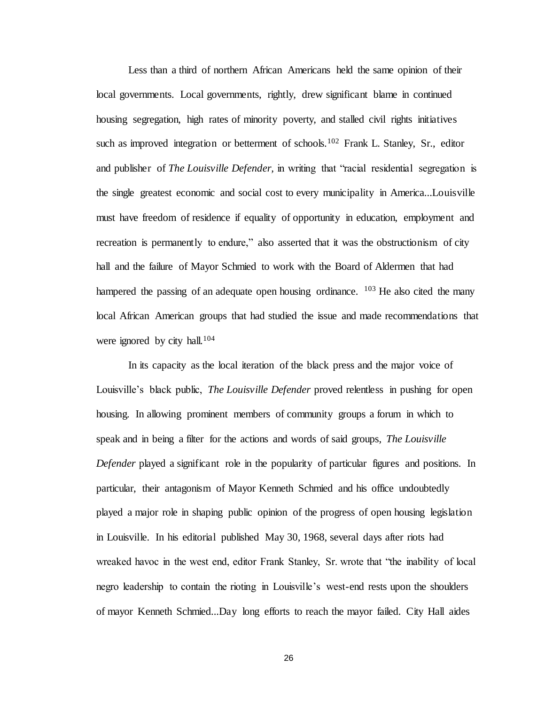Less than a third of northern African Americans held the same opinion of their local governments. Local governments, rightly, drew significant blame in continued housing segregation, high rates of minority poverty, and stalled civil rights initiatives such as improved integration or betterment of schools.<sup>102</sup> Frank L. Stanley, Sr., editor and publisher of *The Louisville Defender,* in writing that "racial residential segregation is the single greatest economic and social cost to every municipality in America...Louisville must have freedom of residence if equality of opportunity in education, employment and recreation is permanently to endure," also asserted that it was the obstructionism of city hall and the failure of Mayor Schmied to work with the Board of Aldermen that had hampered the passing of an adequate open housing ordinance.  $103$  He also cited the many local African American groups that had studied the issue and made recommendations that were ignored by city hall.<sup>104</sup>

In its capacity as the local iteration of the black press and the major voice of Louisville's black public, *The Louisville Defender* proved relentless in pushing for open housing. In allowing prominent members of community groups a forum in which to speak and in being a filter for the actions and words of said groups, *The Louisville Defender* played a significant role in the popularity of particular figures and positions. In particular, their antagonism of Mayor Kenneth Schmied and his office undoubtedly played a major role in shaping public opinion of the progress of open housing legislation in Louisville. In his editorial published May 30, 1968, several days after riots had wreaked havoc in the west end, editor Frank Stanley, Sr. wrote that "the inability of local negro leadership to contain the rioting in Louisville's west-end rests upon the shoulders of mayor Kenneth Schmied...Day long efforts to reach the mayor failed. City Hall aides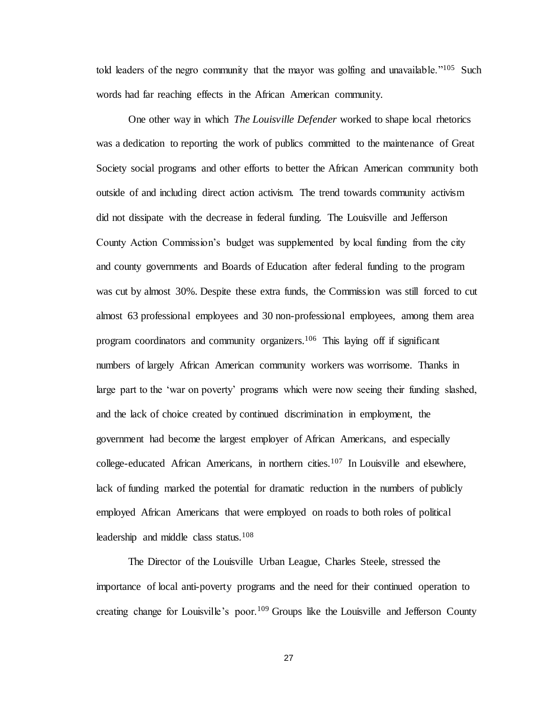told leaders of the negro community that the mayor was golfing and unavailable."<sup>105</sup> Such words had far reaching effects in the African American community.

One other way in which *The Louisville Defender* worked to shape local rhetorics was a dedication to reporting the work of publics committed to the maintenance of Great Society social programs and other efforts to better the African American community both outside of and including direct action activism. The trend towards community activism did not dissipate with the decrease in federal funding. The Louisville and Jefferson County Action Commission's budget was supplemented by local funding from the city and county governments and Boards of Education after federal funding to the program was cut by almost 30%. Despite these extra funds, the Commission was still forced to cut almost 63 professional employees and 30 non-professional employees, among them area program coordinators and community organizers.<sup>106</sup> This laying off if significant numbers of largely African American community workers was worrisome. Thanks in large part to the 'war on poverty' programs which were now seeing their funding slashed, and the lack of choice created by continued discrimination in employment, the government had become the largest employer of African Americans, and especially college-educated African Americans, in northern cities.<sup>107</sup> In Louisville and elsewhere, lack of funding marked the potential for dramatic reduction in the numbers of publicly employed African Americans that were employed on roads to both roles of political leadership and middle class status.<sup>108</sup>

The Director of the Louisville Urban League, Charles Steele, stressed the importance of local anti-poverty programs and the need for their continued operation to creating change for Louisville's poor.<sup>109</sup> Groups like the Louisville and Jefferson County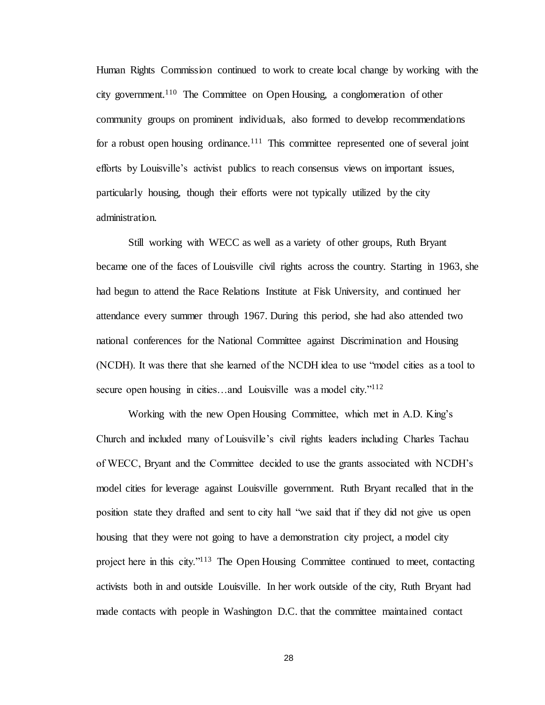Human Rights Commission continued to work to create local change by working with the city government.<sup>110</sup> The Committee on Open Housing, a conglomeration of other community groups on prominent individuals, also formed to develop recommendations for a robust open housing ordinance.<sup>111</sup> This committee represented one of several joint efforts by Louisville's activist publics to reach consensus views on important issues, particularly housing, though their efforts were not typically utilized by the city administration.

Still working with WECC as well as a variety of other groups, Ruth Bryant became one of the faces of Louisville civil rights across the country. Starting in 1963, she had begun to attend the Race Relations Institute at Fisk University, and continued her attendance every summer through 1967. During this period, she had also attended two national conferences for the National Committee against Discrimination and Housing (NCDH). It was there that she learned of the NCDH idea to use "model cities as a tool to secure open housing in cities...and Louisville was a model city."<sup>112</sup>

Working with the new Open Housing Committee, which met in A.D. King's Church and included many of Louisville's civil rights leaders including Charles Tachau of WECC, Bryant and the Committee decided to use the grants associated with NCDH's model cities for leverage against Louisville government. Ruth Bryant recalled that in the position state they drafted and sent to city hall "we said that if they did not give us open housing that they were not going to have a demonstration city project, a model city project here in this city."<sup>113</sup> The Open Housing Committee continued to meet, contacting activists both in and outside Louisville. In her work outside of the city, Ruth Bryant had made contacts with people in Washington D.C. that the committee maintained contact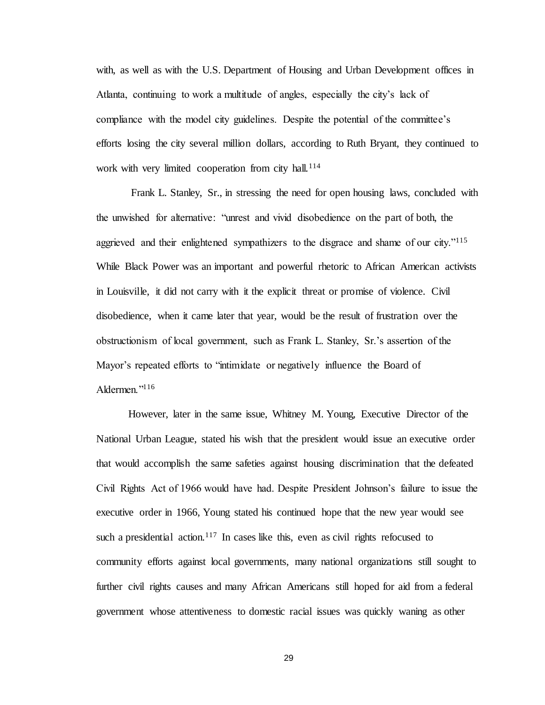with, as well as with the U.S. Department of Housing and Urban Development offices in Atlanta, continuing to work a multitude of angles, especially the city's lack of compliance with the model city guidelines. Despite the potential of the committee's efforts losing the city several million dollars, according to Ruth Bryant, they continued to work with very limited cooperation from city hall.<sup>114</sup>

Frank L. Stanley, Sr., in stressing the need for open housing laws, concluded with the unwished for alternative: "unrest and vivid disobedience on the part of both, the aggrieved and their enlightened sympathizers to the disgrace and shame of our city."<sup>115</sup> While Black Power was an important and powerful rhetoric to African American activists in Louisville, it did not carry with it the explicit threat or promise of violence. Civil disobedience, when it came later that year, would be the result of frustration over the obstructionism of local government, such as Frank L. Stanley, Sr.'s assertion of the Mayor's repeated efforts to "intimidate or negatively influence the Board of Aldermen."<sup>116</sup>

However, later in the same issue, Whitney M. Young, Executive Director of the National Urban League, stated his wish that the president would issue an executive order that would accomplish the same safeties against housing discrimination that the defeated Civil Rights Act of 1966 would have had. Despite President Johnson's failure to issue the executive order in 1966, Young stated his continued hope that the new year would see such a presidential action.<sup>117</sup> In cases like this, even as civil rights refocused to community efforts against local governments, many national organizations still sought to further civil rights causes and many African Americans still hoped for aid from a federal government whose attentiveness to domestic racial issues was quickly waning as other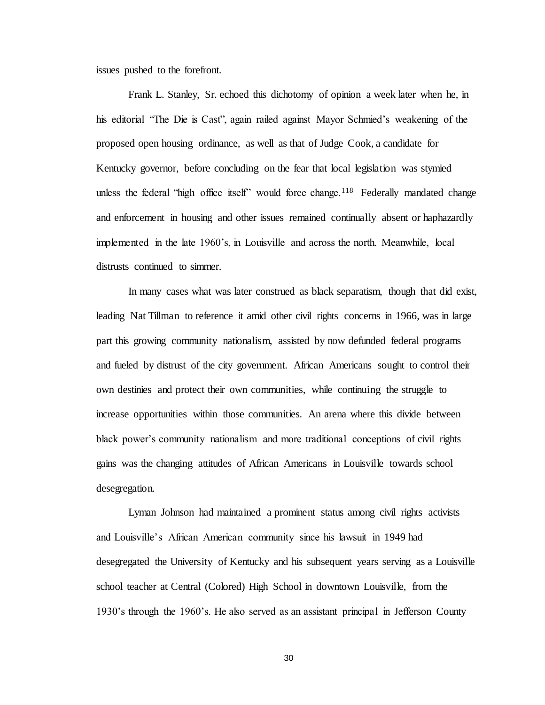issues pushed to the forefront.

Frank L. Stanley, Sr. echoed this dichotomy of opinion a week later when he, in his editorial "The Die is Cast", again railed against Mayor Schmied's weakening of the proposed open housing ordinance, as well as that of Judge Cook, a candidate for Kentucky governor, before concluding on the fear that local legislation was stymied unless the federal "high office itself" would force change.<sup>118</sup> Federally mandated change and enforcement in housing and other issues remained continually absent or haphazardly implemented in the late 1960's, in Louisville and across the north. Meanwhile, local distrusts continued to simmer.

In many cases what was later construed as black separatism, though that did exist, leading Nat Tillman to reference it amid other civil rights concerns in 1966, was in large part this growing community nationalism, assisted by now defunded federal programs and fueled by distrust of the city government. African Americans sought to control their own destinies and protect their own communities, while continuing the struggle to increase opportunities within those communities. An arena where this divide between black power's community nationalism and more traditional conceptions of civil rights gains was the changing attitudes of African Americans in Louisville towards school desegregation.

Lyman Johnson had maintained a prominent status among civil rights activists and Louisville's African American community since his lawsuit in 1949 had desegregated the University of Kentucky and his subsequent years serving as a Louisville school teacher at Central (Colored) High School in downtown Louisville, from the 1930's through the 1960's. He also served as an assistant principal in Jefferson County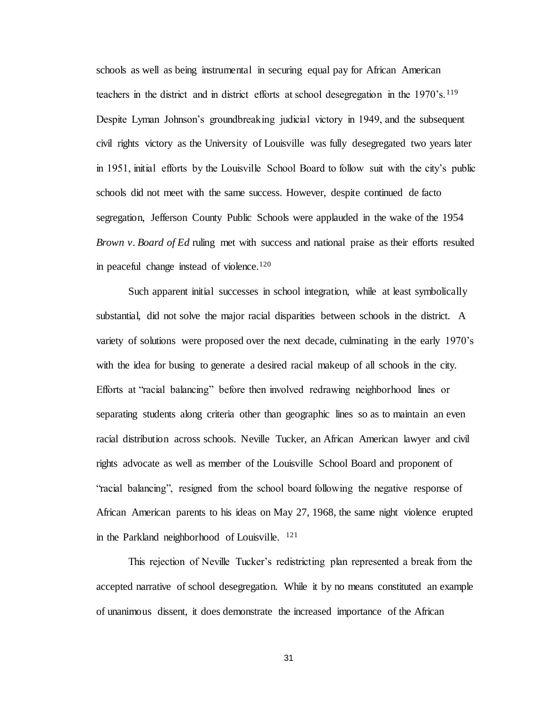schools as well as being instrumental in securing equal pay for African American teachers in the district and in district efforts at school desegregation in the 1970's.<sup>119</sup> Despite Lyman Johnson's groundbreaking judicial victory in 1949, and the subsequent civil rights victory as the University of Louisville was fully desegregated two years later in 1951, initial efforts by the Louisville School Board to follow suit with the city's public schools did not meet with the same success. However, despite continued de facto segregation, Jefferson County Public Schools were applauded in the wake of the 1954 *Brown v. Board of Ed* ruling met with success and national praise as their efforts resulted in peaceful change instead of violence.<sup>120</sup>

Such apparent initial successes in school integration, while at least symbolically substantial, did not solve the major racial disparities between schools in the district. A variety of solutions were proposed over the next decade, culminating in the early 1970's with the idea for busing to generate a desired racial makeup of all schools in the city. Efforts at "racial balancing" before then involved redrawing neighborhood lines or separating students along criteria other than geographic lines so as to maintain an even racial distribution across schools. Neville Tucker, an African American lawyer and civil rights advocate as well as member of the Louisville School Board and proponent of "racial balancing", resigned from the school board following the negative response of African American parents to his ideas on May 27, 1968, the same night violence erupted in the Parkland neighborhood of Louisville. <sup>121</sup>

This rejection of Neville Tucker's redistricting plan represented a break from the accepted narrative of school desegregation. While it by no means constituted an example of unanimous dissent, it does demonstrate the increased importance of the African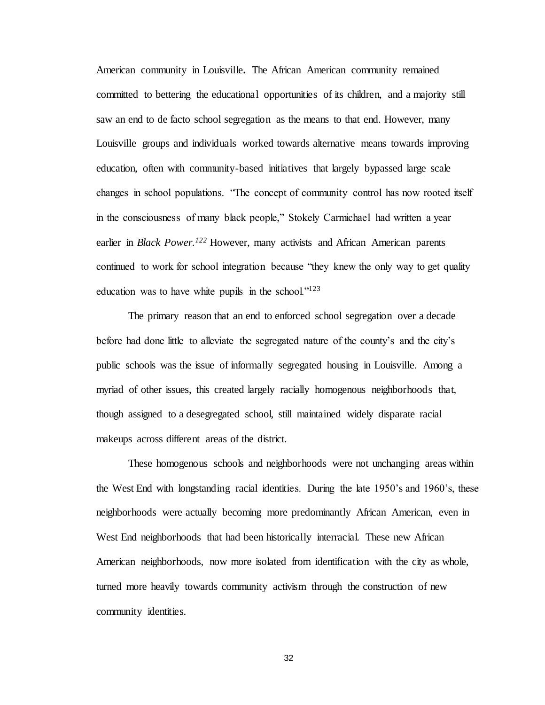American community in Louisville**.** The African American community remained committed to bettering the educational opportunities of its children, and a majority still saw an end to de facto school segregation as the means to that end. However, many Louisville groups and individuals worked towards alternative means towards improving education, often with community-based initiatives that largely bypassed large scale changes in school populations. "The concept of community control has now rooted itself in the consciousness of many black people," Stokely Carmichael had written a year earlier in *Black Power.<sup>122</sup>* However, many activists and African American parents continued to work for school integration because "they knew the only way to get quality education was to have white pupils in the school."<sup>123</sup>

The primary reason that an end to enforced school segregation over a decade before had done little to alleviate the segregated nature of the county's and the city's public schools was the issue of informally segregated housing in Louisville. Among a myriad of other issues, this created largely racially homogenous neighborhoods that, though assigned to a desegregated school, still maintained widely disparate racial makeups across different areas of the district.

These homogenous schools and neighborhoods were not unchanging areas within the West End with longstanding racial identities. During the late 1950's and 1960's, these neighborhoods were actually becoming more predominantly African American, even in West End neighborhoods that had been historically interracial. These new African American neighborhoods, now more isolated from identification with the city as whole, turned more heavily towards community activism through the construction of new community identities.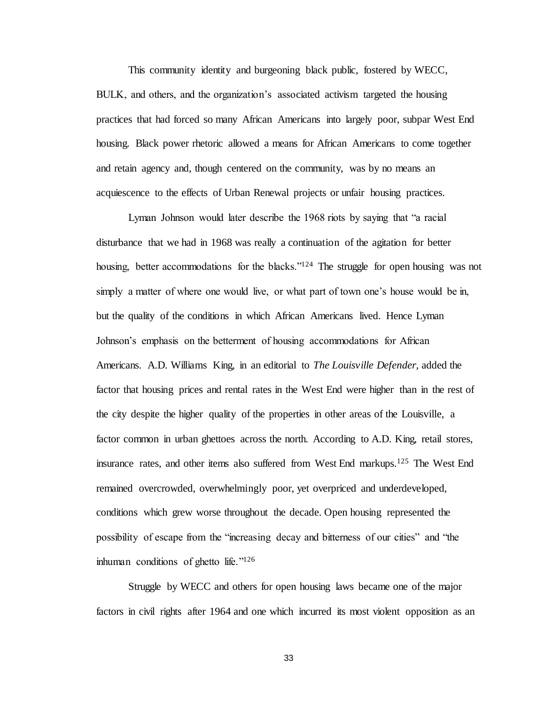This community identity and burgeoning black public, fostered by WECC, BULK, and others, and the organization's associated activism targeted the housing practices that had forced so many African Americans into largely poor, subpar West End housing. Black power rhetoric allowed a means for African Americans to come together and retain agency and, though centered on the community, was by no means an acquiescence to the effects of Urban Renewal projects or unfair housing practices.

Lyman Johnson would later describe the 1968 riots by saying that "a racial disturbance that we had in 1968 was really a continuation of the agitation for better housing, better accommodations for the blacks."<sup>124</sup> The struggle for open housing was not simply a matter of where one would live, or what part of town one's house would be in, but the quality of the conditions in which African Americans lived. Hence Lyman Johnson's emphasis on the betterment of housing accommodations for African Americans. A.D. Williams King, in an editorial to *The Louisville Defender,* added the factor that housing prices and rental rates in the West End were higher than in the rest of the city despite the higher quality of the properties in other areas of the Louisville, a factor common in urban ghettoes across the north. According to A.D. King, retail stores, insurance rates, and other items also suffered from West End markups.<sup>125</sup> The West End remained overcrowded, overwhelmingly poor, yet overpriced and underdeveloped, conditions which grew worse throughout the decade. Open housing represented the possibility of escape from the "increasing decay and bitterness of our cities" and "the inhuman conditions of ghetto life."<sup>126</sup>

Struggle by WECC and others for open housing laws became one of the major factors in civil rights after 1964 and one which incurred its most violent opposition as an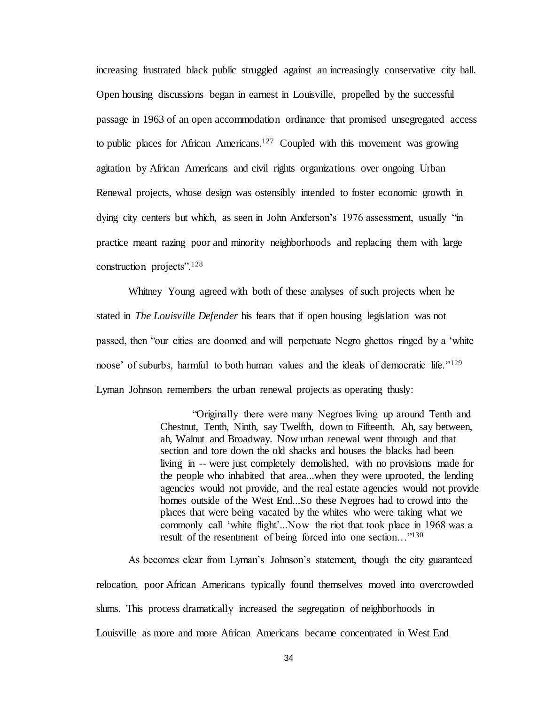increasing frustrated black public struggled against an increasingly conservative city hall. Open housing discussions began in earnest in Louisville, propelled by the successful passage in 1963 of an open accommodation ordinance that promised unsegregated access to public places for African Americans.<sup>127</sup> Coupled with this movement was growing agitation by African Americans and civil rights organizations over ongoing Urban Renewal projects, whose design was ostensibly intended to foster economic growth in dying city centers but which, as seen in John Anderson's 1976 assessment, usually "in practice meant razing poor and minority neighborhoods and replacing them with large construction projects".<sup>128</sup>

Whitney Young agreed with both of these analyses of such projects when he stated in *The Louisville Defender* his fears that if open housing legislation was not passed, then "our cities are doomed and will perpetuate Negro ghettos ringed by a 'white noose' of suburbs, harmful to both human values and the ideals of democratic life."<sup>129</sup> Lyman Johnson remembers the urban renewal projects as operating thusly:

> "Originally there were many Negroes living up around Tenth and Chestnut, Tenth, Ninth, say Twelfth, down to Fifteenth. Ah, say between, ah, Walnut and Broadway. Now urban renewal went through and that section and tore down the old shacks and houses the blacks had been living in -- were just completely demolished, with no provisions made for the people who inhabited that area...when they were uprooted, the lending agencies would not provide, and the real estate agencies would not provide homes outside of the West End...So these Negroes had to crowd into the places that were being vacated by the whites who were taking what we commonly call 'white flight'...Now the riot that took place in 1968 was a result of the resentment of being forced into one section…"<sup>130</sup>

As becomes clear from Lyman's Johnson's statement, though the city guaranteed relocation, poor African Americans typically found themselves moved into overcrowded slums. This process dramatically increased the segregation of neighborhoods in Louisville as more and more African Americans became concentrated in West End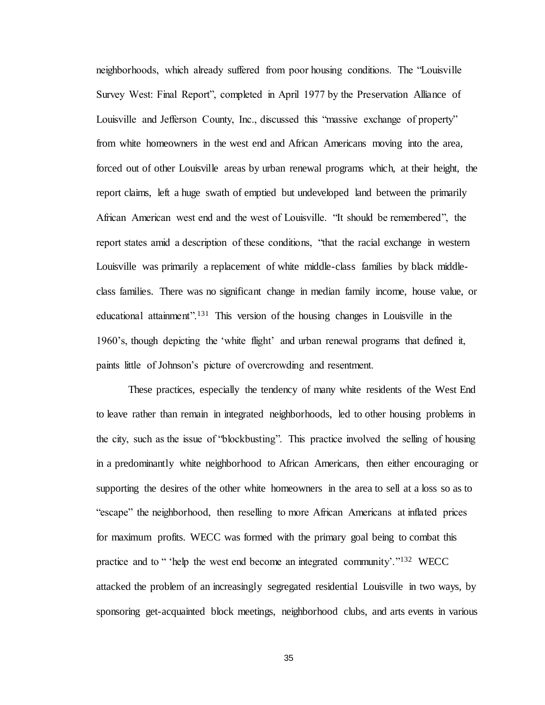neighborhoods, which already suffered from poor housing conditions. The "Louisville Survey West: Final Report", completed in April 1977 by the Preservation Alliance of Louisville and Jefferson County, Inc., discussed this "massive exchange of property" from white homeowners in the west end and African Americans moving into the area, forced out of other Louisville areas by urban renewal programs which, at their height, the report claims, left a huge swath of emptied but undeveloped land between the primarily African American west end and the west of Louisville. "It should be remembered", the report states amid a description of these conditions, "that the racial exchange in western Louisville was primarily a replacement of white middle-class families by black middleclass families. There was no significant change in median family income, house value, or educational attainment".<sup>131</sup> This version of the housing changes in Louisville in the 1960's, though depicting the 'white flight' and urban renewal programs that defined it, paints little of Johnson's picture of overcrowding and resentment.

These practices, especially the tendency of many white residents of the West End to leave rather than remain in integrated neighborhoods, led to other housing problems in the city, such as the issue of "blockbusting". This practice involved the selling of housing in a predominantly white neighborhood to African Americans, then either encouraging or supporting the desires of the other white homeowners in the area to sell at a loss so as to "escape" the neighborhood, then reselling to more African Americans at inflated prices for maximum profits. WECC was formed with the primary goal being to combat this practice and to " 'help the west end become an integrated community'."<sup>132</sup> WECC attacked the problem of an increasingly segregated residential Louisville in two ways, by sponsoring get-acquainted block meetings, neighborhood clubs, and arts events in various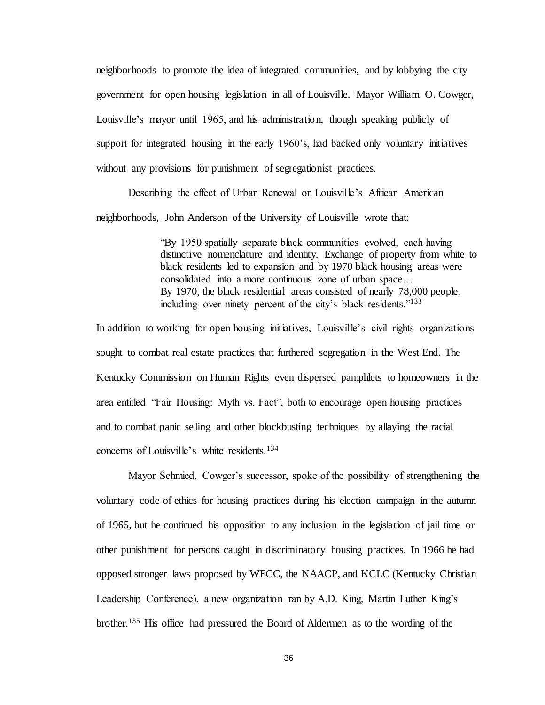neighborhoods to promote the idea of integrated communities, and by lobbying the city government for open housing legislation in all of Louisville. Mayor William O. Cowger, Louisville's mayor until 1965, and his administration, though speaking publicly of support for integrated housing in the early 1960's, had backed only voluntary initiatives without any provisions for punishment of segregationist practices.

Describing the effect of Urban Renewal on Louisville's African American neighborhoods, John Anderson of the University of Louisville wrote that:

> "By 1950 spatially separate black communities evolved, each having distinctive nomenclature and identity. Exchange of property from white to black residents led to expansion and by 1970 black housing areas were consolidated into a more continuous zone of urban space… By 1970, the black residential areas consisted of nearly 78,000 people, including over ninety percent of the city's black residents."<sup>133</sup>

In addition to working for open housing initiatives, Louisville's civil rights organizations sought to combat real estate practices that furthered segregation in the West End. The Kentucky Commission on Human Rights even dispersed pamphlets to homeowners in the area entitled "Fair Housing: Myth vs. Fact", both to encourage open housing practices and to combat panic selling and other blockbusting techniques by allaying the racial concerns of Louisville's white residents.<sup>134</sup>

Mayor Schmied, Cowger's successor, spoke of the possibility of strengthening the voluntary code of ethics for housing practices during his election campaign in the autumn of 1965, but he continued his opposition to any inclusion in the legislation of jail time or other punishment for persons caught in discriminatory housing practices. In 1966 he had opposed stronger laws proposed by WECC, the NAACP, and KCLC (Kentucky Christian Leadership Conference), a new organization ran by A.D. King, Martin Luther King's brother.<sup>135</sup> His office had pressured the Board of Aldermen as to the wording of the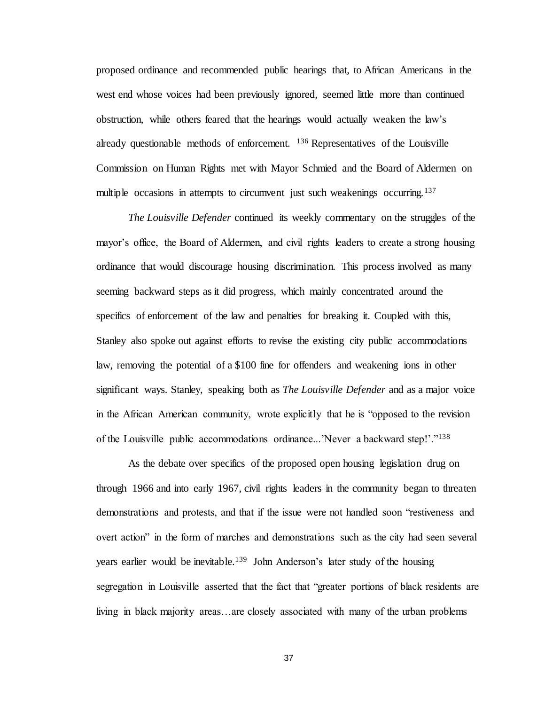proposed ordinance and recommended public hearings that, to African Americans in the west end whose voices had been previously ignored, seemed little more than continued obstruction, while others feared that the hearings would actually weaken the law's already questionable methods of enforcement. <sup>136</sup> Representatives of the Louisville Commission on Human Rights met with Mayor Schmied and the Board of Aldermen on multiple occasions in attempts to circumvent just such weakenings occurring.<sup>137</sup>

*The Louisville Defender* continued its weekly commentary on the struggles of the mayor's office, the Board of Aldermen, and civil rights leaders to create a strong housing ordinance that would discourage housing discrimination. This process involved as many seeming backward steps as it did progress, which mainly concentrated around the specifics of enforcement of the law and penalties for breaking it. Coupled with this, Stanley also spoke out against efforts to revise the existing city public accommodations law, removing the potential of a \$100 fine for offenders and weakening ions in other significant ways. Stanley, speaking both as *The Louisville Defender* and as a major voice in the African American community, wrote explicitly that he is "opposed to the revision of the Louisville public accommodations ordinance...'Never a backward step!'."<sup>138</sup>

As the debate over specifics of the proposed open housing legislation drug on through 1966 and into early 1967, civil rights leaders in the community began to threaten demonstrations and protests, and that if the issue were not handled soon "restiveness and overt action" in the form of marches and demonstrations such as the city had seen several years earlier would be inevitable.<sup>139</sup> John Anderson's later study of the housing segregation in Louisville asserted that the fact that "greater portions of black residents are living in black majority areas…are closely associated with many of the urban problems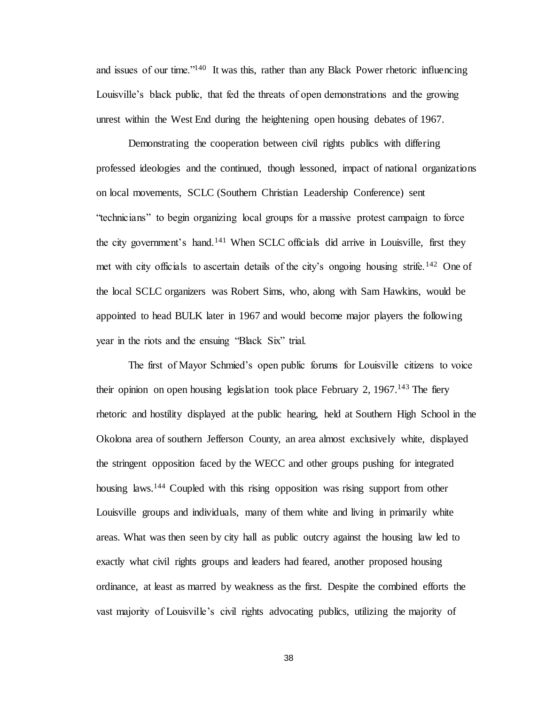and issues of our time."<sup>140</sup> It was this, rather than any Black Power rhetoric influencing Louisville's black public, that fed the threats of open demonstrations and the growing unrest within the West End during the heightening open housing debates of 1967.

Demonstrating the cooperation between civil rights publics with differing professed ideologies and the continued, though lessoned, impact of national organizations on local movements, SCLC (Southern Christian Leadership Conference) sent "technicians" to begin organizing local groups for a massive protest campaign to force the city government's hand.<sup>141</sup> When SCLC officials did arrive in Louisville, first they met with city officials to ascertain details of the city's ongoing housing strife.<sup>142</sup> One of the local SCLC organizers was Robert Sims, who, along with Sam Hawkins, would be appointed to head BULK later in 1967 and would become major players the following year in the riots and the ensuing "Black Six" trial.

The first of Mayor Schmied's open public forums for Louisville citizens to voice their opinion on open housing legislation took place February 2,  $1967$ .<sup>143</sup> The fiery rhetoric and hostility displayed at the public hearing, held at Southern High School in the Okolona area of southern Jefferson County, an area almost exclusively white, displayed the stringent opposition faced by the WECC and other groups pushing for integrated housing laws.<sup>144</sup> Coupled with this rising opposition was rising support from other Louisville groups and individuals, many of them white and living in primarily white areas. What was then seen by city hall as public outcry against the housing law led to exactly what civil rights groups and leaders had feared, another proposed housing ordinance, at least as marred by weakness as the first. Despite the combined efforts the vast majority of Louisville's civil rights advocating publics, utilizing the majority of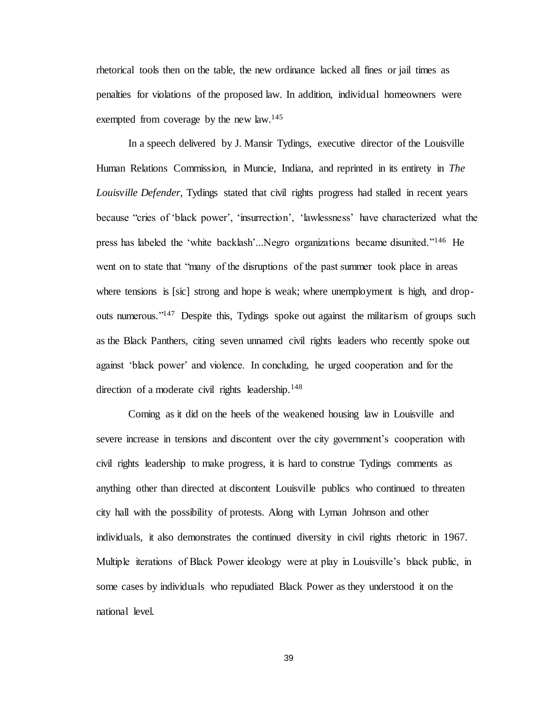rhetorical tools then on the table, the new ordinance lacked all fines or jail times as penalties for violations of the proposed law. In addition, individual homeowners were exempted from coverage by the new law.<sup>145</sup>

In a speech delivered by J. Mansir Tydings, executive director of the Louisville Human Relations Commission, in Muncie, Indiana, and reprinted in its entirety in *The Louisville Defender,* Tydings stated that civil rights progress had stalled in recent years because "cries of 'black power', 'insurrection', 'lawlessness' have characterized what the press has labeled the 'white backlash'...Negro organizations became disunited."<sup>146</sup> He went on to state that "many of the disruptions of the past summer took place in areas where tensions is [sic] strong and hope is weak; where unemployment is high, and dropouts numerous."<sup>147</sup> Despite this, Tydings spoke out against the militarism of groups such as the Black Panthers, citing seven unnamed civil rights leaders who recently spoke out against 'black power' and violence. In concluding, he urged cooperation and for the direction of a moderate civil rights leadership.<sup>148</sup>

Coming as it did on the heels of the weakened housing law in Louisville and severe increase in tensions and discontent over the city government's cooperation with civil rights leadership to make progress, it is hard to construe Tydings comments as anything other than directed at discontent Louisville publics who continued to threaten city hall with the possibility of protests. Along with Lyman Johnson and other individuals, it also demonstrates the continued diversity in civil rights rhetoric in 1967. Multiple iterations of Black Power ideology were at play in Louisville's black public, in some cases by individuals who repudiated Black Power as they understood it on the national level.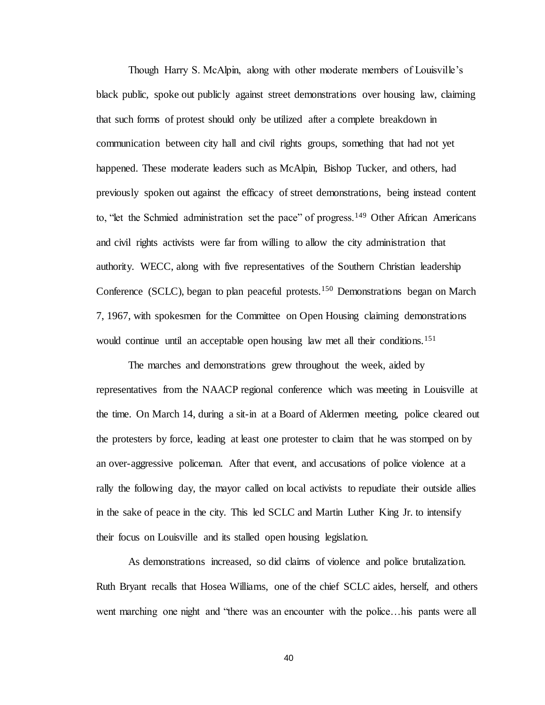Though Harry S. McAlpin, along with other moderate members of Louisville's black public, spoke out publicly against street demonstrations over housing law, claiming that such forms of protest should only be utilized after a complete breakdown in communication between city hall and civil rights groups, something that had not yet happened. These moderate leaders such as McAlpin, Bishop Tucker, and others, had previously spoken out against the efficacy of street demonstrations, being instead content to, "let the Schmied administration set the pace" of progress.<sup>149</sup> Other African Americans and civil rights activists were far from willing to allow the city administration that authority. WECC, along with five representatives of the Southern Christian leadership Conference (SCLC), began to plan peaceful protests.<sup>150</sup> Demonstrations began on March 7, 1967, with spokesmen for the Committee on Open Housing claiming demonstrations would continue until an acceptable open housing law met all their conditions.<sup>151</sup>

The marches and demonstrations grew throughout the week, aided by representatives from the NAACP regional conference which was meeting in Louisville at the time. On March 14, during a sit-in at a Board of Aldermen meeting, police cleared out the protesters by force, leading at least one protester to claim that he was stomped on by an over-aggressive policeman. After that event, and accusations of police violence at a rally the following day, the mayor called on local activists to repudiate their outside allies in the sake of peace in the city. This led SCLC and Martin Luther King Jr. to intensify their focus on Louisville and its stalled open housing legislation.

As demonstrations increased, so did claims of violence and police brutalization. Ruth Bryant recalls that Hosea Williams, one of the chief SCLC aides, herself, and others went marching one night and "there was an encounter with the police…his pants were all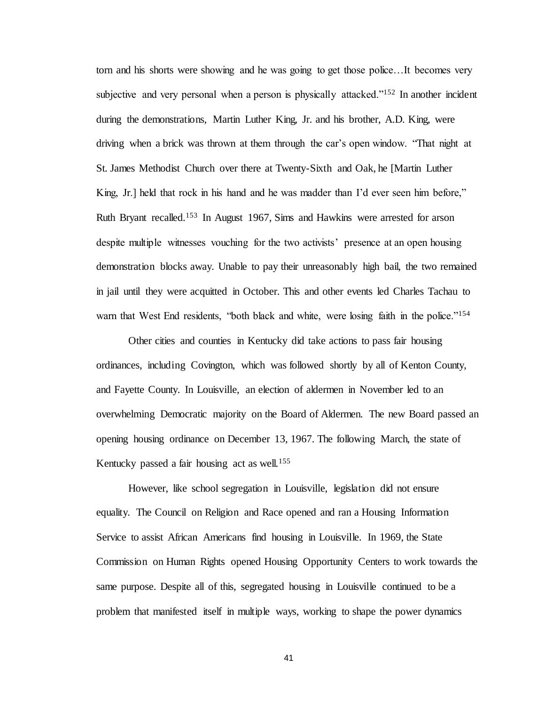torn and his shorts were showing and he was going to get those police…It becomes very subjective and very personal when a person is physically attacked."<sup>152</sup> In another incident during the demonstrations, Martin Luther King, Jr. and his brother, A.D. King, were driving when a brick was thrown at them through the car's open window. "That night at St. James Methodist Church over there at Twenty-Sixth and Oak, he [Martin Luther King, Jr.] held that rock in his hand and he was madder than I'd ever seen him before," Ruth Bryant recalled.<sup>153</sup> In August 1967, Sims and Hawkins were arrested for arson despite multiple witnesses vouching for the two activists' presence at an open housing demonstration blocks away. Unable to pay their unreasonably high bail, the two remained in jail until they were acquitted in October. This and other events led Charles Tachau to warn that West End residents, "both black and white, were losing faith in the police."<sup>154</sup>

Other cities and counties in Kentucky did take actions to pass fair housing ordinances, including Covington, which was followed shortly by all of Kenton County, and Fayette County. In Louisville, an election of aldermen in November led to an overwhelming Democratic majority on the Board of Aldermen. The new Board passed an opening housing ordinance on December 13, 1967. The following March, the state of Kentucky passed a fair housing act as well.<sup>155</sup>

However, like school segregation in Louisville, legislation did not ensure equality. The Council on Religion and Race opened and ran a Housing Information Service to assist African Americans find housing in Louisville. In 1969, the State Commission on Human Rights opened Housing Opportunity Centers to work towards the same purpose. Despite all of this, segregated housing in Louisville continued to be a problem that manifested itself in multiple ways, working to shape the power dynamics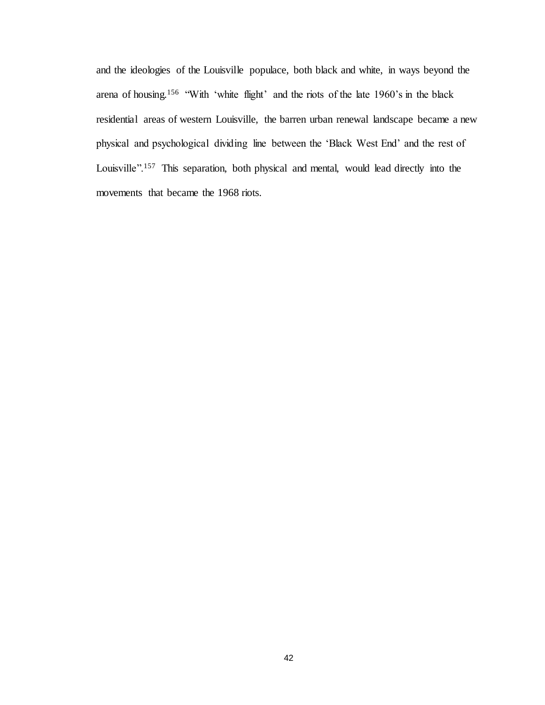and the ideologies of the Louisville populace, both black and white, in ways beyond the arena of housing.<sup>156</sup> "With 'white flight' and the riots of the late 1960's in the black residential areas of western Louisville, the barren urban renewal landscape became a new physical and psychological dividing line between the 'Black West End' and the rest of Louisville".<sup>157</sup> This separation, both physical and mental, would lead directly into the movements that became the 1968 riots.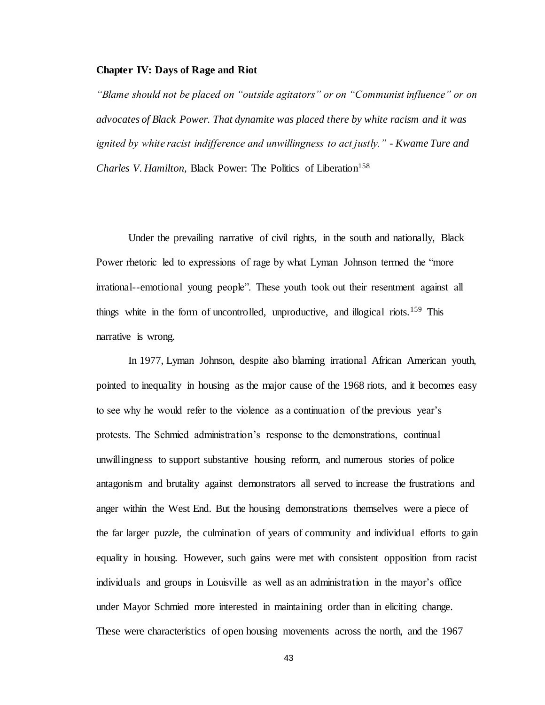## **Chapter IV: Days of Rage and Riot**

*"Blame should not be placed on "outside agitators" or on "Communist influence" or on advocates of Black Power. That dynamite was placed there by white racism and it was ignited by white racist indifference and unwillingness to act justly." - Kwame Ture and Charles V. Hamilton, Black Power: The Politics of Liberation*<sup>158</sup>

Under the prevailing narrative of civil rights, in the south and nationally, Black Power rhetoric led to expressions of rage by what Lyman Johnson termed the "more irrational--emotional young people". These youth took out their resentment against all things white in the form of uncontrolled, unproductive, and illogical riots.<sup>159</sup> This narrative is wrong.

In 1977, Lyman Johnson, despite also blaming irrational African American youth, pointed to inequality in housing as the major cause of the 1968 riots, and it becomes easy to see why he would refer to the violence as a continuation of the previous year's protests. The Schmied administration's response to the demonstrations, continual unwillingness to support substantive housing reform, and numerous stories of police antagonism and brutality against demonstrators all served to increase the frustrations and anger within the West End. But the housing demonstrations themselves were a piece of the far larger puzzle, the culmination of years of community and individual efforts to gain equality in housing. However, such gains were met with consistent opposition from racist individuals and groups in Louisville as well as an administration in the mayor's office under Mayor Schmied more interested in maintaining order than in eliciting change. These were characteristics of open housing movements across the north, and the 1967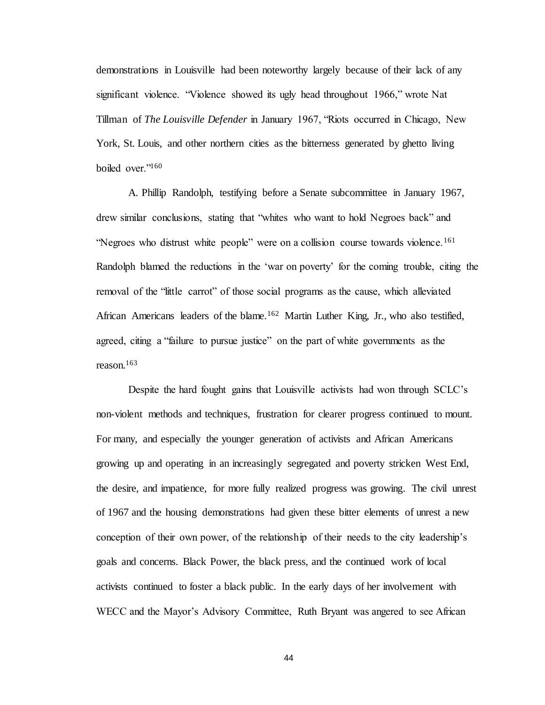demonstrations in Louisville had been noteworthy largely because of their lack of any significant violence. "Violence showed its ugly head throughout 1966," wrote Nat Tillman of *The Louisville Defender* in January 1967, "Riots occurred in Chicago, New York, St. Louis, and other northern cities as the bitterness generated by ghetto living boiled over."<sup>160</sup>

A. Phillip Randolph, testifying before a Senate subcommittee in January 1967, drew similar conclusions, stating that "whites who want to hold Negroes back" and "Negroes who distrust white people" were on a collision course towards violence.<sup>161</sup> Randolph blamed the reductions in the 'war on poverty' for the coming trouble, citing the removal of the "little carrot" of those social programs as the cause, which alleviated African Americans leaders of the blame.<sup>162</sup> Martin Luther King, Jr., who also testified, agreed, citing a "failure to pursue justice" on the part of white governments as the reason.<sup>163</sup>

Despite the hard fought gains that Louisville activists had won through SCLC's non-violent methods and techniques, frustration for clearer progress continued to mount. For many, and especially the younger generation of activists and African Americans growing up and operating in an increasingly segregated and poverty stricken West End, the desire, and impatience, for more fully realized progress was growing. The civil unrest of 1967 and the housing demonstrations had given these bitter elements of unrest a new conception of their own power, of the relationship of their needs to the city leadership's goals and concerns. Black Power, the black press, and the continued work of local activists continued to foster a black public. In the early days of her involvement with WECC and the Mayor's Advisory Committee, Ruth Bryant was angered to see African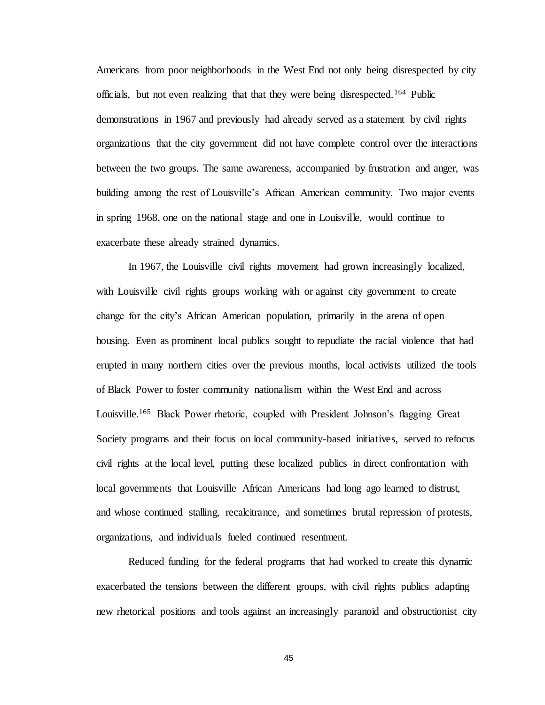Americans from poor neighborhoods in the West End not only being disrespected by city officials, but not even realizing that that they were being disrespected.<sup>164</sup> Public demonstrations in 1967 and previously had already served as a statement by civil rights organizations that the city government did not have complete control over the interactions between the two groups. The same awareness, accompanied by frustration and anger, was building among the rest of Louisville's African American community. Two major events in spring 1968, one on the national stage and one in Louisville, would continue to exacerbate these already strained dynamics.

In 1967, the Louisville civil rights movement had grown increasingly localized, with Louisville civil rights groups working with or against city government to create change for the city's African American population, primarily in the arena of open housing. Even as prominent local publics sought to repudiate the racial violence that had erupted in many northern cities over the previous months, local activists utilized the tools of Black Power to foster community nationalism within the West End and across Louisville.<sup>165</sup> Black Power rhetoric, coupled with President Johnson's flagging Great Society programs and their focus on local community-based initiatives, served to refocus civil rights at the local level, putting these localized publics in direct confrontation with local governments that Louisville African Americans had long ago learned to distrust, and whose continued stalling, recalcitrance, and sometimes brutal repression of protests, organizations, and individuals fueled continued resentment.

Reduced funding for the federal programs that had worked to create this dynamic exacerbated the tensions between the different groups, with civil rights publics adapting new rhetorical positions and tools against an increasingly paranoid and obstructionist city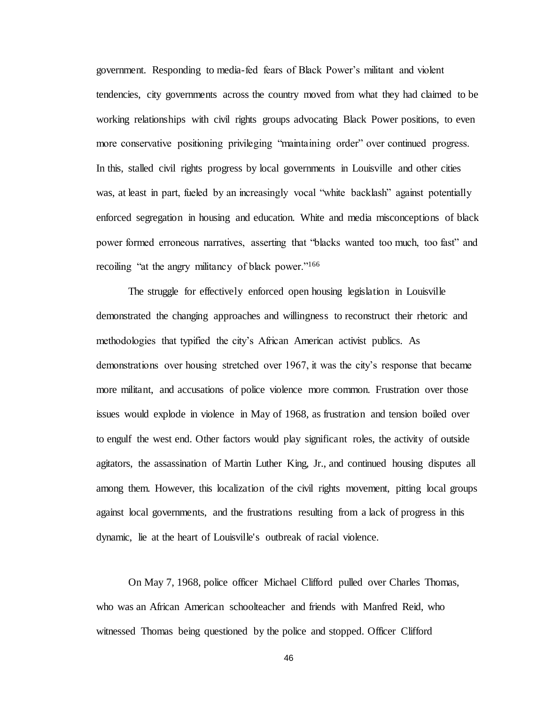government. Responding to media-fed fears of Black Power's militant and violent tendencies, city governments across the country moved from what they had claimed to be working relationships with civil rights groups advocating Black Power positions, to even more conservative positioning privileging "maintaining order" over continued progress. In this, stalled civil rights progress by local governments in Louisville and other cities was, at least in part, fueled by an increasingly vocal "white backlash" against potentially enforced segregation in housing and education. White and media misconceptions of black power formed erroneous narratives, asserting that "blacks wanted too much, too fast" and recoiling "at the angry militancy of black power."<sup>166</sup>

The struggle for effectively enforced open housing legislation in Louisville demonstrated the changing approaches and willingness to reconstruct their rhetoric and methodologies that typified the city's African American activist publics. As demonstrations over housing stretched over 1967, it was the city's response that became more militant, and accusations of police violence more common. Frustration over those issues would explode in violence in May of 1968, as frustration and tension boiled over to engulf the west end. Other factors would play significant roles, the activity of outside agitators, the assassination of Martin Luther King, Jr., and continued housing disputes all among them. However, this localization of the civil rights movement, pitting local groups against local governments, and the frustrations resulting from a lack of progress in this dynamic, lie at the heart of Louisville's outbreak of racial violence.

On May 7, 1968, police officer Michael Clifford pulled over Charles Thomas, who was an African American schoolteacher and friends with Manfred Reid, who witnessed Thomas being questioned by the police and stopped. Officer Clifford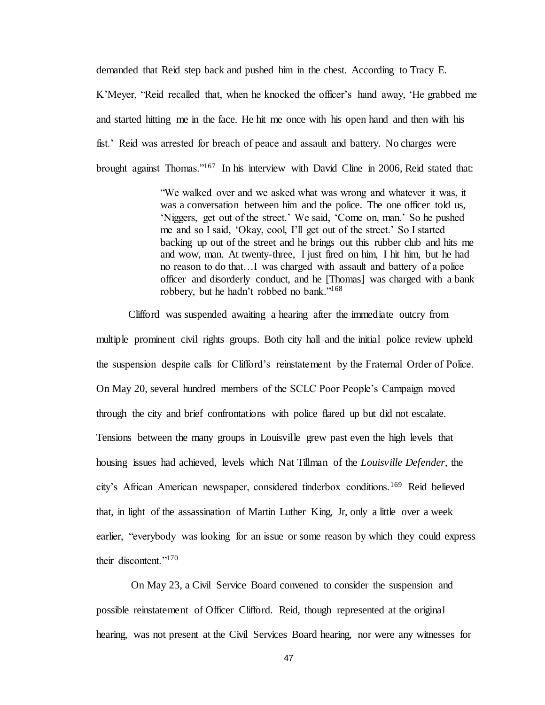demanded that Reid step back and pushed him in the chest. According to Tracy E. K'Meyer, "Reid recalled that, when he knocked the officer's hand away, 'He grabbed me and started hitting me in the face. He hit me once with his open hand and then with his fist.' Reid was arrested for breach of peace and assault and battery. No charges were brought against Thomas."<sup>167</sup> In his interview with David Cline in 2006, Reid stated that:

> "We walked over and we asked what was wrong and whatever it was, it was a conversation between him and the police. The one officer told us, 'Niggers, get out of the street.' We said, 'Come on, man.' So he pushed me and so I said, 'Okay, cool, I'll get out of the street.' So I started backing up out of the street and he brings out this rubber club and hits me and wow, man. At twenty-three, I just fired on him, I hit him, but he had no reason to do that…I was charged with assault and battery of a police officer and disorderly conduct, and he [Thomas] was charged with a bank robbery, but he hadn't robbed no bank."<sup>168</sup>

Clifford was suspended awaiting a hearing after the immediate outcry from multiple prominent civil rights groups. Both city hall and the initial police review upheld the suspension despite calls for Clifford's reinstatement by the Fraternal Order of Police. On May 20, several hundred members of the SCLC Poor People's Campaign moved through the city and brief confrontations with police flared up but did not escalate. Tensions between the many groups in Louisville grew past even the high levels that housing issues had achieved, levels which Nat Tillman of the *Louisville Defender,* the city's African American newspaper, considered tinderbox conditions.<sup>169</sup> Reid believed that, in light of the assassination of Martin Luther King, Jr, only a little over a week earlier, "everybody was looking for an issue or some reason by which they could express their discontent."<sup>170</sup>

On May 23, a Civil Service Board convened to consider the suspension and possible reinstatement of Officer Clifford. Reid, though represented at the original hearing, was not present at the Civil Services Board hearing, nor were any witnesses for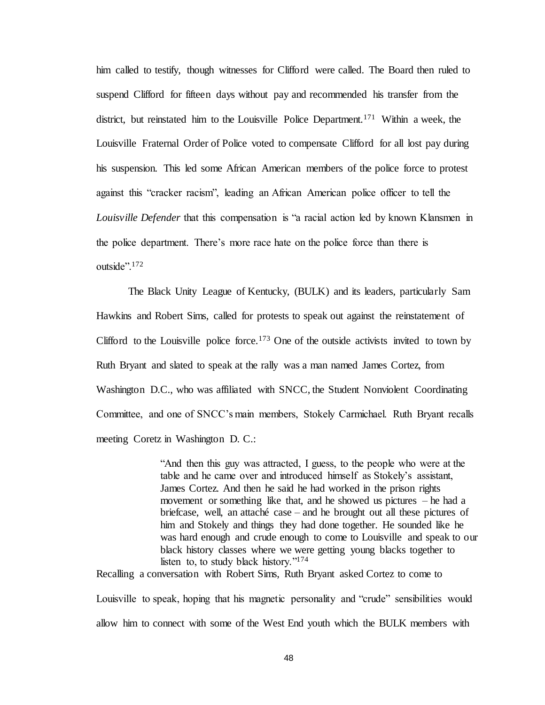him called to testify, though witnesses for Clifford were called. The Board then ruled to suspend Clifford for fifteen days without pay and recommended his transfer from the district, but reinstated him to the Louisville Police Department.<sup>171</sup> Within a week, the Louisville Fraternal Order of Police voted to compensate Clifford for all lost pay during his suspension. This led some African American members of the police force to protest against this "cracker racism", leading an African American police officer to tell the *Louisville Defender* that this compensation is "a racial action led by known Klansmen in the police department. There's more race hate on the police force than there is outside".<sup>172</sup>

The Black Unity League of Kentucky, (BULK) and its leaders, particularly Sam Hawkins and Robert Sims, called for protests to speak out against the reinstatement of Clifford to the Louisville police force.<sup>173</sup> One of the outside activists invited to town by Ruth Bryant and slated to speak at the rally was a man named James Cortez, from Washington D.C., who was affiliated with SNCC, the Student Nonviolent Coordinating Committee, and one of SNCC's main members, Stokely Carmichael. Ruth Bryant recalls meeting Coretz in Washington D. C.:

> "And then this guy was attracted, I guess, to the people who were at the table and he came over and introduced himself as Stokely's assistant, James Cortez. And then he said he had worked in the prison rights movement or something like that, and he showed us pictures – he had a briefcase, well, an attaché case – and he brought out all these pictures of him and Stokely and things they had done together. He sounded like he was hard enough and crude enough to come to Louisville and speak to our black history classes where we were getting young blacks together to listen to, to study black history."<sup>174</sup>

Recalling a conversation with Robert Sims, Ruth Bryant asked Cortez to come to Louisville to speak, hoping that his magnetic personality and "crude" sensibilities would allow him to connect with some of the West End youth which the BULK members with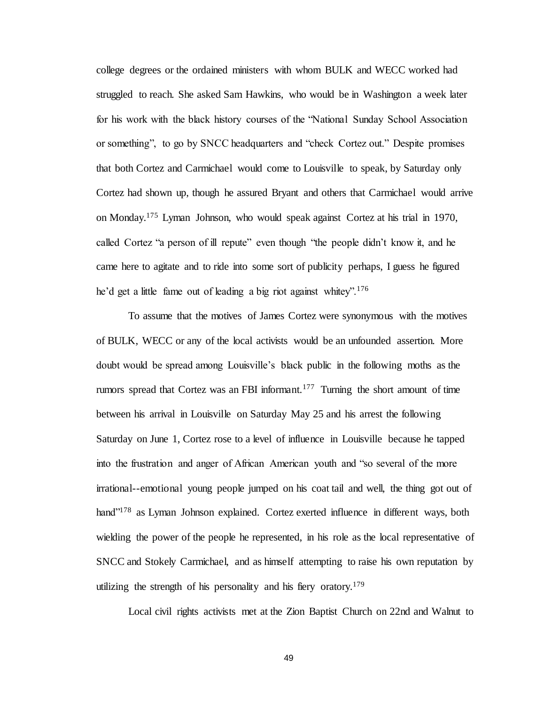college degrees or the ordained ministers with whom BULK and WECC worked had struggled to reach. She asked Sam Hawkins, who would be in Washington a week later for his work with the black history courses of the "National Sunday School Association or something", to go by SNCC headquarters and "check Cortez out." Despite promises that both Cortez and Carmichael would come to Louisville to speak, by Saturday only Cortez had shown up, though he assured Bryant and others that Carmichael would arrive on Monday.<sup>175</sup> Lyman Johnson, who would speak against Cortez at his trial in 1970, called Cortez "a person of ill repute" even though "the people didn't know it, and he came here to agitate and to ride into some sort of publicity perhaps, I guess he figured he'd get a little fame out of leading a big riot against whitey".<sup>176</sup>

To assume that the motives of James Cortez were synonymous with the motives of BULK, WECC or any of the local activists would be an unfounded assertion. More doubt would be spread among Louisville's black public in the following moths as the rumors spread that Cortez was an FBI informant.<sup>177</sup> Turning the short amount of time between his arrival in Louisville on Saturday May 25 and his arrest the following Saturday on June 1, Cortez rose to a level of influence in Louisville because he tapped into the frustration and anger of African American youth and "so several of the more irrational--emotional young people jumped on his coat tail and well, the thing got out of hand"<sup>178</sup> as Lyman Johnson explained. Cortez exerted influence in different ways, both wielding the power of the people he represented, in his role as the local representative of SNCC and Stokely Carmichael, and as himself attempting to raise his own reputation by utilizing the strength of his personality and his fiery oratory.<sup>179</sup>

Local civil rights activists met at the Zion Baptist Church on 22nd and Walnut to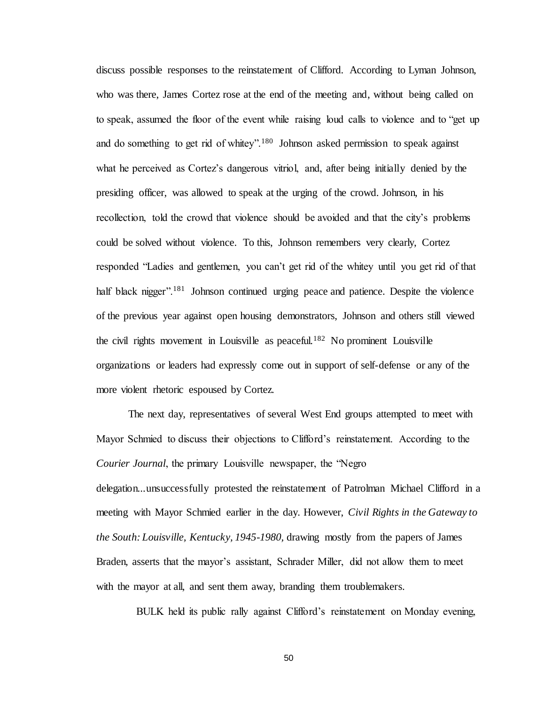discuss possible responses to the reinstatement of Clifford. According to Lyman Johnson, who was there, James Cortez rose at the end of the meeting and, without being called on to speak, assumed the floor of the event while raising loud calls to violence and to "get up and do something to get rid of whitey".<sup>180</sup> Johnson asked permission to speak against what he perceived as Cortez's dangerous vitriol, and, after being initially denied by the presiding officer, was allowed to speak at the urging of the crowd. Johnson, in his recollection, told the crowd that violence should be avoided and that the city's problems could be solved without violence. To this, Johnson remembers very clearly, Cortez responded "Ladies and gentlemen, you can't get rid of the whitey until you get rid of that half black nigger".<sup>181</sup> Johnson continued urging peace and patience. Despite the violence of the previous year against open housing demonstrators, Johnson and others still viewed the civil rights movement in Louisville as peaceful.<sup>182</sup> No prominent Louisville organizations or leaders had expressly come out in support of self-defense or any of the more violent rhetoric espoused by Cortez.

The next day, representatives of several West End groups attempted to meet with Mayor Schmied to discuss their objections to Clifford's reinstatement. According to the *Courier Journal*, the primary Louisville newspaper, the "Negro delegation...unsuccessfully protested the reinstatement of Patrolman Michael Clifford in a meeting with Mayor Schmied earlier in the day. However, *Civil Rights in the Gateway to the South: Louisville, Kentucky, 1945-1980,* drawing mostly from the papers of James Braden, asserts that the mayor's assistant, Schrader Miller, did not allow them to meet with the mayor at all, and sent them away, branding them troublemakers.

BULK held its public rally against Clifford's reinstatement on Monday evening,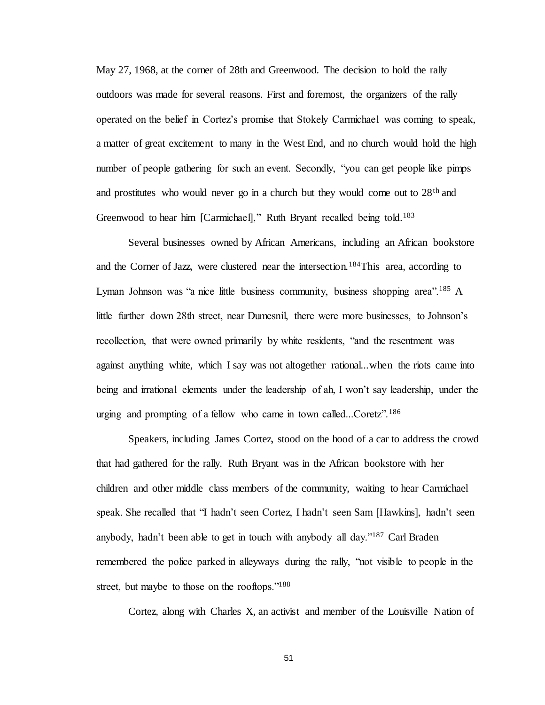May 27, 1968, at the corner of 28th and Greenwood. The decision to hold the rally outdoors was made for several reasons. First and foremost, the organizers of the rally operated on the belief in Cortez's promise that Stokely Carmichael was coming to speak, a matter of great excitement to many in the West End, and no church would hold the high number of people gathering for such an event. Secondly, "you can get people like pimps and prostitutes who would never go in a church but they would come out to  $28<sup>th</sup>$  and Greenwood to hear him [Carmichael]," Ruth Bryant recalled being told.<sup>183</sup>

Several businesses owned by African Americans, including an African bookstore and the Corner of Jazz, were clustered near the intersection.<sup>184</sup>This area, according to Lyman Johnson was "a nice little business community, business shopping area".<sup>185</sup> A little further down 28th street, near Dumesnil, there were more businesses, to Johnson's recollection, that were owned primarily by white residents, "and the resentment was against anything white, which I say was not altogether rational...when the riots came into being and irrational elements under the leadership of ah, I won't say leadership, under the urging and prompting of a fellow who came in town called...Coretz".<sup>186</sup>

Speakers, including James Cortez, stood on the hood of a car to address the crowd that had gathered for the rally. Ruth Bryant was in the African bookstore with her children and other middle class members of the community, waiting to hear Carmichael speak. She recalled that "I hadn't seen Cortez, I hadn't seen Sam [Hawkins], hadn't seen anybody, hadn't been able to get in touch with anybody all day."<sup>187</sup> Carl Braden remembered the police parked in alleyways during the rally, "not visible to people in the street, but maybe to those on the rooftops."<sup>188</sup>

Cortez, along with Charles X, an activist and member of the Louisville Nation of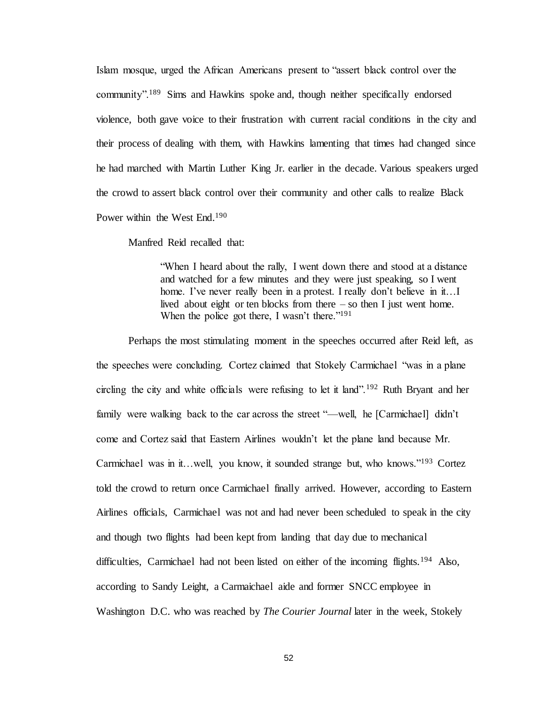Islam mosque, urged the African Americans present to "assert black control over the community".<sup>189</sup> Sims and Hawkins spoke and, though neither specifically endorsed violence, both gave voice to their frustration with current racial conditions in the city and their process of dealing with them, with Hawkins lamenting that times had changed since he had marched with Martin Luther King Jr. earlier in the decade. Various speakers urged the crowd to assert black control over their community and other calls to realize Black Power within the West End.<sup>190</sup>

Manfred Reid recalled that:

"When I heard about the rally, I went down there and stood at a distance and watched for a few minutes and they were just speaking, so I went home. I've never really been in a protest. I really don't believe in it...I lived about eight or ten blocks from there – so then I just went home. When the police got there, I wasn't there."<sup>191</sup>

Perhaps the most stimulating moment in the speeches occurred after Reid left, as the speeches were concluding. Cortez claimed that Stokely Carmichael "was in a plane circling the city and white officials were refusing to let it land".<sup>192</sup> Ruth Bryant and her family were walking back to the car across the street "—well, he [Carmichael] didn't come and Cortez said that Eastern Airlines wouldn't let the plane land because Mr. Carmichael was in it...well, you know, it sounded strange but, who knows."<sup>193</sup> Cortez told the crowd to return once Carmichael finally arrived. However, according to Eastern Airlines officials, Carmichael was not and had never been scheduled to speak in the city and though two flights had been kept from landing that day due to mechanical difficulties, Carmichael had not been listed on either of the incoming flights.<sup>194</sup> Also, according to Sandy Leight, a Carmaichael aide and former SNCC employee in Washington D.C. who was reached by *The Courier Journal* later in the week, Stokely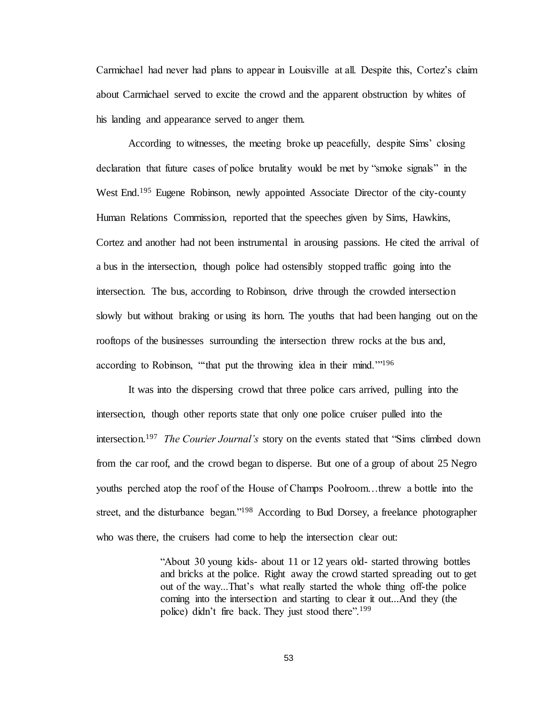Carmichael had never had plans to appear in Louisville at all. Despite this, Cortez's claim about Carmichael served to excite the crowd and the apparent obstruction by whites of his landing and appearance served to anger them.

According to witnesses, the meeting broke up peacefully, despite Sims' closing declaration that future cases of police brutality would be met by "smoke signals" in the West End.<sup>195</sup> Eugene Robinson, newly appointed Associate Director of the city-county Human Relations Commission, reported that the speeches given by Sims, Hawkins, Cortez and another had not been instrumental in arousing passions. He cited the arrival of a bus in the intersection, though police had ostensibly stopped traffic going into the intersection. The bus, according to Robinson, drive through the crowded intersection slowly but without braking or using its horn. The youths that had been hanging out on the rooftops of the businesses surrounding the intersection threw rocks at the bus and, according to Robinson, "that put the throwing idea in their mind."<sup>196</sup>

It was into the dispersing crowd that three police cars arrived, pulling into the intersection, though other reports state that only one police cruiser pulled into the intersection.<sup>197</sup> *The Courier Journal's* story on the events stated that "Sims climbed down from the car roof, and the crowd began to disperse. But one of a group of about 25 Negro youths perched atop the roof of the House of Champs Poolroom…threw a bottle into the street, and the disturbance began."<sup>198</sup> According to Bud Dorsey, a freelance photographer who was there, the cruisers had come to help the intersection clear out:

> "About 30 young kids- about 11 or 12 years old- started throwing bottles and bricks at the police. Right away the crowd started spreading out to get out of the way...That's what really started the whole thing off-the police coming into the intersection and starting to clear it out...And they (the police) didn't fire back. They just stood there".<sup>199</sup>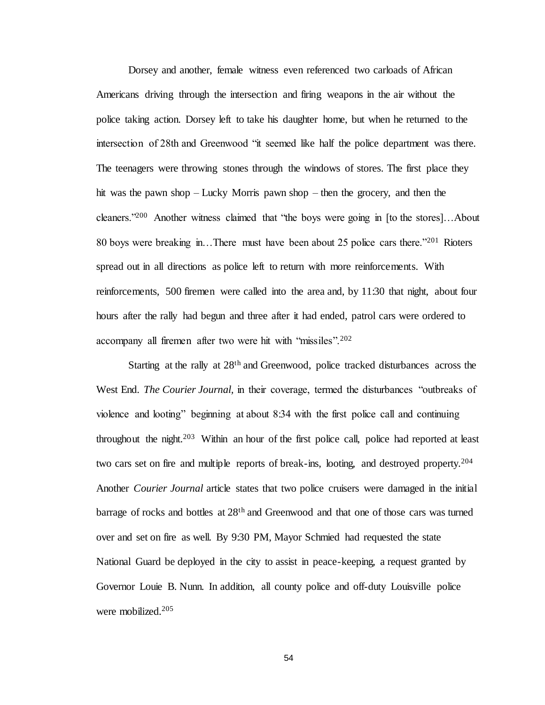Dorsey and another, female witness even referenced two carloads of African Americans driving through the intersection and firing weapons in the air without the police taking action. Dorsey left to take his daughter home, but when he returned to the intersection of 28th and Greenwood "it seemed like half the police department was there. The teenagers were throwing stones through the windows of stores. The first place they hit was the pawn shop – Lucky Morris pawn shop – then the grocery, and then the cleaners."<sup>200</sup> Another witness claimed that "the boys were going in [to the stores]…About 80 boys were breaking in...There must have been about 25 police cars there.<sup>2201</sup> Rioters spread out in all directions as police left to return with more reinforcements. With reinforcements, 500 firemen were called into the area and, by 11:30 that night, about four hours after the rally had begun and three after it had ended, patrol cars were ordered to accompany all firemen after two were hit with "missiles".<sup>202</sup>

Starting at the rally at 28th and Greenwood, police tracked disturbances across the West End. *The Courier Journal,* in their coverage, termed the disturbances "outbreaks of violence and looting" beginning at about 8:34 with the first police call and continuing throughout the night.<sup>203</sup> Within an hour of the first police call, police had reported at least two cars set on fire and multiple reports of break-ins, looting, and destroyed property.<sup>204</sup> Another *Courier Journal* article states that two police cruisers were damaged in the initial barrage of rocks and bottles at 28<sup>th</sup> and Greenwood and that one of those cars was turned over and set on fire as well. By 9:30 PM, Mayor Schmied had requested the state National Guard be deployed in the city to assist in peace-keeping, a request granted by Governor Louie B. Nunn. In addition, all county police and off-duty Louisville police were mobilized.205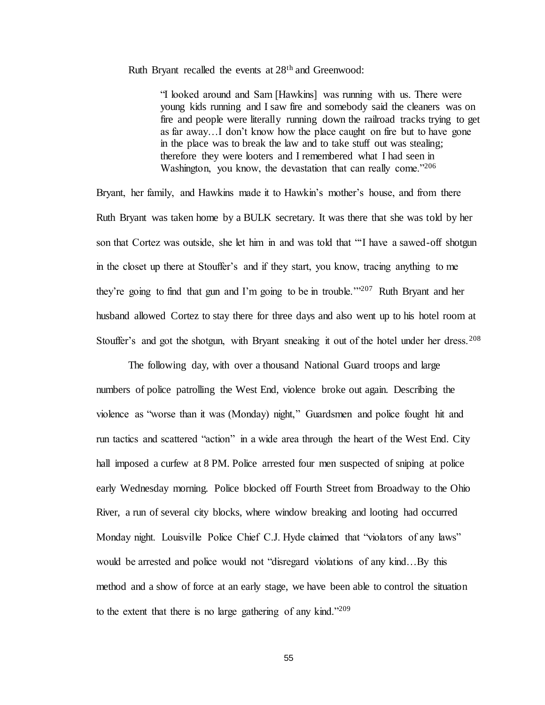Ruth Bryant recalled the events at 28th and Greenwood:

"I looked around and Sam [Hawkins] was running with us. There were young kids running and I saw fire and somebody said the cleaners was on fire and people were literally running down the railroad tracks trying to get as far away…I don't know how the place caught on fire but to have gone in the place was to break the law and to take stuff out was stealing; therefore they were looters and I remembered what I had seen in Washington, you know, the devastation that can really come."206

Bryant, her family, and Hawkins made it to Hawkin's mother's house, and from there Ruth Bryant was taken home by a BULK secretary. It was there that she was told by her son that Cortez was outside, she let him in and was told that "'I have a sawed-off shotgun in the closet up there at Stouffer's and if they start, you know, tracing anything to me they're going to find that gun and I'm going to be in trouble.'"<sup>207</sup> Ruth Bryant and her husband allowed Cortez to stay there for three days and also went up to his hotel room at Stouffer's and got the shotgun, with Bryant sneaking it out of the hotel under her dress.<sup>208</sup>

The following day, with over a thousand National Guard troops and large numbers of police patrolling the West End, violence broke out again. Describing the violence as "worse than it was (Monday) night," Guardsmen and police fought hit and run tactics and scattered "action" in a wide area through the heart of the West End. City hall imposed a curfew at 8 PM. Police arrested four men suspected of sniping at police early Wednesday morning. Police blocked off Fourth Street from Broadway to the Ohio River, a run of several city blocks, where window breaking and looting had occurred Monday night. Louisville Police Chief C.J. Hyde claimed that "violators of any laws" would be arrested and police would not "disregard violations of any kind…By this method and a show of force at an early stage, we have been able to control the situation to the extent that there is no large gathering of any kind."209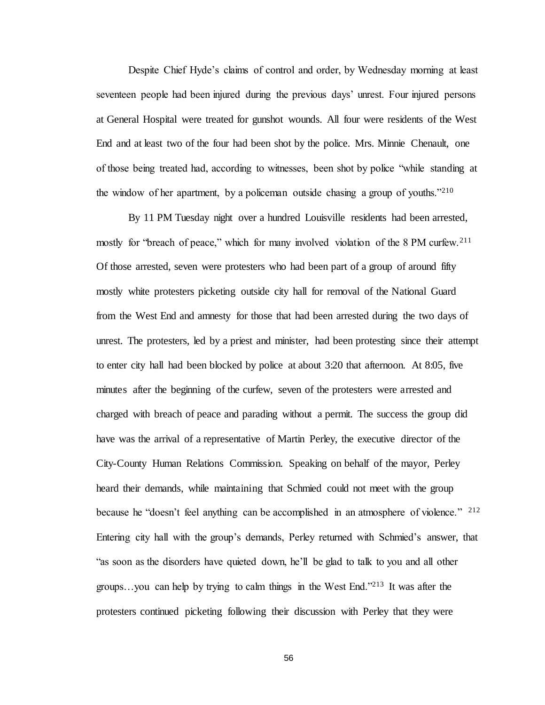Despite Chief Hyde's claims of control and order, by Wednesday morning at least seventeen people had been injured during the previous days' unrest. Four injured persons at General Hospital were treated for gunshot wounds. All four were residents of the West End and at least two of the four had been shot by the police. Mrs. Minnie Chenault, one of those being treated had, according to witnesses, been shot by police "while standing at the window of her apartment, by a policeman outside chasing a group of youths."<sup>210</sup>

By 11 PM Tuesday night over a hundred Louisville residents had been arrested, mostly for "breach of peace," which for many involved violation of the 8 PM curfew.<sup>211</sup> Of those arrested, seven were protesters who had been part of a group of around fifty mostly white protesters picketing outside city hall for removal of the National Guard from the West End and amnesty for those that had been arrested during the two days of unrest. The protesters, led by a priest and minister, had been protesting since their attempt to enter city hall had been blocked by police at about 3:20 that afternoon. At 8:05, five minutes after the beginning of the curfew, seven of the protesters were arrested and charged with breach of peace and parading without a permit. The success the group did have was the arrival of a representative of Martin Perley, the executive director of the City-County Human Relations Commission. Speaking on behalf of the mayor, Perley heard their demands, while maintaining that Schmied could not meet with the group because he "doesn't feel anything can be accomplished in an atmosphere of violence." <sup>212</sup> Entering city hall with the group's demands, Perley returned with Schmied's answer, that "as soon as the disorders have quieted down, he'll be glad to talk to you and all other groups…you can help by trying to calm things in the West End."<sup>213</sup> It was after the protesters continued picketing following their discussion with Perley that they were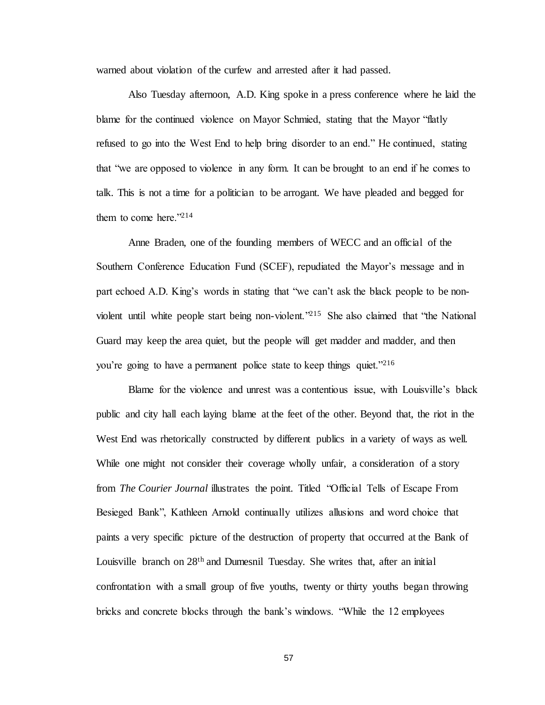warned about violation of the curfew and arrested after it had passed.

Also Tuesday afternoon, A.D. King spoke in a press conference where he laid the blame for the continued violence on Mayor Schmied, stating that the Mayor "flatly refused to go into the West End to help bring disorder to an end." He continued, stating that "we are opposed to violence in any form. It can be brought to an end if he comes to talk. This is not a time for a politician to be arrogant. We have pleaded and begged for them to come here." $2^{14}$ 

Anne Braden, one of the founding members of WECC and an official of the Southern Conference Education Fund (SCEF), repudiated the Mayor's message and in part echoed A.D. King's words in stating that "we can't ask the black people to be nonviolent until white people start being non-violent."<sup>215</sup> She also claimed that "the National Guard may keep the area quiet, but the people will get madder and madder, and then you're going to have a permanent police state to keep things quiet."<sup>216</sup>

Blame for the violence and unrest was a contentious issue, with Louisville's black public and city hall each laying blame at the feet of the other. Beyond that, the riot in the West End was rhetorically constructed by different publics in a variety of ways as well. While one might not consider their coverage wholly unfair, a consideration of a story from *The Courier Journal* illustrates the point. Titled "Official Tells of Escape From Besieged Bank", Kathleen Arnold continually utilizes allusions and word choice that paints a very specific picture of the destruction of property that occurred at the Bank of Louisville branch on 28<sup>th</sup> and Dumesnil Tuesday. She writes that, after an initial confrontation with a small group of five youths, twenty or thirty youths began throwing bricks and concrete blocks through the bank's windows. "While the 12 employees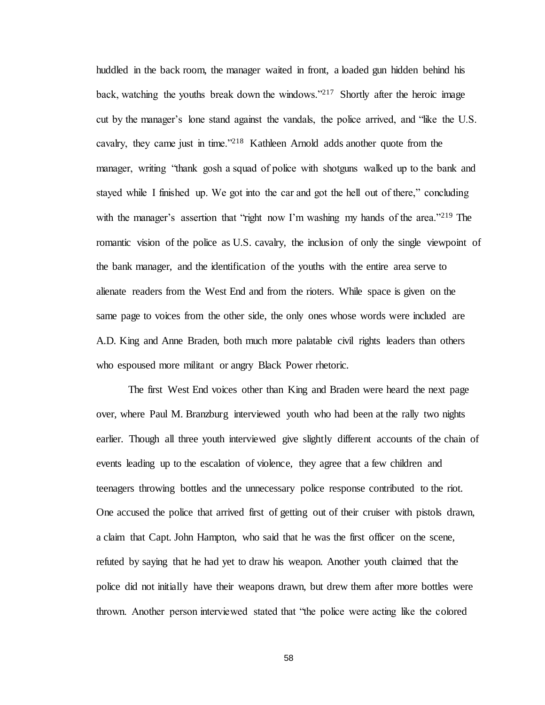huddled in the back room, the manager waited in front, a loaded gun hidden behind his back, watching the youths break down the windows."<sup>217</sup> Shortly after the heroic image cut by the manager's lone stand against the vandals, the police arrived, and "like the U.S. cavalry, they came just in time."<sup>218</sup> Kathleen Arnold adds another quote from the manager, writing "thank gosh a squad of police with shotguns walked up to the bank and stayed while I finished up. We got into the car and got the hell out of there," concluding with the manager's assertion that "right now I'm washing my hands of the area."<sup>219</sup> The romantic vision of the police as U.S. cavalry, the inclusion of only the single viewpoint of the bank manager, and the identification of the youths with the entire area serve to alienate readers from the West End and from the rioters. While space is given on the same page to voices from the other side, the only ones whose words were included are A.D. King and Anne Braden, both much more palatable civil rights leaders than others who espoused more militant or angry Black Power rhetoric.

The first West End voices other than King and Braden were heard the next page over, where Paul M. Branzburg interviewed youth who had been at the rally two nights earlier. Though all three youth interviewed give slightly different accounts of the chain of events leading up to the escalation of violence, they agree that a few children and teenagers throwing bottles and the unnecessary police response contributed to the riot. One accused the police that arrived first of getting out of their cruiser with pistols drawn, a claim that Capt. John Hampton, who said that he was the first officer on the scene, refuted by saying that he had yet to draw his weapon. Another youth claimed that the police did not initially have their weapons drawn, but drew them after more bottles were thrown. Another person interviewed stated that "the police were acting like the colored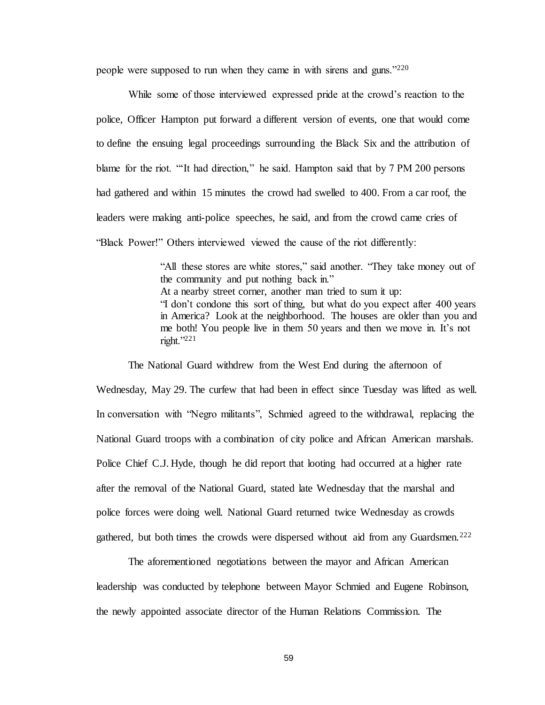people were supposed to run when they came in with sirens and guns."<sup>220</sup>

While some of those interviewed expressed pride at the crowd's reaction to the police, Officer Hampton put forward a different version of events, one that would come to define the ensuing legal proceedings surrounding the Black Six and the attribution of blame for the riot. "'It had direction," he said. Hampton said that by 7 PM 200 persons had gathered and within 15 minutes the crowd had swelled to 400. From a car roof, the leaders were making anti-police speeches, he said, and from the crowd came cries of "Black Power!" Others interviewed viewed the cause of the riot differently:

> "All these stores are white stores," said another. "They take money out of the community and put nothing back in." At a nearby street corner, another man tried to sum it up: "I don't condone this sort of thing, but what do you expect after 400 years in America? Look at the neighborhood. The houses are older than you and me both! You people live in them 50 years and then we move in. It's not right."<sup>221</sup>

The National Guard withdrew from the West End during the afternoon of Wednesday, May 29. The curfew that had been in effect since Tuesday was lifted as well. In conversation with "Negro militants", Schmied agreed to the withdrawal, replacing the National Guard troops with a combination of city police and African American marshals. Police Chief C.J. Hyde, though he did report that looting had occurred at a higher rate after the removal of the National Guard, stated late Wednesday that the marshal and police forces were doing well. National Guard returned twice Wednesday as crowds gathered, but both times the crowds were dispersed without aid from any Guardsmen.<sup>222</sup>

The aforementioned negotiations between the mayor and African American leadership was conducted by telephone between Mayor Schmied and Eugene Robinson, the newly appointed associate director of the Human Relations Commission. The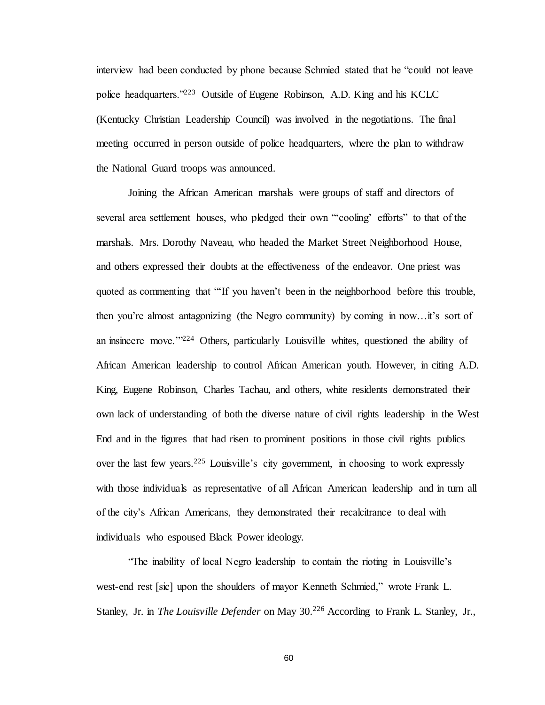interview had been conducted by phone because Schmied stated that he "could not leave police headquarters."<sup>223</sup> Outside of Eugene Robinson, A.D. King and his KCLC (Kentucky Christian Leadership Council) was involved in the negotiations. The final meeting occurred in person outside of police headquarters, where the plan to withdraw the National Guard troops was announced.

Joining the African American marshals were groups of staff and directors of several area settlement houses, who pledged their own "'cooling' efforts" to that of the marshals. Mrs. Dorothy Naveau, who headed the Market Street Neighborhood House, and others expressed their doubts at the effectiveness of the endeavor. One priest was quoted as commenting that "'If you haven't been in the neighborhood before this trouble, then you're almost antagonizing (the Negro community) by coming in now…it's sort of an insincere move.'"<sup>224</sup> Others, particularly Louisville whites, questioned the ability of African American leadership to control African American youth. However, in citing A.D. King, Eugene Robinson, Charles Tachau, and others, white residents demonstrated their own lack of understanding of both the diverse nature of civil rights leadership in the West End and in the figures that had risen to prominent positions in those civil rights publics over the last few years.<sup>225</sup> Louisville's city government, in choosing to work expressly with those individuals as representative of all African American leadership and in turn all of the city's African Americans, they demonstrated their recalcitrance to deal with individuals who espoused Black Power ideology.

"The inability of local Negro leadership to contain the rioting in Louisville's west-end rest [sic] upon the shoulders of mayor Kenneth Schmied," wrote Frank L. Stanley, Jr. in *The Louisville Defender* on May 30.<sup>226</sup> According to Frank L. Stanley, Jr.,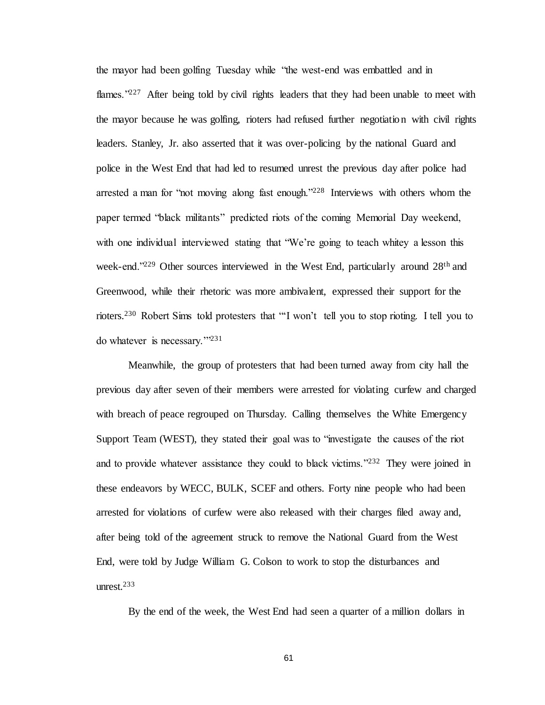the mayor had been golfing Tuesday while "the west-end was embattled and in flames."<sup>227</sup> After being told by civil rights leaders that they had been unable to meet with the mayor because he was golfing, rioters had refused further negotiation with civil rights leaders. Stanley, Jr. also asserted that it was over-policing by the national Guard and police in the West End that had led to resumed unrest the previous day after police had arrested a man for "not moving along fast enough."<sup>228</sup> Interviews with others whom the paper termed "black militants" predicted riots of the coming Memorial Day weekend, with one individual interviewed stating that "We're going to teach whitey a lesson this week-end."<sup>229</sup> Other sources interviewed in the West End, particularly around 28<sup>th</sup> and Greenwood, while their rhetoric was more ambivalent, expressed their support for the rioters.<sup>230</sup> Robert Sims told protesters that "'I won't tell you to stop rioting. I tell you to do whatever is necessary.'"<sup>231</sup>

Meanwhile, the group of protesters that had been turned away from city hall the previous day after seven of their members were arrested for violating curfew and charged with breach of peace regrouped on Thursday. Calling themselves the White Emergency Support Team (WEST), they stated their goal was to "investigate the causes of the riot and to provide whatever assistance they could to black victims."<sup>232</sup> They were joined in these endeavors by WECC, BULK, SCEF and others. Forty nine people who had been arrested for violations of curfew were also released with their charges filed away and, after being told of the agreement struck to remove the National Guard from the West End, were told by Judge William G. Colson to work to stop the disturbances and unrest.<sup>233</sup>

By the end of the week, the West End had seen a quarter of a million dollars in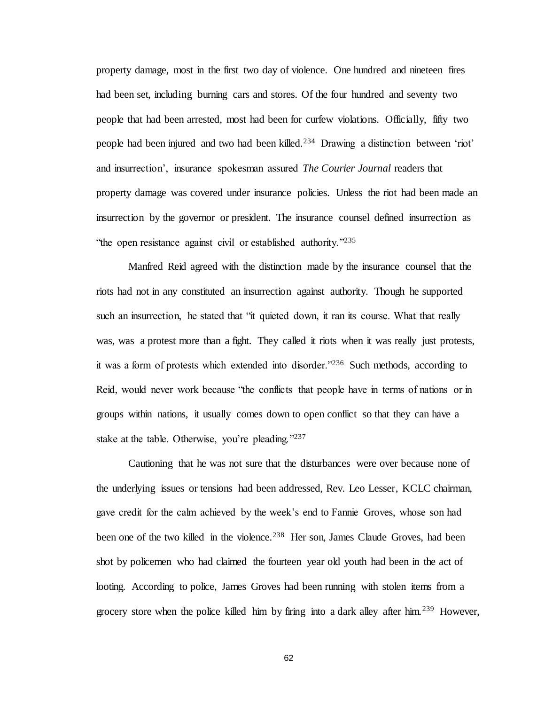property damage, most in the first two day of violence. One hundred and nineteen fires had been set, including burning cars and stores. Of the four hundred and seventy two people that had been arrested, most had been for curfew violations. Officially, fifty two people had been injured and two had been killed.<sup>234</sup> Drawing a distinction between 'riot' and insurrection', insurance spokesman assured *The Courier Journal* readers that property damage was covered under insurance policies. Unless the riot had been made an insurrection by the governor or president. The insurance counsel defined insurrection as "the open resistance against civil or established authority."<sup>235</sup>

Manfred Reid agreed with the distinction made by the insurance counsel that the riots had not in any constituted an insurrection against authority. Though he supported such an insurrection, he stated that "it quieted down, it ran its course. What that really was, was a protest more than a fight. They called it riots when it was really just protests, it was a form of protests which extended into disorder."<sup>236</sup> Such methods, according to Reid, would never work because "the conflicts that people have in terms of nations or in groups within nations, it usually comes down to open conflict so that they can have a stake at the table. Otherwise, you're pleading."237

Cautioning that he was not sure that the disturbances were over because none of the underlying issues or tensions had been addressed, Rev. Leo Lesser, KCLC chairman, gave credit for the calm achieved by the week's end to Fannie Groves, whose son had been one of the two killed in the violence.<sup>238</sup> Her son, James Claude Groves, had been shot by policemen who had claimed the fourteen year old youth had been in the act of looting. According to police, James Groves had been running with stolen items from a grocery store when the police killed him by firing into a dark alley after him.<sup>239</sup> However,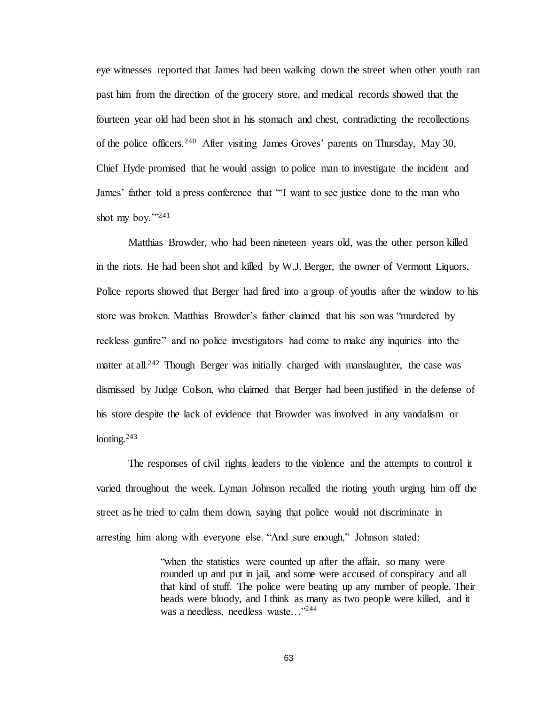eye witnesses reported that James had been walking down the street when other youth ran past him from the direction of the grocery store, and medical records showed that the fourteen year old had been shot in his stomach and chest, contradicting the recollections of the police officers.<sup>240</sup> After visiting James Groves' parents on Thursday, May 30, Chief Hyde promised that he would assign to police man to investigate the incident and James' father told a press conference that "'I want to see justice done to the man who shot my boy."<sup>241</sup>

Matthias Browder, who had been nineteen years old, was the other person killed in the riots. He had been shot and killed by W.J. Berger, the owner of Vermont Liquors. Police reports showed that Berger had fired into a group of youths after the window to his store was broken. Matthias Browder's father claimed that his son was "murdered by reckless gunfire" and no police investigators had come to make any inquiries into the matter at all.<sup>242</sup> Though Berger was initially charged with manslaughter, the case was dismissed by Judge Colson, who claimed that Berger had been justified in the defense of his store despite the lack of evidence that Browder was involved in any vandalism or looting. $243$ 

The responses of civil rights leaders to the violence and the attempts to control it varied throughout the week. Lyman Johnson recalled the rioting youth urging him off the street as he tried to calm them down, saying that police would not discriminate in arresting him along with everyone else. "And sure enough," Johnson stated:

> "when the statistics were counted up after the affair, so many were rounded up and put in jail, and some were accused of conspiracy and all that kind of stuff. The police were beating up any number of people. Their heads were bloody, and I think as many as two people were killed, and it was a needless, needless waste…"244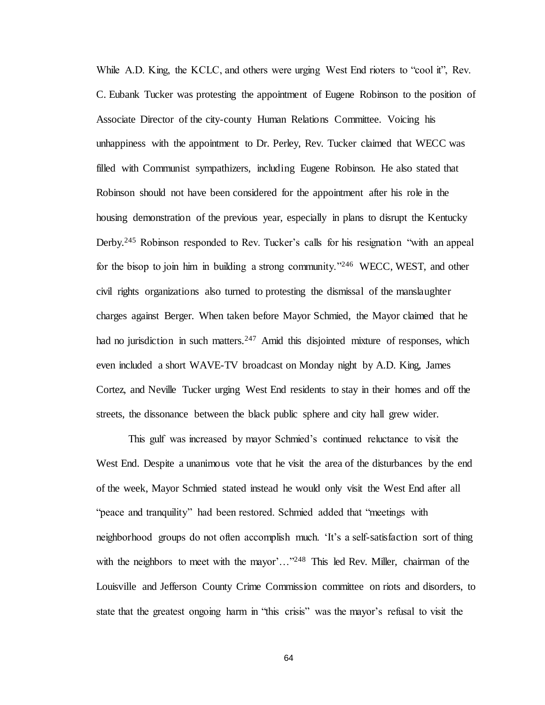While A.D. King, the KCLC, and others were urging West End rioters to "cool it", Rev. C. Eubank Tucker was protesting the appointment of Eugene Robinson to the position of Associate Director of the city-county Human Relations Committee. Voicing his unhappiness with the appointment to Dr. Perley, Rev. Tucker claimed that WECC was filled with Communist sympathizers, including Eugene Robinson. He also stated that Robinson should not have been considered for the appointment after his role in the housing demonstration of the previous year, especially in plans to disrupt the Kentucky Derby.<sup>245</sup> Robinson responded to Rev. Tucker's calls for his resignation "with an appeal for the bisop to join him in building a strong community.<sup>2246</sup> WECC, WEST, and other civil rights organizations also turned to protesting the dismissal of the manslaughter charges against Berger. When taken before Mayor Schmied, the Mayor claimed that he had no jurisdiction in such matters.<sup>247</sup> Amid this disjointed mixture of responses, which even included a short WAVE-TV broadcast on Monday night by A.D. King, James Cortez, and Neville Tucker urging West End residents to stay in their homes and off the streets, the dissonance between the black public sphere and city hall grew wider.

This gulf was increased by mayor Schmied's continued reluctance to visit the West End. Despite a unanimous vote that he visit the area of the disturbances by the end of the week, Mayor Schmied stated instead he would only visit the West End after all "peace and tranquility" had been restored. Schmied added that "meetings with neighborhood groups do not often accomplish much. 'It's a self-satisfaction sort of thing with the neighbors to meet with the mayor'..."<sup>248</sup> This led Rev. Miller, chairman of the Louisville and Jefferson County Crime Commission committee on riots and disorders, to state that the greatest ongoing harm in "this crisis" was the mayor's refusal to visit the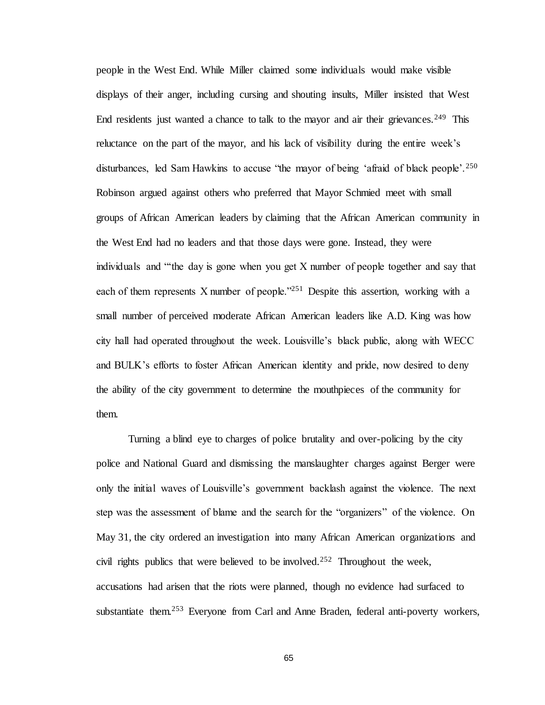people in the West End. While Miller claimed some individuals would make visible displays of their anger, including cursing and shouting insults, Miller insisted that West End residents just wanted a chance to talk to the mayor and air their grievances.<sup>249</sup> This reluctance on the part of the mayor, and his lack of visibility during the entire week's disturbances, led Sam Hawkins to accuse "the mayor of being 'afraid of black people'.<sup>250</sup> Robinson argued against others who preferred that Mayor Schmied meet with small groups of African American leaders by claiming that the African American community in the West End had no leaders and that those days were gone. Instead, they were individuals and "'the day is gone when you get X number of people together and say that each of them represents X number of people."<sup>251</sup> Despite this assertion, working with a small number of perceived moderate African American leaders like A.D. King was how city hall had operated throughout the week. Louisville's black public, along with WECC and BULK's efforts to foster African American identity and pride, now desired to deny the ability of the city government to determine the mouthpieces of the community for them.

Turning a blind eye to charges of police brutality and over-policing by the city police and National Guard and dismissing the manslaughter charges against Berger were only the initial waves of Louisville's government backlash against the violence. The next step was the assessment of blame and the search for the "organizers" of the violence. On May 31, the city ordered an investigation into many African American organizations and civil rights publics that were believed to be involved.<sup>252</sup> Throughout the week, accusations had arisen that the riots were planned, though no evidence had surfaced to substantiate them.<sup>253</sup> Everyone from Carl and Anne Braden, federal anti-poverty workers,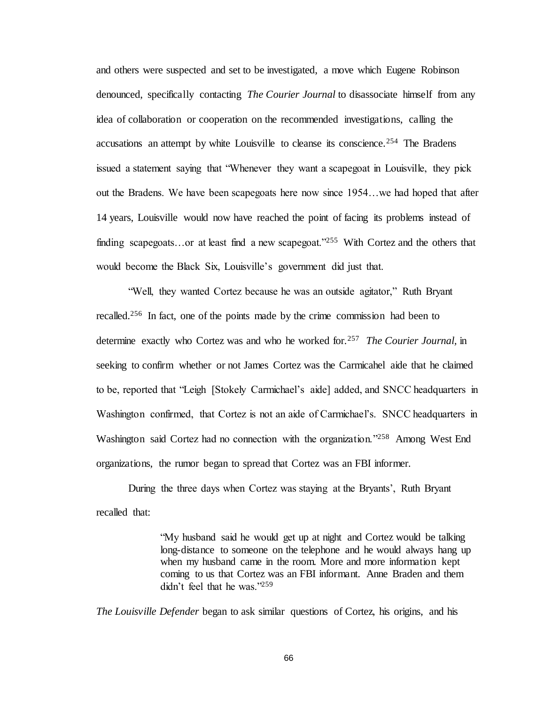and others were suspected and set to be investigated, a move which Eugene Robinson denounced, specifically contacting *The Courier Journal* to disassociate himself from any idea of collaboration or cooperation on the recommended investigations, calling the accusations an attempt by white Louisville to cleanse its conscience.<sup>254</sup> The Bradens issued a statement saying that "Whenever they want a scapegoat in Louisville, they pick out the Bradens. We have been scapegoats here now since 1954…we had hoped that after 14 years, Louisville would now have reached the point of facing its problems instead of finding scapegoats...or at least find a new scapegoat."<sup>255</sup> With Cortez and the others that would become the Black Six, Louisville's government did just that.

"Well, they wanted Cortez because he was an outside agitator," Ruth Bryant recalled.<sup>256</sup> In fact, one of the points made by the crime commission had been to determine exactly who Cortez was and who he worked for.<sup>257</sup> *The Courier Journal,* in seeking to confirm whether or not James Cortez was the Carmicahel aide that he claimed to be, reported that "Leigh [Stokely Carmichael's aide] added, and SNCC headquarters in Washington confirmed, that Cortez is not an aide of Carmichael's. SNCC headquarters in Washington said Cortez had no connection with the organization."<sup>258</sup> Among West End organizations, the rumor began to spread that Cortez was an FBI informer.

During the three days when Cortez was staying at the Bryants', Ruth Bryant recalled that:

> "My husband said he would get up at night and Cortez would be talking long-distance to someone on the telephone and he would always hang up when my husband came in the room. More and more information kept coming to us that Cortez was an FBI informant. Anne Braden and them didn't feel that he was."<sup>259</sup>

*The Louisville Defender* began to ask similar questions of Cortez, his origins, and his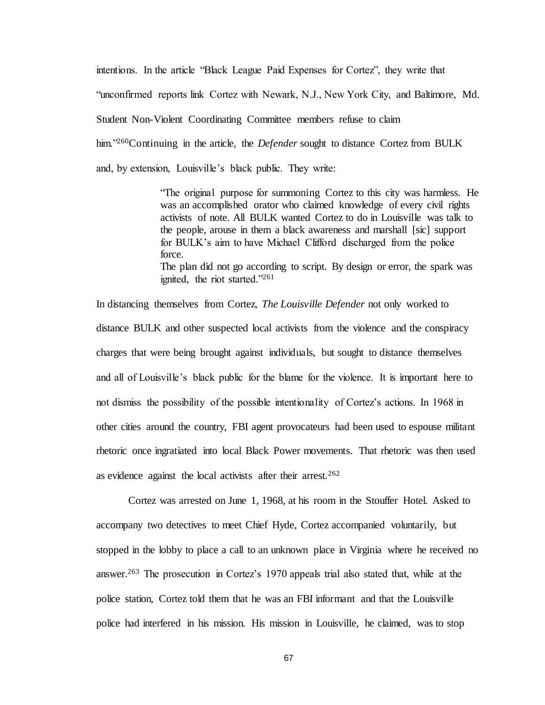intentions. In the article "Black League Paid Expenses for Cortez", they write that "unconfirmed reports link Cortez with Newark, N.J., New York City, and Baltimore, Md. Student Non-Violent Coordinating Committee members refuse to claim him."<sup>260</sup>Continuing in the article, the *Defender* sought to distance Cortez from BULK and, by extension, Louisville's black public. They write:

> "The original purpose for summoning Cortez to this city was harmless. He was an accomplished orator who claimed knowledge of every civil rights activists of note. All BULK wanted Cortez to do in Louisville was talk to the people, arouse in them a black awareness and marshall [sic] support for BULK's aim to have Michael Clifford discharged from the police force. The plan did not go according to script. By design or error, the spark was ignited, the riot started."<sup>261</sup>

In distancing themselves from Cortez, *The Louisville Defender* not only worked to distance BULK and other suspected local activists from the violence and the conspiracy charges that were being brought against individuals, but sought to distance themselves and all of Louisville's black public for the blame for the violence. It is important here to not dismiss the possibility of the possible intentionality of Cortez's actions. In 1968 in other cities around the country, FBI agent provocateurs had been used to espouse militant rhetoric once ingratiated into local Black Power movements. That rhetoric was then used as evidence against the local activists after their arrest.<sup>262</sup>

Cortez was arrested on June 1, 1968, at his room in the Stouffer Hotel. Asked to accompany two detectives to meet Chief Hyde, Cortez accompanied voluntarily, but stopped in the lobby to place a call to an unknown place in Virginia where he received no answer.<sup>263</sup> The prosecution in Cortez's 1970 appeals trial also stated that, while at the police station, Cortez told them that he was an FBI informant and that the Louisville police had interfered in his mission. His mission in Louisville, he claimed, was to stop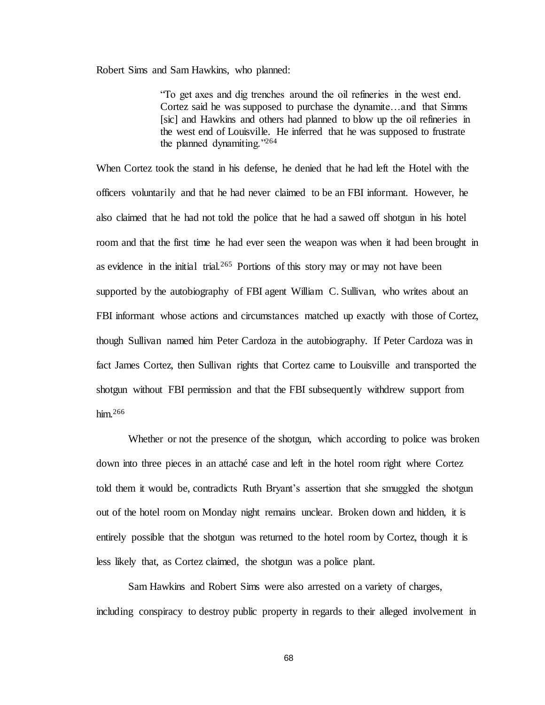Robert Sims and Sam Hawkins, who planned:

"To get axes and dig trenches around the oil refineries in the west end. Cortez said he was supposed to purchase the dynamite…and that Simms [sic] and Hawkins and others had planned to blow up the oil refineries in the west end of Louisville. He inferred that he was supposed to frustrate the planned dynamiting."<sup>264</sup>

When Cortez took the stand in his defense, he denied that he had left the Hotel with the officers voluntarily and that he had never claimed to be an FBI informant. However, he also claimed that he had not told the police that he had a sawed off shotgun in his hotel room and that the first time he had ever seen the weapon was when it had been brought in as evidence in the initial trial.<sup>265</sup> Portions of this story may or may not have been supported by the autobiography of FBI agent William C. Sullivan, who writes about an FBI informant whose actions and circumstances matched up exactly with those of Cortez, though Sullivan named him Peter Cardoza in the autobiography. If Peter Cardoza was in fact James Cortez, then Sullivan rights that Cortez came to Louisville and transported the shotgun without FBI permission and that the FBI subsequently withdrew support from him. $266$ 

Whether or not the presence of the shotgun, which according to police was broken down into three pieces in an attaché case and left in the hotel room right where Cortez told them it would be, contradicts Ruth Bryant's assertion that she smuggled the shotgun out of the hotel room on Monday night remains unclear. Broken down and hidden, it is entirely possible that the shotgun was returned to the hotel room by Cortez, though it is less likely that, as Cortez claimed, the shotgun was a police plant.

Sam Hawkins and Robert Sims were also arrested on a variety of charges, including conspiracy to destroy public property in regards to their alleged involvement in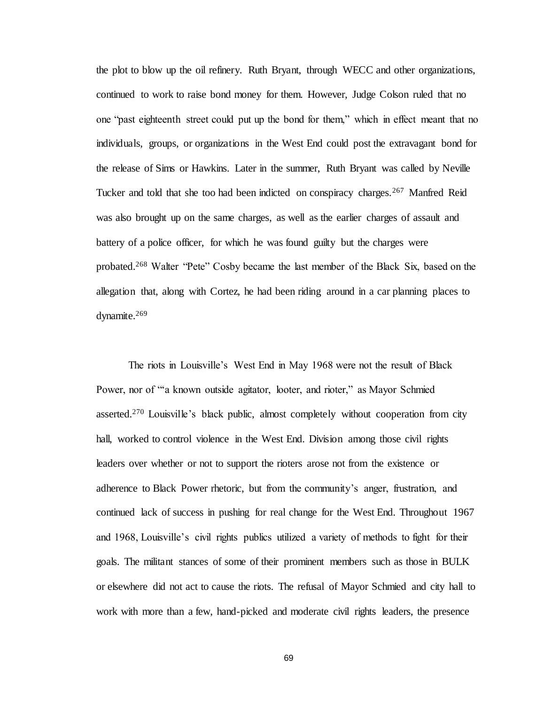the plot to blow up the oil refinery. Ruth Bryant, through WECC and other organizations, continued to work to raise bond money for them. However, Judge Colson ruled that no one "past eighteenth street could put up the bond for them," which in effect meant that no individuals, groups, or organizations in the West End could post the extravagant bond for the release of Sims or Hawkins. Later in the summer, Ruth Bryant was called by Neville Tucker and told that she too had been indicted on conspiracy charges.<sup>267</sup> Manfred Reid was also brought up on the same charges, as well as the earlier charges of assault and battery of a police officer, for which he was found guilty but the charges were probated.<sup>268</sup> Walter "Pete" Cosby became the last member of the Black Six, based on the allegation that, along with Cortez, he had been riding around in a car planning places to dynamite.<sup>269</sup>

The riots in Louisville's West End in May 1968 were not the result of Black Power, nor of "a known outside agitator, looter, and rioter," as Mayor Schmied asserted.<sup>270</sup> Louisville's black public, almost completely without cooperation from city hall, worked to control violence in the West End. Division among those civil rights leaders over whether or not to support the rioters arose not from the existence or adherence to Black Power rhetoric, but from the community's anger, frustration, and continued lack of success in pushing for real change for the West End. Throughout 1967 and 1968, Louisville's civil rights publics utilized a variety of methods to fight for their goals. The militant stances of some of their prominent members such as those in BULK or elsewhere did not act to cause the riots. The refusal of Mayor Schmied and city hall to work with more than a few, hand-picked and moderate civil rights leaders, the presence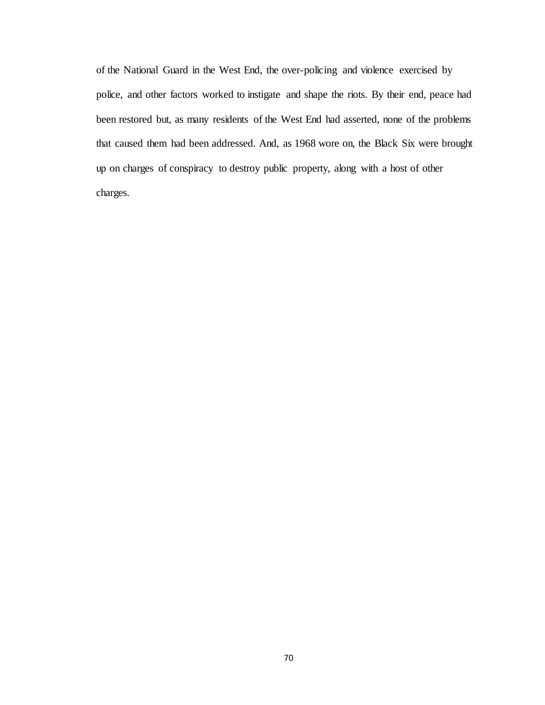of the National Guard in the West End, the over-policing and violence exercised by police, and other factors worked to instigate and shape the riots. By their end, peace had been restored but, as many residents of the West End had asserted, none of the problems that caused them had been addressed. And, as 1968 wore on, the Black Six were brought up on charges of conspiracy to destroy public property, along with a host of other charges.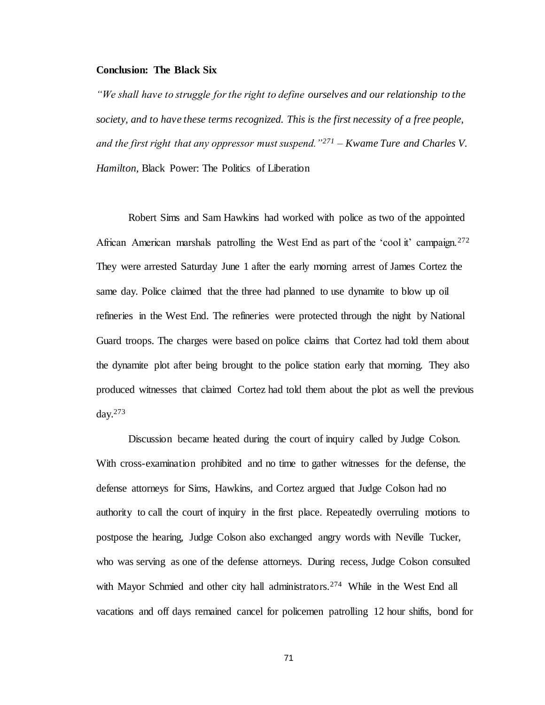### **Conclusion: The Black Six**

*"We shall have to struggle for the right to define ourselves and our relationship to the society, and to have these terms recognized. This is the first necessity of a free people, and the first right that any oppressor must suspend."<sup>271</sup> – Kwame Ture and Charles V. Hamilton,* Black Power: The Politics of Liberation

Robert Sims and Sam Hawkins had worked with police as two of the appointed African American marshals patrolling the West End as part of the 'cool it' campaign.<sup>272</sup> They were arrested Saturday June 1 after the early morning arrest of James Cortez the same day. Police claimed that the three had planned to use dynamite to blow up oil refineries in the West End. The refineries were protected through the night by National Guard troops. The charges were based on police claims that Cortez had told them about the dynamite plot after being brought to the police station early that morning. They also produced witnesses that claimed Cortez had told them about the plot as well the previous day. $273$ 

Discussion became heated during the court of inquiry called by Judge Colson. With cross-examination prohibited and no time to gather witnesses for the defense, the defense attorneys for Sims, Hawkins, and Cortez argued that Judge Colson had no authority to call the court of inquiry in the first place. Repeatedly overruling motions to postpose the hearing, Judge Colson also exchanged angry words with Neville Tucker, who was serving as one of the defense attorneys. During recess, Judge Colson consulted with Mayor Schmied and other city hall administrators.<sup>274</sup> While in the West End all vacations and off days remained cancel for policemen patrolling 12 hour shifts, bond for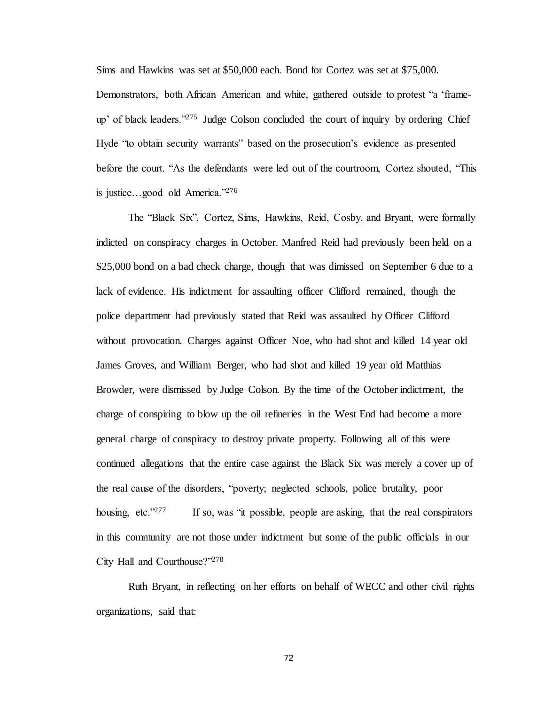Sims and Hawkins was set at \$50,000 each. Bond for Cortez was set at \$75,000. Demonstrators, both African American and white, gathered outside to protest "a 'frameup' of black leaders."<sup>275</sup> Judge Colson concluded the court of inquiry by ordering Chief Hyde "to obtain security warrants" based on the prosecution's evidence as presented before the court. "As the defendants were led out of the courtroom, Cortez shouted, "This is justice…good old America."<sup>276</sup>

The "Black Six", Cortez, Sims, Hawkins, Reid, Cosby, and Bryant, were formally indicted on conspiracy charges in October. Manfred Reid had previously been held on a \$25,000 bond on a bad check charge, though that was dimissed on September 6 due to a lack of evidence. His indictment for assaulting officer Clifford remained, though the police department had previously stated that Reid was assaulted by Officer Clifford without provocation. Charges against Officer Noe, who had shot and killed 14 year old James Groves, and William Berger, who had shot and killed 19 year old Matthias Browder, were dismissed by Judge Colson. By the time of the October indictment, the charge of conspiring to blow up the oil refineries in the West End had become a more general charge of conspiracy to destroy private property. Following all of this were continued allegations that the entire case against the Black Six was merely a cover up of the real cause of the disorders, "poverty; neglected schools, police brutality, poor housing, etc."<sup>277</sup> If so, was "it possible, people are asking, that the real conspirators in this community are not those under indictment but some of the public officials in our City Hall and Courthouse?"<sup>278</sup>

Ruth Bryant, in reflecting on her efforts on behalf of WECC and other civil rights organizations, said that: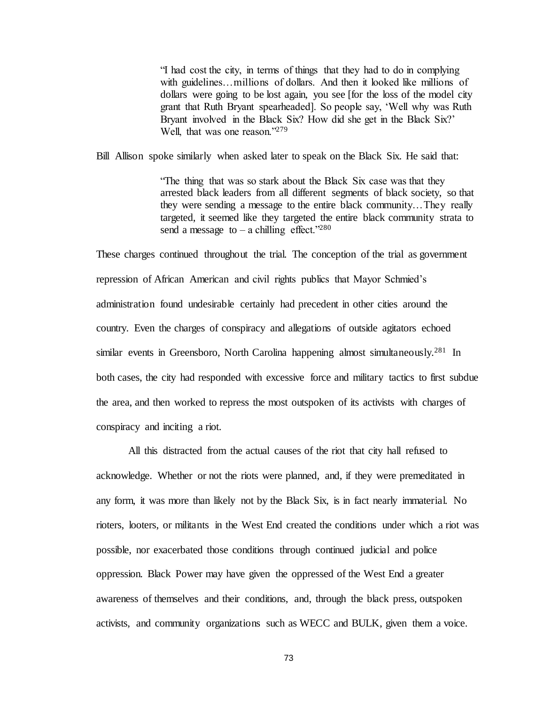"I had cost the city, in terms of things that they had to do in complying with guidelines...millions of dollars. And then it looked like millions of dollars were going to be lost again, you see [for the loss of the model city grant that Ruth Bryant spearheaded]. So people say, 'Well why was Ruth Bryant involved in the Black Six? How did she get in the Black Six?' Well, that was one reason."<sup>279</sup>

Bill Allison spoke similarly when asked later to speak on the Black Six. He said that:

"The thing that was so stark about the Black Six case was that they arrested black leaders from all different segments of black society, so that they were sending a message to the entire black community…They really targeted, it seemed like they targeted the entire black community strata to send a message to – a chilling effect."<sup>280</sup>

These charges continued throughout the trial. The conception of the trial as government repression of African American and civil rights publics that Mayor Schmied's administration found undesirable certainly had precedent in other cities around the country. Even the charges of conspiracy and allegations of outside agitators echoed similar events in Greensboro, North Carolina happening almost simultaneously.<sup>281</sup> In both cases, the city had responded with excessive force and military tactics to first subdue the area, and then worked to repress the most outspoken of its activists with charges of conspiracy and inciting a riot.

All this distracted from the actual causes of the riot that city hall refused to acknowledge. Whether or not the riots were planned, and, if they were premeditated in any form, it was more than likely not by the Black Six, is in fact nearly immaterial. No rioters, looters, or militants in the West End created the conditions under which a riot was possible, nor exacerbated those conditions through continued judicial and police oppression. Black Power may have given the oppressed of the West End a greater awareness of themselves and their conditions, and, through the black press, outspoken activists, and community organizations such as WECC and BULK, given them a voice.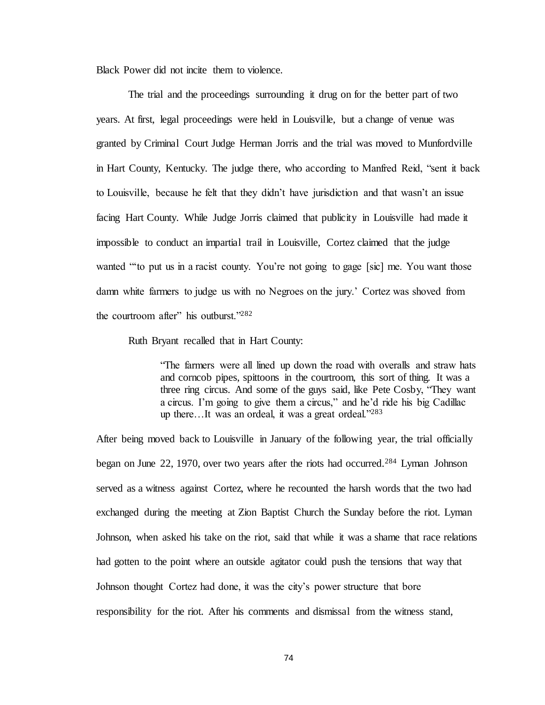Black Power did not incite them to violence.

The trial and the proceedings surrounding it drug on for the better part of two years. At first, legal proceedings were held in Louisville, but a change of venue was granted by Criminal Court Judge Herman Jorris and the trial was moved to Munfordville in Hart County, Kentucky. The judge there, who according to Manfred Reid, "sent it back to Louisville, because he felt that they didn't have jurisdiction and that wasn't an issue facing Hart County. While Judge Jorris claimed that publicity in Louisville had made it impossible to conduct an impartial trail in Louisville, Cortez claimed that the judge wanted "'to put us in a racist county. You're not going to gage [sic] me. You want those damn white farmers to judge us with no Negroes on the jury.' Cortez was shoved from the courtroom after" his outburst."<sup>282</sup>

Ruth Bryant recalled that in Hart County:

"The farmers were all lined up down the road with overalls and straw hats and corncob pipes, spittoons in the courtroom, this sort of thing. It was a three ring circus. And some of the guys said, like Pete Cosby, "They want a circus. I'm going to give them a circus," and he'd ride his big Cadillac up there...It was an ordeal, it was a great ordeal."283

After being moved back to Louisville in January of the following year, the trial officially began on June 22, 1970, over two years after the riots had occurred.<sup>284</sup> Lyman Johnson served as a witness against Cortez, where he recounted the harsh words that the two had exchanged during the meeting at Zion Baptist Church the Sunday before the riot. Lyman Johnson, when asked his take on the riot, said that while it was a shame that race relations had gotten to the point where an outside agitator could push the tensions that way that Johnson thought Cortez had done, it was the city's power structure that bore responsibility for the riot. After his comments and dismissal from the witness stand,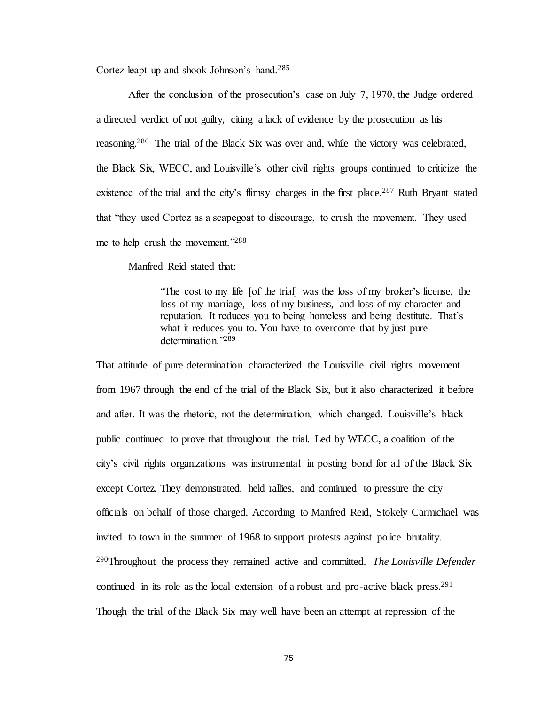Cortez leapt up and shook Johnson's hand.<sup>285</sup>

After the conclusion of the prosecution's case on July 7, 1970, the Judge ordered a directed verdict of not guilty, citing a lack of evidence by the prosecution as his reasoning.<sup>286</sup> The trial of the Black Six was over and, while the victory was celebrated, the Black Six, WECC, and Louisville's other civil rights groups continued to criticize the existence of the trial and the city's flimsy charges in the first place.<sup>287</sup> Ruth Bryant stated that "they used Cortez as a scapegoat to discourage, to crush the movement. They used me to help crush the movement."<sup>288</sup>

Manfred Reid stated that:

"The cost to my life [of the trial] was the loss of my broker's license, the loss of my marriage, loss of my business, and loss of my character and reputation. It reduces you to being homeless and being destitute. That's what it reduces you to. You have to overcome that by just pure determination<sup>"289</sup>

That attitude of pure determination characterized the Louisville civil rights movement from 1967 through the end of the trial of the Black Six, but it also characterized it before and after. It was the rhetoric, not the determination, which changed. Louisville's black public continued to prove that throughout the trial. Led by WECC, a coalition of the city's civil rights organizations was instrumental in posting bond for all of the Black Six except Cortez. They demonstrated, held rallies, and continued to pressure the city officials on behalf of those charged. According to Manfred Reid, Stokely Carmichael was invited to town in the summer of 1968 to support protests against police brutality. <sup>290</sup>Throughout the process they remained active and committed. *The Louisville Defender*  continued in its role as the local extension of a robust and pro-active black press.<sup>291</sup> Though the trial of the Black Six may well have been an attempt at repression of the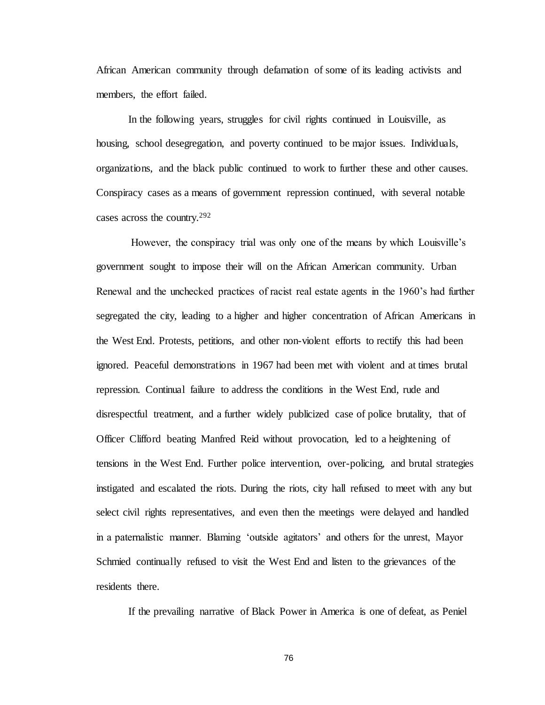African American community through defamation of some of its leading activists and members, the effort failed.

In the following years, struggles for civil rights continued in Louisville, as housing, school desegregation, and poverty continued to be major issues. Individuals, organizations, and the black public continued to work to further these and other causes. Conspiracy cases as a means of government repression continued, with several notable cases across the country.<sup>292</sup>

However, the conspiracy trial was only one of the means by which Louisville's government sought to impose their will on the African American community. Urban Renewal and the unchecked practices of racist real estate agents in the 1960's had further segregated the city, leading to a higher and higher concentration of African Americans in the West End. Protests, petitions, and other non-violent efforts to rectify this had been ignored. Peaceful demonstrations in 1967 had been met with violent and at times brutal repression. Continual failure to address the conditions in the West End, rude and disrespectful treatment, and a further widely publicized case of police brutality, that of Officer Clifford beating Manfred Reid without provocation, led to a heightening of tensions in the West End. Further police intervention, over-policing, and brutal strategies instigated and escalated the riots. During the riots, city hall refused to meet with any but select civil rights representatives, and even then the meetings were delayed and handled in a paternalistic manner. Blaming 'outside agitators' and others for the unrest, Mayor Schmied continually refused to visit the West End and listen to the grievances of the residents there.

If the prevailing narrative of Black Power in America is one of defeat, as Peniel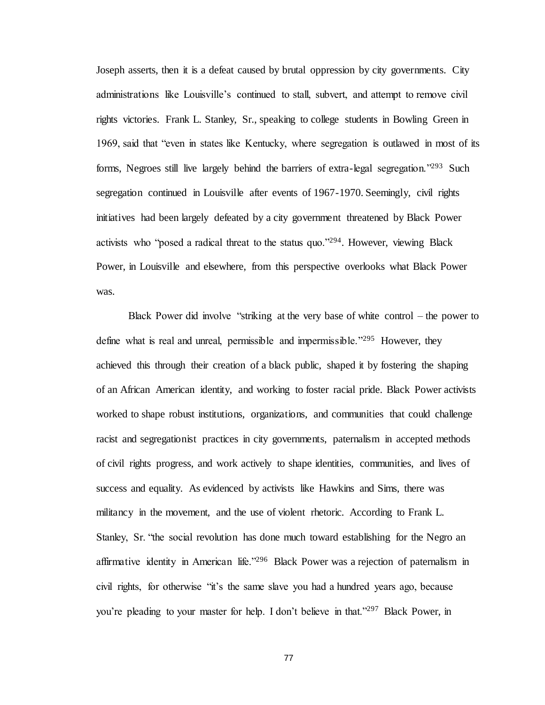Joseph asserts, then it is a defeat caused by brutal oppression by city governments. City administrations like Louisville's continued to stall, subvert, and attempt to remove civil rights victories. Frank L. Stanley, Sr., speaking to college students in Bowling Green in 1969, said that "even in states like Kentucky, where segregation is outlawed in most of its forms, Negroes still live largely behind the barriers of extra-legal segregation."<sup>293</sup> Such segregation continued in Louisville after events of 1967-1970. Seemingly, civil rights initiatives had been largely defeated by a city government threatened by Black Power activists who "posed a radical threat to the status quo."<sup>294</sup>. However, viewing Black Power, in Louisville and elsewhere, from this perspective overlooks what Black Power was.

Black Power did involve "striking at the very base of white control – the power to define what is real and unreal, permissible and impermissible."<sup>295</sup> However, they achieved this through their creation of a black public, shaped it by fostering the shaping of an African American identity, and working to foster racial pride. Black Power activists worked to shape robust institutions, organizations, and communities that could challenge racist and segregationist practices in city governments, paternalism in accepted methods of civil rights progress, and work actively to shape identities, communities, and lives of success and equality. As evidenced by activists like Hawkins and Sims, there was militancy in the movement, and the use of violent rhetoric. According to Frank L. Stanley, Sr. "the social revolution has done much toward establishing for the Negro an affirmative identity in American life."<sup>296</sup> Black Power was a rejection of paternalism in civil rights, for otherwise "it's the same slave you had a hundred years ago, because you're pleading to your master for help. I don't believe in that."<sup>297</sup> Black Power, in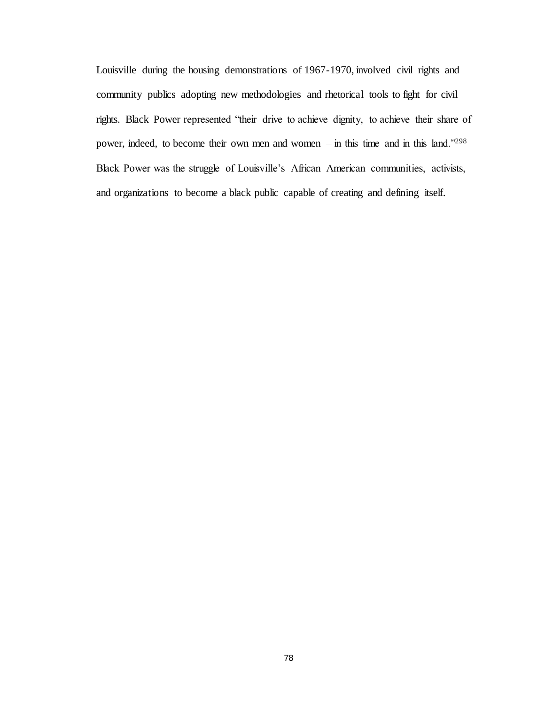Louisville during the housing demonstrations of 1967-1970, involved civil rights and community publics adopting new methodologies and rhetorical tools to fight for civil rights. Black Power represented "their drive to achieve dignity, to achieve their share of power, indeed, to become their own men and women – in this time and in this land."<sup>298</sup> Black Power was the struggle of Louisville's African American communities, activists, and organizations to become a black public capable of creating and defining itself.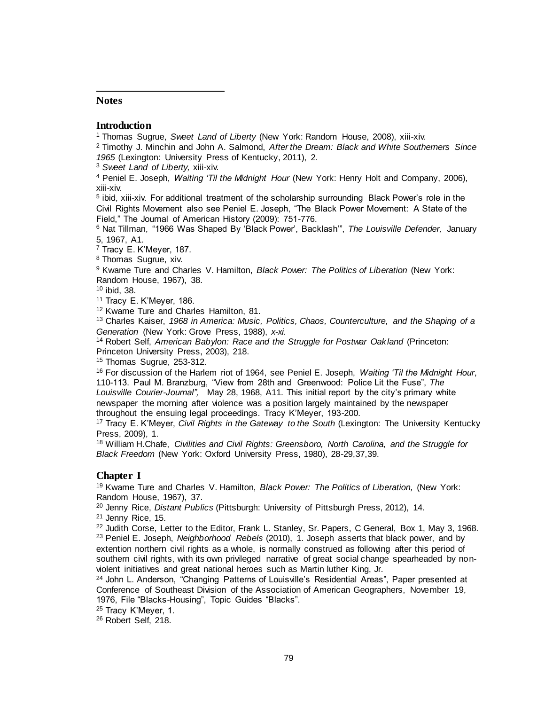## **Notes**

l

## **Introduction**

<sup>1</sup> Thomas Sugrue, *Sweet Land of Liberty* (New York: Random House, 2008), xiii-xiv.

<sup>2</sup> Timothy J. Minchin and John A. Salmond, *After the Dream: Black and White Southerners Since 1965* (Lexington: University Press of Kentucky, 2011), 2.

<sup>3</sup> *Sweet Land of Liberty,* xiii-xiv.

<sup>4</sup> Peniel E. Joseph, *Waiting 'Til the Midnight Hour* (New York: Henry Holt and Company, 2006), xiii-xiv.

<sup>5</sup> ibid, xiii-xiv. For additional treatment of the scholarship surrounding Black Power's role in the Civil Rights Movement also see Peniel E. Joseph, "The Black Power Movement: A State of the Field," The Journal of American History (2009): 751-776.

<sup>6</sup> Nat Tillman, "1966 Was Shaped By 'Black Power', Backlash'", *The Louisville Defender,* January 5, 1967, A1.

<sup>7</sup> Tracy E. K'Meyer, 187.

<sup>8</sup> Thomas Sugrue, xiv.

<sup>9</sup> Kwame Ture and Charles V. Hamilton, *Black Power: The Politics of Liberation* (New York: Random House, 1967), 38.

<sup>10</sup> ibid, 38.

<sup>11</sup> Tracy E. K'Meyer, 186.

<sup>12</sup> Kwame Ture and Charles Hamilton, 81.

<sup>13</sup> Charles Kaiser, *1968 in America: Music, Politics, Chaos, Counterculture, and the Shaping of a Generation* (New York: Grove Press, 1988), *x-xi.* 

<sup>14</sup> Robert Self, *American Babylon: Race and the Struggle for Postwar Oakland* (Princeton: Princeton University Press, 2003), 218.

<sup>15</sup> Thomas Sugrue, 253-312.

<sup>16</sup> For discussion of the Harlem riot of 1964, see Peniel E. Joseph, *Waiting 'Til the Midnight Hour*, 110-113. Paul M. Branzburg, "View from 28th and Greenwood: Police Lit the Fuse", *The Louisville Courier-Journal",* May 28, 1968, A11*.* This initial report by the city's primary white newspaper the morning after violence was a position largely maintained by the newspaper throughout the ensuing legal proceedings. Tracy K'Meyer, 193-200.

<sup>17</sup> Tracy E. K'Meyer, *Civil Rights in the Gateway to the South* (Lexington: The University Kentucky Press, 2009), 1.

<sup>18</sup> William H.Chafe, *Civilities and Civil Rights: Greensboro, North Carolina, and the Struggle for Black Freedom* (New York: Oxford University Press, 1980), 28-29,37,39.

## **Chapter I**

<sup>19</sup> Kwame Ture and Charles V. Hamilton, *Black Power: The Politics of Liberation,* (New York: Random House, 1967), 37.

<sup>20</sup> Jenny Rice, *Distant Publics* (Pittsburgh: University of Pittsburgh Press, 2012), 14.

<sup>21</sup> Jenny Rice, 15.

<sup>22</sup> Judith Corse, Letter to the Editor, Frank L. Stanley, Sr. Papers, C General, Box 1, May 3, 1968. <sup>23</sup> Peniel E. Joseph, *Neighborhood Rebels* (2010), 1. Joseph asserts that black power, and by extention northern civil rights as a whole, is normally construed as following after this period of southern civil rights, with its own privileged narrative of great social change spearheaded by nonviolent initiatives and great national heroes such as Martin luther King, Jr.

<sup>24</sup> John L. Anderson, "Changing Patterns of Louisville's Residential Areas", Paper presented at Conference of Southeast Division of the Association of American Geographers, November 19, 1976, File "Blacks-Housing", Topic Guides "Blacks".

<sup>25</sup> Tracy K'Meyer, 1.

<sup>26</sup> Robert Self, 218.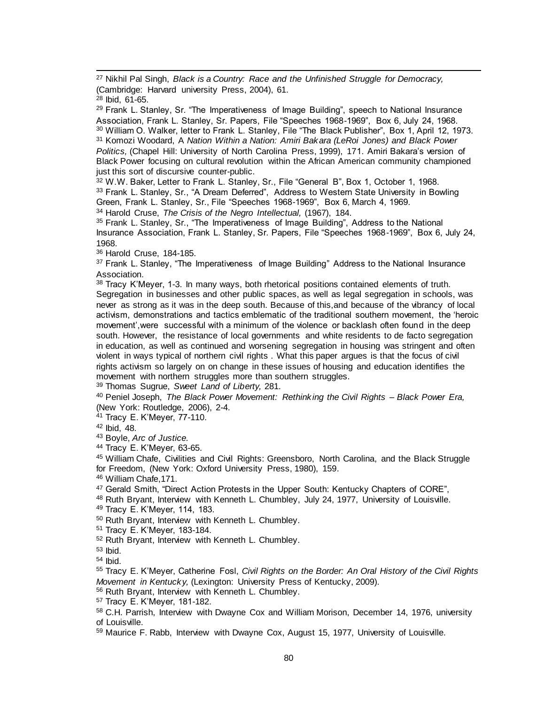<sup>27</sup> Nikhil Pal Singh, *Black is a Country: Race and the Unfinished Struggle for Democracy,*  (Cambridge: Harvard university Press, 2004), 61.

l

<sup>29</sup> Frank L. Stanley, Sr. "The Imperativeness of Image Building", speech to National Insurance Association, Frank L. Stanley, Sr. Papers, File "Speeches 1968-1969", Box 6, July 24, 1968. <sup>30</sup> William O. Walker, letter to Frank L. Stanley, File "The Black Publisher", Box 1, April 12, 1973. <sup>31</sup> Komozi Woodard, A *Nation Within a Nation: Amiri Bakara (LeRoi Jones) and Black Power Politics,* (Chapel Hill: University of North Carolina Press, 1999), 171. Amiri Bakara's version of Black Power focusing on cultural revolution within the African American community championed just this sort of discursive counter-public.

<sup>32</sup> W.W. Baker, Letter to Frank L. Stanley, Sr., File "General B", Box 1, October 1, 1968. <sup>33</sup> Frank L. Stanley, Sr., "A Dream Deferred", Address to Western State University in Bowling Green, Frank L. Stanley, Sr., File "Speeches 1968-1969", Box 6, March 4, 1969. <sup>34</sup> Harold Cruse, *The Crisis of the Negro Intellectual,* (1967), 184.

<sup>35</sup> Frank L. Stanley, Sr., "The Imperativeness of Image Building", Address to the National Insurance Association, Frank L. Stanley, Sr. Papers, File "Speeches 1968-1969", Box 6, July 24, 1968.

<sup>36</sup> Harold Cruse, 184-185.

 $37$  Frank L. Stanley, "The Imperativeness of Image Building" Address to the National Insurance Association.

38 Tracy K'Meyer, 1-3. In many ways, both rhetorical positions contained elements of truth. Segregation in businesses and other public spaces, as well as legal segregation in schools, was never as strong as it was in the deep south. Because of this,and because of the vibrancy of local activism, demonstrations and tactics emblematic of the traditional southern movement, the 'heroic movement',were successful with a minimum of the violence or backlash often found in the deep south. However, the resistance of local governments and white residents to de facto segregation in education, as well as continued and worsening segregation in housing was stringent and often violent in ways typical of northern civil rights . What this paper argues is that the focus of civil rights activism so largely on on change in these issues of housing and education identifies the movement with northern struggles more than southern struggles.

<sup>39</sup> Thomas Sugrue, *Sweet Land of Liberty,* 281.

<sup>40</sup> Peniel Joseph, *The Black Power Movement: Rethinking the Civil Rights – Black Power Era,*  (New York: Routledge, 2006), 2-4.

<sup>41</sup> Tracy E. K'Meyer, 77-110.

<sup>42</sup> Ibid, 48.

<sup>43</sup> Boyle, *Arc of Justice.* 

<sup>44</sup> Tracy E. K'Meyer, 63-65.

<sup>45</sup> William Chafe, Civilities and Civil Rights: Greensboro, North Carolina, and the Black Struggle for Freedom, (New York: Oxford University Press, 1980), 159.

<sup>46</sup> William Chafe,171.

<sup>47</sup> Gerald Smith, "Direct Action Protests in the Upper South: Kentucky Chapters of CORE",

48 Ruth Bryant, Interview with Kenneth L. Chumbley, July 24, 1977, University of Louisville.

<sup>49</sup> Tracy E. K'Meyer, 114, 183.

<sup>50</sup> Ruth Bryant, Interview with Kenneth L. Chumbley.

<sup>51</sup> Tracy E. K'Meyer, 183-184.

<sup>52</sup> Ruth Bryant, Interview with Kenneth L. Chumbley.

<sup>53</sup> Ibid.

<sup>54</sup> Ibid.

<sup>55</sup> Tracy E. K'Meyer, Catherine Fosl, *Civil Rights on the Border: An Oral History of the Civil Rights Movement in Kentucky,* (Lexington: University Press of Kentucky, 2009).

<sup>56</sup> Ruth Bryant, Interview with Kenneth L. Chumbley.

<sup>57</sup> Tracy E. K'Meyer, 181-182.

58 C.H. Parrish, Interview with Dwayne Cox and William Morison, December 14, 1976, university of Louisville.

<sup>59</sup> Maurice F. Rabb, Interview with Dwayne Cox, August 15, 1977, University of Louisville.

 $28$  Ibid, 61-65.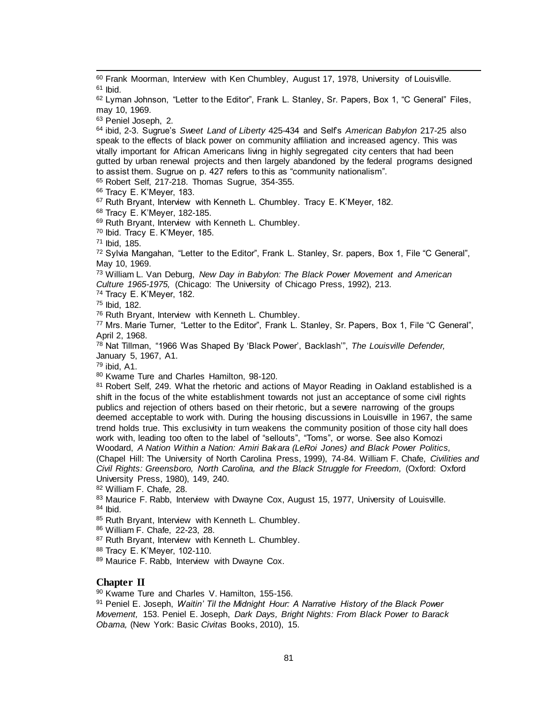$60$  Frank Moorman, Interview with Ken Chumbley, August 17, 1978, University of Louisville.  $61$  Ibid.

62 Lyman Johnson, "Letter to the Editor", Frank L. Stanley, Sr. Papers, Box 1, "C General" Files, may 10, 1969.

<sup>63</sup> Peniel Joseph, 2.

l

<sup>64</sup> ibid, 2-3. Sugrue's *Sweet Land of Liberty* 425-434 and Self's *American Babylon* 217-25 also speak to the effects of black power on community affiliation and increased agency. This was vitally important for African Americans living in highly segregated city centers that had been gutted by urban renewal projects and then largely abandoned by the federal programs designed to assist them. Sugrue on p. 427 refers to this as "community nationalism".

<sup>65</sup> Robert Self, 217-218. Thomas Sugrue, 354-355.

<sup>66</sup> Tracy E. K'Meyer, 183.

<sup>67</sup> Ruth Bryant, Interview with Kenneth L. Chumbley. Tracy E. K'Mever. 182.

<sup>68</sup> Tracy E. K'Meyer, 182-185.

69 Ruth Bryant, Interview with Kenneth L. Chumbley.

<sup>70</sup> Ibid. Tracy E. K'Meyer, 185.

<sup>71</sup> Ibid, 185.

<sup>72</sup> Sylvia Mangahan, "Letter to the Editor", Frank L. Stanley, Sr. papers, Box 1, File "C General", May 10, 1969.

<sup>73</sup> William L. Van Deburg, *New Day in Babylon: The Black Power Movement and American Culture 1965-1975,* (Chicago: The University of Chicago Press, 1992), 213.

<sup>74</sup> Tracy E. K'Meyer, 182.

<sup>75</sup> Ibid, 182.

<sup>76</sup> Ruth Bryant, Interview with Kenneth L. Chumbley.

<sup>77</sup> Mrs. Marie Turner, "Letter to the Editor", Frank L. Stanley, Sr. Papers, Box 1, File "C General", April 2, 1968.

<sup>78</sup> Nat Tillman, "1966 Was Shaped By 'Black Power', Backlash'", *The Louisville Defender,*  January 5, 1967, A1.

<sup>79</sup> ibid, A1.

<sup>80</sup> Kwame Ture and Charles Hamilton, 98-120.

81 Robert Self, 249. What the rhetoric and actions of Mayor Reading in Oakland established is a shift in the focus of the white establishment towards not just an acceptance of some civil rights publics and rejection of others based on their rhetoric, but a severe narrowing of the groups deemed acceptable to work with. During the housing discussions in Louisville in 1967, the same trend holds true. This exclusivity in turn weakens the community position of those city hall does work with, leading too often to the label of "sellouts", "Toms", or worse. See also Komozi Woodard, *A Nation Within a Nation: Amiri Bakara (LeRoi Jones) and Black Power Politics,*  (Chapel Hill: The University of North Carolina Press, 1999), 74-84. William F. Chafe, *Civilities and* 

*Civil Rights: Greensboro, North Carolina, and the Black Struggle for Freedom,* (Oxford: Oxford University Press, 1980), 149, 240.

<sup>82</sup> William F. Chafe, 28.

83 Maurice F. Rabb, Interview with Dwayne Cox, August 15, 1977, University of Louisville. <sup>84</sup> Ibid.

85 Ruth Bryant, Interview with Kenneth L. Chumbley.

<sup>86</sup> William F. Chafe, 22-23, 28.

87 Ruth Bryant, Interview with Kenneth L. Chumbley.

<sup>88</sup> Tracy E. K'Meyer, 102-110.

89 Maurice F. Rabb, Interview with Dwayne Cox.

### **Chapter II**

90 Kwame Ture and Charles V. Hamilton, 155-156.

<sup>91</sup> Peniel E. Joseph, *Waitin' Til the Midnight Hour: A Narrative History of the Black Power Movement,* 153. Peniel E. Joseph, *Dark Days, Bright Nights: From Black Power to Barack Obama,* (New York: Basic *Civitas* Books, 2010), 15.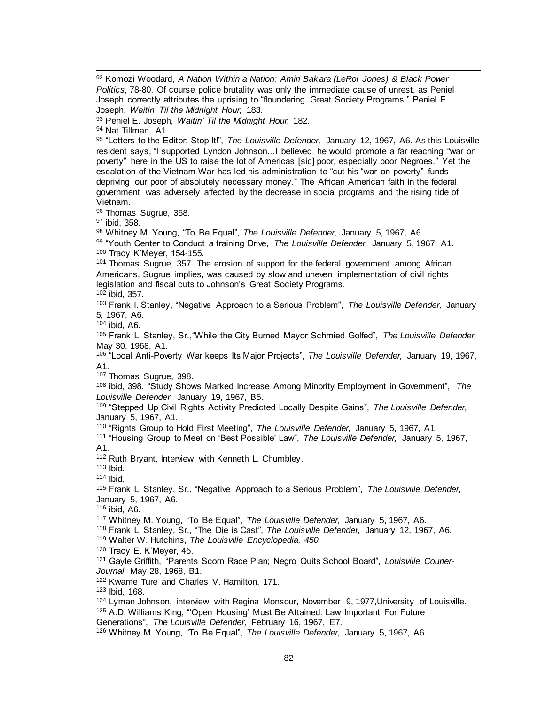<sup>92</sup> Komozi Woodard, *A Nation Within a Nation: Amiri Bakara (LeRoi Jones) & Black Power Politics,* 78-80. Of course police brutality was only the immediate cause of unrest, as Peniel Joseph correctly attributes the uprising to "floundering Great Society Programs." Peniel E. Joseph, *Waitin' Til the Midnight Hour,* 183. <sup>93</sup> Peniel E. Joseph, *Waitin' Til the Midnight Hour,* 182. 94 Nat Tillman, A1. 95 "Letters to the Editor: Stop It!", The Louisville Defender, January 12, 1967, A6. As this Louisville resident says, "I supported Lyndon Johnson...I believed he would promote a far reaching "war on poverty" here in the US to raise the lot of Americas [sic] poor, especially poor Negroes." Yet the escalation of the Vietnam War has led his administration to "cut his "war on poverty" funds depriving our poor of absolutely necessary money." The African American faith in the federal government was adversely affected by the decrease in social programs and the rising tide of Vietnam. 96 Thomas Sugrue, 358. <sup>97</sup> ibid, 358. <sup>98</sup> Whitney M. Young, "To Be Equal", *The Louisville Defender,* January 5, 1967, A6. <sup>99</sup> "Youth Center to Conduct a training Drive, *The Louisville Defender,* January 5, 1967, A1. <sup>100</sup> Tracy K'Meyer, 154-155. <sup>101</sup> Thomas Sugrue, 357. The erosion of support for the federal government among African Americans, Sugrue implies, was caused by slow and uneven implementation of civil rights legislation and fiscal cuts to Johnson's Great Society Programs.  $10\overline{2}$  ibid, 357. <sup>103</sup> Frank l. Stanley, "Negative Approach to a Serious Problem", *The Louisville Defender,* January 5, 1967, A6. <sup>104</sup> ibid, A6. <sup>105</sup> Frank L. Stanley, Sr.,"While the City Burned Mayor Schmied Golfed", *The Louisville Defender,*  May 30, 1968, A1. <sup>106</sup> "Local Anti-Poverty War keeps Its Major Projects", *The Louisville Defender,* January 19, 1967, A1. <sup>107</sup> Thomas Sugrue, 398. <sup>108</sup> ibid, 398. "Study Shows Marked Increase Among Minority Employment in Government", *The Louisville Defender,* January 19, 1967, B5. <sup>109</sup> "Stepped Up Civil Rights Activity Predicted Locally Despite Gains", *The Louisville Defender,*  January 5, 1967, A1. <sup>110</sup> "Rights Group to Hold First Meeting", *The Louisville Defender,* January 5, 1967, A1. <sup>111</sup> "Housing Group to Meet on 'Best Possible' Law", *The Louisville Defender,* January 5, 1967, A1. <sup>112</sup> Ruth Bryant, Interview with Kenneth L. Chumbley. <sup>113</sup> Ibid. <sup>114</sup> Ibid. <sup>115</sup> Frank L. Stanley, Sr., "Negative Approach to a Serious Problem", *The Louisville Defender,*  January 5, 1967, A6. <sup>116</sup> ibid, A6. <sup>117</sup> Whitney M. Young, "To Be Equal", *The Louisville Defender,* January 5, 1967, A6. <sup>118</sup> Frank L. Stanley, Sr., "The Die is Cast", *The Louisville Defender,* January 12, 1967, A6. <sup>119</sup> Walter W. Hutchins, *The Louisville Encyclopedia, 450.*  <sup>120</sup> Tracy E. K'Meyer, 45. <sup>121</sup> Gayle Griffith, "Parents Scorn Race Plan; Negro Quits School Board", *Louisville Courier-Journal,* May 28, 1968, B1. <sup>122</sup> Kwame Ture and Charles V. Hamilton, 171. <sup>123</sup> Ibid, 168. 124 Lyman Johnson, interview with Regina Monsour, November 9, 1977, University of Louisville. <sup>125</sup> A.D. Williams King, "'Open Housing' Must Be Attained: Law Important For Future Generations", *The Louisville Defender,* February 16, 1967, E7.

l

<sup>126</sup> Whitney M. Young, "To Be Equal", *The Louisville Defender,* January 5, 1967, A6.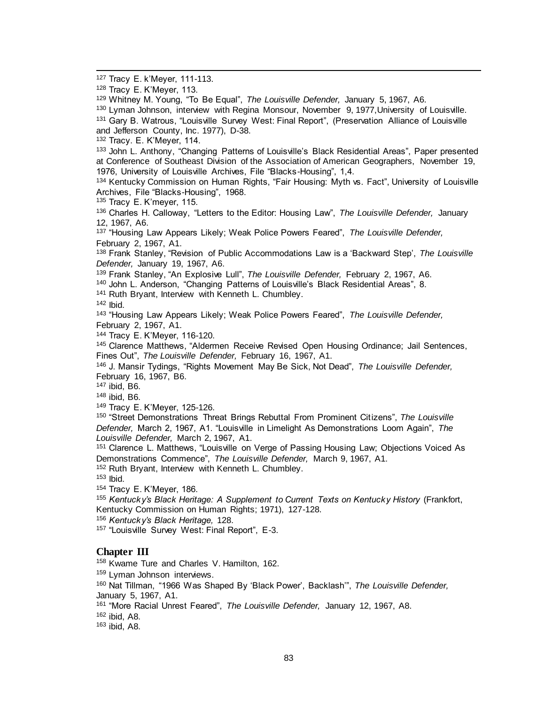<sup>127</sup> Tracy E. k'Meyer, 111-113.

l

<sup>129</sup> Whitney M. Young, "To Be Equal", *The Louisville Defender,* January 5, 1967, A6.

<sup>130</sup> Lyman Johnson, interview with Regina Monsour, November 9, 1977, University of Louisville.

<sup>131</sup> Gary B. Watrous, "Louisville Survey West: Final Report", (Preservation Alliance of Louisville and Jefferson County, Inc. 1977), D-38.

<sup>132</sup> Tracy. E. K'Meyer, 114.

133 John L. Anthony, "Changing Patterns of Louisville's Black Residential Areas", Paper presented at Conference of Southeast Division of the Association of American Geographers, November 19, 1976, University of Louisville Archives, File "Blacks-Housing", 1,4.

134 Kentucky Commission on Human Rights, "Fair Housing: Myth vs. Fact", University of Louisville Archives, File "Blacks-Housing", 1968.

135 Tracy E. K'meyer, 115.

<sup>136</sup> Charles H. Calloway, "Letters to the Editor: Housing Law", *The Louisville Defender,* January 12, 1967, A6.

<sup>137</sup> "Housing Law Appears Likely; Weak Police Powers Feared", *The Louisville Defender,*  February 2, 1967, A1.

<sup>138</sup> Frank Stanley, "Revision of Public Accommodations Law is a 'Backward Step', *The Louisville Defender,* January 19, 1967, A6.

<sup>139</sup> Frank Stanley, "An Explosive Lull", *The Louisville Defender,* February 2, 1967, A6.

<sup>140</sup> John L. Anderson, "Changing Patterns of Louisville's Black Residential Areas", 8.

<sup>141</sup> Ruth Bryant, Interview with Kenneth L. Chumbley.

<sup>142</sup> Ibid.

<sup>143</sup> "Housing Law Appears Likely; Weak Police Powers Feared", *The Louisville Defender,*  February 2, 1967, A1.

<sup>144</sup> Tracy E. K'Meyer, 116-120.

<sup>145</sup> Clarence Matthews, "Aldermen Receive Revised Open Housing Ordinance; Jail Sentences, Fines Out", *The Louisville Defender,* February 16, 1967, A1.

<sup>146</sup> J. Mansir Tydings, "Rights Movement May Be Sick, Not Dead", *The Louisville Defender,*  February 16, 1967, B6.

<sup>147</sup> ibid, B6.

<sup>148</sup> ibid, B6.

<sup>149</sup> Tracy E. K'Meyer, 125-126.

<sup>150</sup> "Street Demonstrations Threat Brings Rebuttal From Prominent Citizens", *The Louisville Defender,* March 2, 1967, A1. "Louisville in Limelight As Demonstrations Loom Again", *The Louisville Defender,* March 2, 1967, A1.

<sup>151</sup> Clarence L. Matthews, "Louisville on Verge of Passing Housing Law; Objections Voiced As Demonstrations Commence", *The Louisville Defender,* March 9, 1967, A1.

152 Ruth Bryant, Interview with Kenneth L. Chumbley.

<sup>153</sup> Ibid.

<sup>154</sup> Tracy E. K'Meyer, 186.

<sup>155</sup> Kentucky's Black Heritage: A Supplement to Current Texts on Kentucky History (Frankfort, Kentucky Commission on Human Rights; 1971), 127-128.

<sup>156</sup> *Kentucky's Black Heritage,* 128.

<sup>157</sup> "Louisville Survey West: Final Report", E-3.

### **Chapter III**

<sup>158</sup> Kwame Ture and Charles V. Hamilton, 162.

159 Lyman Johnson interviews.

<sup>160</sup> Nat Tillman, "1966 Was Shaped By 'Black Power', Backlash'", *The Louisville Defender,*  January 5, 1967, A1.

<sup>161</sup> "More Racial Unrest Feared", *The Louisville Defender,* January 12, 1967, A8.

<sup>162</sup> ibid, A8.

<sup>163</sup> ibid, A8.

<sup>128</sup> Tracy E. K'Meyer, 113.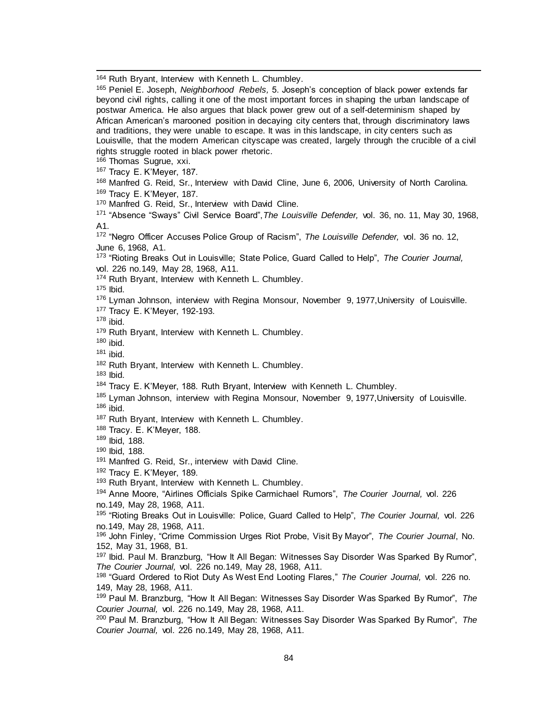164 Ruth Bryant, Interview with Kenneth L. Chumbley.

l

| $\sim$ Nutri Divalit, interview with Nemetri L. Chumbley.                                                                                                                                                     |
|---------------------------------------------------------------------------------------------------------------------------------------------------------------------------------------------------------------|
| <sup>165</sup> Peniel E. Joseph, Neighborhood Rebels, 5. Joseph's conception of black power extends far<br>beyond civil rights, calling it one of the most important forces in shaping the urban landscape of |
| postwar America. He also argues that black power grew out of a self-determinism shaped by                                                                                                                     |
| African American's marooned position in decaying city centers that, through discriminatory laws                                                                                                               |
| and traditions, they were unable to escape. It was in this landscape, in city centers such as                                                                                                                 |
| Louisville, that the modern American cityscape was created, largely through the crucible of a civil<br>rights struggle rooted in black power rhetoric.                                                        |
| <sup>166</sup> Thomas Sugrue, xxi.                                                                                                                                                                            |
|                                                                                                                                                                                                               |
| <sup>167</sup> Tracy E. K'Meyer, 187.                                                                                                                                                                         |
| 168 Manfred G. Reid, Sr., Interview with David Cline, June 6, 2006, University of North Carolina.<br><sup>169</sup> Tracy E. K'Meyer, 187.                                                                    |
| 170 Manfred G. Reid, Sr., Interview with David Cline.                                                                                                                                                         |
| <sup>171</sup> "Absence "Sways" Civil Service Board", The Louisville Defender, vol. 36, no. 11, May 30, 1968,                                                                                                 |
| A1.                                                                                                                                                                                                           |
| <sup>172</sup> "Negro Officer Accuses Police Group of Racism", The Louisville Defender, vol. 36 no. 12,                                                                                                       |
| June 6, 1968, A1.                                                                                                                                                                                             |
| <sup>173</sup> "Rioting Breaks Out in Louisville; State Police, Guard Called to Help", The Courier Journal,                                                                                                   |
| vol. 226 no.149, May 28, 1968, A11.                                                                                                                                                                           |
| 174 Ruth Bryant, Interview with Kenneth L. Chumbley.                                                                                                                                                          |
| $175$ lbid.                                                                                                                                                                                                   |
| <sup>176</sup> Lyman Johnson, interview with Regina Monsour, November 9, 1977, University of Louisville.                                                                                                      |
| 177 Tracy E. K'Meyer, 192-193.                                                                                                                                                                                |
| $178$ ibid.                                                                                                                                                                                                   |
| 179 Ruth Bryant, Interview with Kenneth L. Chumbley.                                                                                                                                                          |
| $180$ ibid.                                                                                                                                                                                                   |
| $181$ ibid.                                                                                                                                                                                                   |
| 182 Ruth Bryant, Interview with Kenneth L. Chumbley.<br>$183$ lbid.                                                                                                                                           |
| <sup>184</sup> Tracy E. K'Meyer, 188. Ruth Bryant, Interview with Kenneth L. Chumbley.                                                                                                                        |
| <sup>185</sup> Lyman Johnson, interview with Regina Monsour, November 9, 1977, University of Louisville.                                                                                                      |
| $186$ ibid.                                                                                                                                                                                                   |
| 187 Ruth Bryant, Interview with Kenneth L. Chumbley.                                                                                                                                                          |
| <sup>188</sup> Tracy. E. K'Meyer, 188.                                                                                                                                                                        |
| 189 Ibid, 188.                                                                                                                                                                                                |
| 190 Ibid, 188.                                                                                                                                                                                                |
| <sup>191</sup> Manfred G. Reid, Sr., interview with David Cline.                                                                                                                                              |
| <sup>192</sup> Tracy E. K'Meyer, 189.                                                                                                                                                                         |
| <sup>193</sup> Ruth Bryant, Interview with Kenneth L. Chumbley.                                                                                                                                               |
| <sup>194</sup> Anne Moore, "Airlines Officials Spike Carmichael Rumors", The Courier Journal, vol. 226                                                                                                        |
| no.149, May 28, 1968, A11.                                                                                                                                                                                    |
| <sup>195</sup> "Rioting Breaks Out in Louisville: Police, Guard Called to Help", The Courier Journal, vol. 226                                                                                                |
| no.149, May 28, 1968, A11.                                                                                                                                                                                    |
| 196 John Finley, "Crime Commission Urges Riot Probe, Visit By Mayor", The Courier Journal, No.                                                                                                                |
| 152, May 31, 1968, B1.                                                                                                                                                                                        |
| <sup>197</sup> Ibid. Paul M. Branzburg, "How It All Began: Witnesses Say Disorder Was Sparked By Rumor",                                                                                                      |
| The Courier Journal, vol. 226 no.149, May 28, 1968, A11.<br><sup>198</sup> "Guard Ordered to Riot Duty As West End Looting Flares," The Courier Journal, vol. 226 no.                                         |
| 149, May 28, 1968, A11.                                                                                                                                                                                       |
| <sup>199</sup> Paul M. Branzburg, "How It All Began: Witnesses Say Disorder Was Sparked By Rumor", The                                                                                                        |
| Courier Journal, vol. 226 no.149, May 28, 1968, A11.                                                                                                                                                          |
| <sup>200</sup> Paul M. Branzburg, "How It All Began: Witnesses Say Disorder Was Sparked By Rumor", The                                                                                                        |
| Courier Journal, vol. 226 no.149, May 28, 1968, A11.                                                                                                                                                          |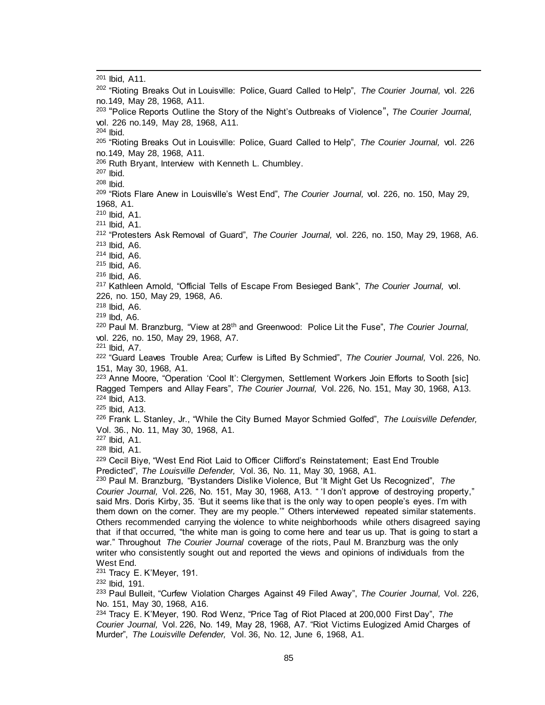<sup>201</sup> Ibid, A11. <sup>202</sup> "Rioting Breaks Out in Louisville: Police, Guard Called to Help", *The Courier Journal,* vol. 226 no.149, May 28, 1968, A11. 203 "Police Reports Outline the Story of the Night's Outbreaks of Violence", *The Courier Journal,*  vol. 226 no.149, May 28, 1968, A11. <sup>204</sup> Ibid. <sup>205</sup> "Rioting Breaks Out in Louisville: Police, Guard Called to Help", *The Courier Journal,* vol. 226 no.149, May 28, 1968, A11. <sup>206</sup> Ruth Bryant, Interview with Kenneth L. Chumbley. <sup>207</sup> Ibid. <sup>208</sup> Ibid. <sup>209</sup> "Riots Flare Anew in Louisville's West End", *The Courier Journal,* vol. 226, no. 150, May 29, 1968, A1. <sup>210</sup> Ibid, A1. <sup>211</sup> Ibid, A1. <sup>212</sup> "Protesters Ask Removal of Guard", *The Courier Journal,* vol. 226, no. 150, May 29, 1968, A6. <sup>213</sup> Ibid, A6. <sup>214</sup> Ibid, A6. <sup>215</sup> Ibid, A6. <sup>216</sup> Ibid, A6. <sup>217</sup> Kathleen Arnold, "Official Tells of Escape From Besieged Bank", *The Courier Journal,* vol. 226, no. 150, May 29, 1968, A6. <sup>218</sup> Ibid, A6. <sup>219</sup> Ibd, A6. <sup>220</sup> Paul M. Branzburg, "View at 28th and Greenwood: Police Lit the Fuse", *The Courier Journal,*  vol. 226, no. 150, May 29, 1968, A7. <sup>221</sup> Ibid, A7. <sup>222</sup> "Guard Leaves Trouble Area; Curfew is Lifted By Schmied", *The Courier Journal,* Vol. 226, No. 151, May 30, 1968, A1. <sup>223</sup> Anne Moore, "Operation 'Cool It': Clergymen, Settlement Workers Join Efforts to Sooth [sic] Ragged Tempers and Allay Fears", *The Courier Journal,* Vol. 226, No. 151, May 30, 1968, A13. <sup>224</sup> Ibid, A13. <sup>225</sup> Ibid, A13. <sup>226</sup> Frank L. Stanley, Jr., "While the City Burned Mayor Schmied Golfed", *The Louisville Defender,*  Vol. 36., No. 11, May 30, 1968, A1. <sup>227</sup> Ibid, A1. <sup>228</sup> Ibid, A1. <sup>229</sup> Cecil Biye, "West End Riot Laid to Officer Clifford's Reinstatement; East End Trouble Predicted", *The Louisville Defender,* Vol. 36, No. 11, May 30, 1968, A1. <sup>230</sup> Paul M. Branzburg, "Bystanders Dislike Violence, But 'It Might Get Us Recognized", *The Courier Journal,* Vol. 226, No. 151, May 30, 1968, A13. " 'I don't approve of destroying property," said Mrs. Doris Kirby, 35. 'But it seems like that is the only way to open people's eyes. I'm with them down on the corner. They are my people.'" Others interviewed repeated similar statements. Others recommended carrying the violence to white neighborhoods while others disagreed saying that if that occurred, "the white man is going to come here and tear us up. That is going to start a war." Throughout *The Courier Journal* coverage of the riots, Paul M. Branzburg was the only writer who consistently sought out and reported the views and opinions of individuals from the West End. <sup>231</sup> Tracy E. K'Meyer, 191. <sup>232</sup> Ibid, 191. <sup>233</sup> Paul Bulleit, "Curfew Violation Charges Against 49 Filed Away", *The Courier Journal,* Vol. 226, No. 151, May 30, 1968, A16. <sup>234</sup> Tracy E. K'Meyer, 190. Rod Wenz, "Price Tag of Riot Placed at 200,000 First Day", *The Courier Journal,* Vol. 226, No. 149, May 28, 1968, A7. "Riot Victims Eulogized Amid Charges of

l

Murder", *The Louisville Defender,* Vol. 36, No. 12, June 6, 1968, A1.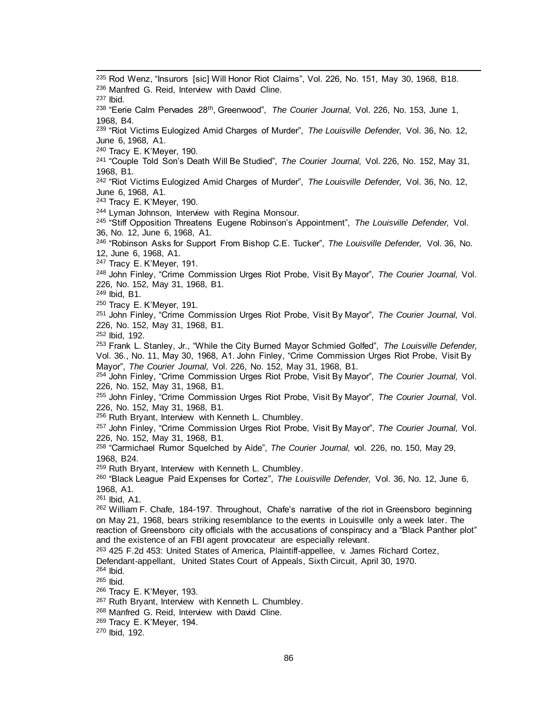<sup>235</sup> Rod Wenz, "Insurors [sic] Will Honor Riot Claims", Vol. 226, No. 151, May 30, 1968, B18. <sup>236</sup> Manfred G. Reid, Interview with David Cline. <sup>237</sup> Ibid. <sup>238</sup> "Eerie Calm Pervades 28th, Greenwood", *The Courier Journal,* Vol. 226, No. 153, June 1, 1968, B4. <sup>239</sup> "Riot Victims Eulogized Amid Charges of Murder", *The Louisville Defender,* Vol. 36, No. 12, June 6, 1968, A1. <sup>240</sup> Tracy E. K'Meyer, 190. <sup>241</sup> "Couple Told Son's Death Will Be Studied", *The Courier Journal,* Vol. 226, No. 152, May 31, 1968, B1. <sup>242</sup> "Riot Victims Eulogized Amid Charges of Murder", *The Louisville Defender,* Vol. 36, No. 12, June 6, 1968, A1. <sup>243</sup> Tracy E. K'Meyer, 190. 244 Lyman Johnson, Interview with Regina Monsour. <sup>245</sup> "Stiff Opposition Threatens Eugene Robinson's Appointment", *The Louisville Defender,* Vol. 36, No. 12, June 6, 1968, A1. <sup>246</sup> "Robinson Asks for Support From Bishop C.E. Tucker", *The Louisville Defender,* Vol. 36, No. 12, June 6, 1968, A1. <sup>247</sup> Tracy E. K'Meyer, 191. <sup>248</sup> John Finley, "Crime Commission Urges Riot Probe, Visit By Mayor", *The Courier Journal,* Vol. 226, No. 152, May 31, 1968, B1. <sup>249</sup> Ibid, B1. <sup>250</sup> Tracy E. K'Meyer, 191. <sup>251</sup> John Finley, "Crime Commission Urges Riot Probe, Visit By Mayor", *The Courier Journal,* Vol. 226, No. 152, May 31, 1968, B1. <sup>252</sup> Ibid, 192. <sup>253</sup> Frank L. Stanley, Jr., "While the City Burned Mayor Schmied Golfed", *The Louisville Defender,*  Vol. 36., No. 11, May 30, 1968, A1. John Finley, "Crime Commission Urges Riot Probe, Visit By Mayor", *The Courier Journal,* Vol. 226, No. 152, May 31, 1968, B1. <sup>254</sup> John Finley, "Crime Commission Urges Riot Probe, Visit By Mayor", *The Courier Journal,* Vol. 226, No. 152, May 31, 1968, B1. <sup>255</sup> John Finley, "Crime Commission Urges Riot Probe, Visit By Mayor", *The Courier Journal,* Vol. 226, No. 152, May 31, 1968, B1. <sup>256</sup> Ruth Bryant, Interview with Kenneth L. Chumbley. <sup>257</sup> John Finley, "Crime Commission Urges Riot Probe, Visit By Mayor", *The Courier Journal,* Vol. 226, No. 152, May 31, 1968, B1. <sup>258</sup> "Carmichael Rumor Squelched by Aide", *The Courier Journal,* vol. 226, no. 150, May 29, 1968, B24. <sup>259</sup> Ruth Bryant, Interview with Kenneth L. Chumbley. <sup>260</sup> "Black League Paid Expenses for Cortez", *The Louisville Defender,* Vol. 36, No. 12, June 6, 1968, A1. <sup>261</sup> Ibid, A1. <sup>262</sup> William F. Chafe, 184-197. Throughout, Chafe's narrative of the riot in Greensboro beginning on May 21, 1968, bears striking resemblance to the events in Louisville only a week later. The reaction of Greensboro city officials with the accusations of conspiracy and a "Black Panther plot" and the existence of an FBI agent provocateur are especially relevant. <sup>263</sup> 425 F.2d 453: United States of America, Plaintiff-appellee, v. James Richard Cortez, Defendant-appellant, United States Court of Appeals, Sixth Circuit, April 30, 1970. <sup>264</sup> Ibid. <sup>265</sup> Ibid. <sup>266</sup> Tracy E. K'Meyer, 193. 267 Ruth Bryant, Interview with Kenneth L. Chumbley. <sup>268</sup> Manfred G. Reid, Interview with David Cline. <sup>269</sup> Tracy E. K'Meyer, 194.

<sup>270</sup> Ibid, 192.

l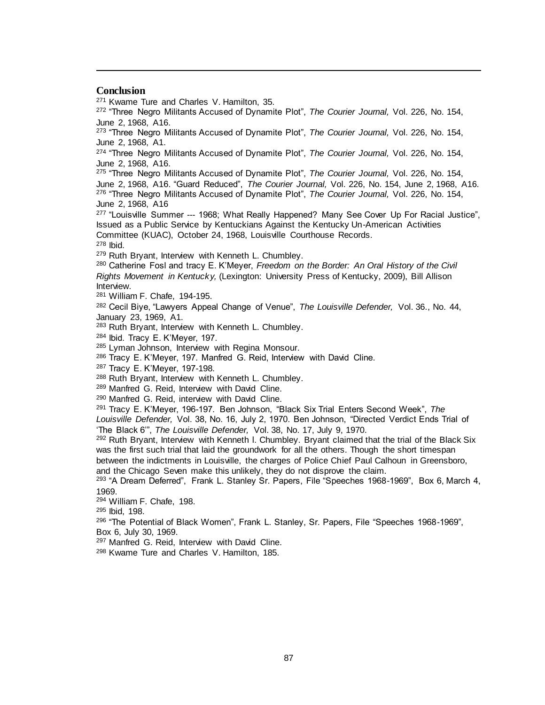#### **Conclusion**

l

<sup>271</sup> Kwame Ture and Charles V. Hamilton, 35.

<sup>272</sup> "Three Negro Militants Accused of Dynamite Plot", *The Courier Journal,* Vol. 226, No. 154, June 2, 1968, A16.

<sup>273</sup> "Three Negro Militants Accused of Dynamite Plot", *The Courier Journal,* Vol. 226, No. 154, June 2, 1968, A1.

<sup>274</sup> "Three Negro Militants Accused of Dynamite Plot", *The Courier Journal,* Vol. 226, No. 154, June 2, 1968, A16.

<sup>275</sup> "Three Negro Militants Accused of Dynamite Plot", *The Courier Journal,* Vol. 226, No. 154, June 2, 1968, A16. "Guard Reduced", *The Courier Journal,* Vol. 226, No. 154, June 2, 1968, A16. <sup>276</sup> "Three Negro Militants Accused of Dynamite Plot", *The Courier Journal,* Vol. 226, No. 154, June 2, 1968, A16

<sup>277</sup> "Louisville Summer --- 1968; What Really Happened? Many See Cover Up For Racial Justice", Issued as a Public Service by Kentuckians Against the Kentucky Un-American Activities Committee (KUAC), October 24, 1968, Louisville Courthouse Records.

<sup>278</sup> Ibid.

279 Ruth Bryant, Interview with Kenneth L. Chumbley.

<sup>280</sup> Catherine Fosl and tracy E. K'Meyer, *Freedom on the Border: An Oral History of the Civil Rights Movement in Kentucky,* (Lexington: University Press of Kentucky, 2009), Bill Allison Interview.

<sup>281</sup> William F. Chafe, 194-195.

<sup>282</sup> Cecil Biye, "Lawyers Appeal Change of Venue", *The Louisville Defender,* Vol. 36., No. 44, January 23, 1969, A1.

<sup>283</sup> Ruth Bryant, Interview with Kenneth L. Chumbley.

<sup>284</sup> Ibid. Tracy E. K'Meyer, 197.

<sup>285</sup> Lyman Johnson, Interview with Regina Monsour.

<sup>286</sup> Tracy E. K'Meyer, 197. Manfred G. Reid, Interview with David Cline.

<sup>287</sup> Tracy E. K'Meyer, 197-198.

288 Ruth Bryant, Interview with Kenneth L. Chumbley.

289 Manfred G. Reid, Interview with David Cline.

<sup>290</sup> Manfred G. Reid, interview with David Cline.

<sup>291</sup> Tracy E. K'Meyer, 196-197. Ben Johnson, "Black Six Trial Enters Second Week", *The Louisville Defender,* Vol. 38, No. 16, July 2, 1970. Ben Johnson, "Directed Verdict Ends Trial of

'The Black 6'", *The Louisville Defender,* Vol. 38, No. 17, July 9, 1970.

<sup>292</sup> Ruth Bryant, Interview with Kenneth I. Chumbley. Bryant claimed that the trial of the Black Six was the first such trial that laid the groundwork for all the others. Though the short timespan between the indictments in Louisville, the charges of Police Chief Paul Calhoun in Greensboro, and the Chicago Seven make this unlikely, they do not disprove the claim.

<sup>293</sup> "A Dream Deferred", Frank L. Stanley Sr. Papers, File "Speeches 1968-1969", Box 6, March 4, 1969.

<sup>294</sup> William F. Chafe, 198.

<sup>295</sup> Ibid, 198.

<sup>296</sup> "The Potential of Black Women", Frank L. Stanley, Sr. Papers, File "Speeches 1968-1969", Box 6, July 30, 1969.

297 Manfred G. Reid, Interview with David Cline.

<sup>298</sup> Kwame Ture and Charles V. Hamilton, 185.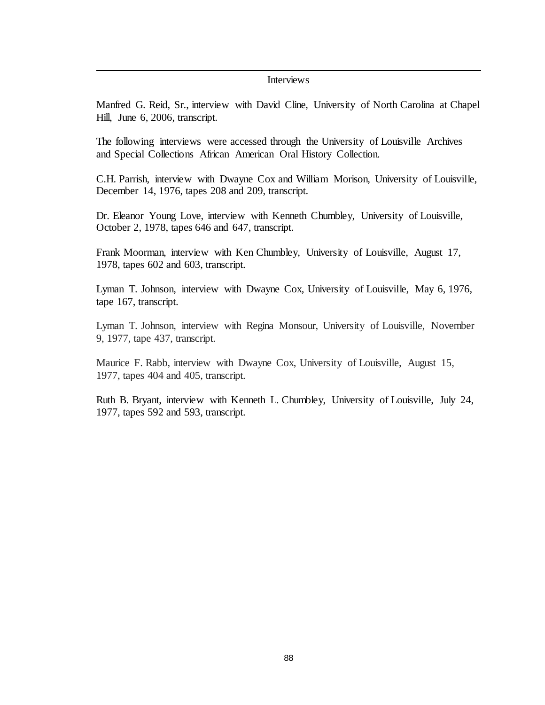### **Interviews**

l

Manfred G. Reid, Sr., interview with David Cline, University of North Carolina at Chapel Hill, June 6, 2006, transcript.

The following interviews were accessed through the University of Louisville Archives and Special Collections African American Oral History Collection.

C.H. Parrish, interview with Dwayne Cox and William Morison, University of Louisville, December 14, 1976, tapes 208 and 209, transcript.

Dr. Eleanor Young Love, interview with Kenneth Chumbley, University of Louisville, October 2, 1978, tapes 646 and 647, transcript.

Frank Moorman, interview with Ken Chumbley, University of Louisville, August 17, 1978, tapes 602 and 603, transcript.

Lyman T. Johnson, interview with Dwayne Cox, University of Louisville, May 6, 1976, tape 167, transcript.

Lyman T. Johnson, interview with Regina Monsour, University of Louisville, November 9, 1977, tape 437, transcript.

Maurice F. Rabb, interview with Dwayne Cox, University of Louisville, August 15, 1977, tapes 404 and 405, transcript.

Ruth B. Bryant, interview with Kenneth L. Chumbley, University of Louisville, July 24, 1977, tapes 592 and 593, transcript.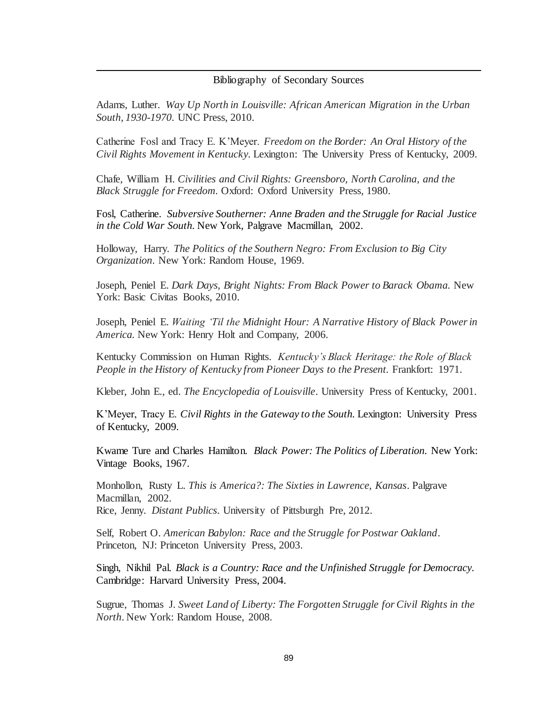# Bibliography of Secondary Sources

l

Adams, Luther. *Way Up North in Louisville: African American Migration in the Urban South, 1930-1970*. UNC Press, 2010.

Catherine Fosl and Tracy E. K'Meyer. *Freedom on the Border: An Oral History of the Civil Rights Movement in Kentucky.* Lexington: The University Press of Kentucky, 2009.

Chafe, William H. *Civilities and Civil Rights: Greensboro, North Carolina, and the Black Struggle for Freedom.* Oxford: Oxford University Press, 1980.

Fosl, Catherine. *Subversive Southerner: Anne Braden and the Struggle for Racial Justice in the Cold War South.* New York, Palgrave Macmillan, 2002.

Holloway, Harry. *The Politics of the Southern Negro: From Exclusion to Big City Organization*. New York: Random House, 1969.

Joseph, Peniel E. *Dark Days, Bright Nights: From Black Power to Barack Obama.* New York: Basic Civitas Books, 2010.

Joseph, Peniel E. *Waiting 'Til the Midnight Hour: A Narrative History of Black Power in America.* New York: Henry Holt and Company, 2006.

Kentucky Commission on Human Rights. *Kentucky's Black Heritage: the Role of Black People in the History of Kentucky from Pioneer Days to the Present. Frankfort: 1971.* 

Kleber, John E., ed. *The Encyclopedia of Louisville*. University Press of Kentucky, 2001.

K'Meyer, Tracy E. *Civil Rights in the Gateway to the South.* Lexington: University Press of Kentucky, 2009.

Kwame Ture and Charles Hamilton. *Black Power: The Politics of Liberation.* New York: Vintage Books, 1967.

Monhollon, Rusty L. *This is America?: The Sixties in Lawrence, Kansas*. Palgrave Macmillan, 2002. Rice, Jenny. *Distant Publics*. University of Pittsburgh Pre, 2012.

Self, Robert O. *American Babylon: Race and the Struggle for Postwar Oakland*. Princeton, NJ: Princeton University Press, 2003.

Singh, Nikhil Pal. *Black is a Country: Race and the Unfinished Struggle for Democracy.*  Cambridge: Harvard University Press, 2004.

Sugrue, Thomas J. *Sweet Land of Liberty: The Forgotten Struggle for Civil Rights in the North*. New York: Random House, 2008.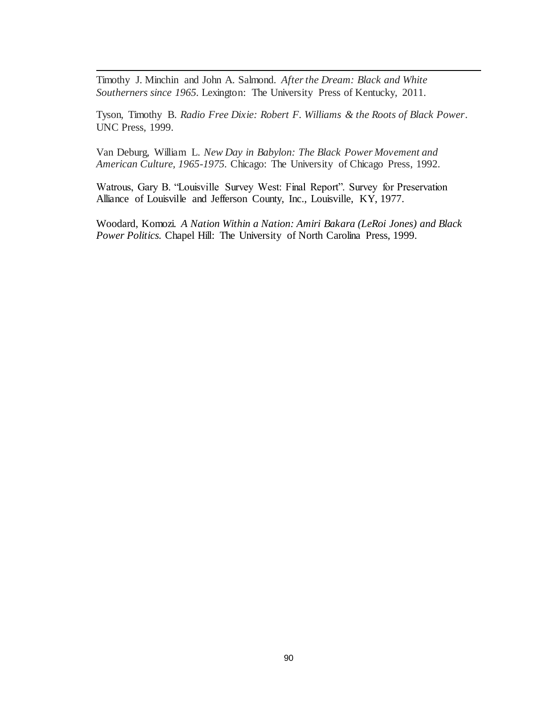Timothy J. Minchin and John A. Salmond. *After the Dream: Black and White Southerners since 1965.* Lexington: The University Press of Kentucky, 2011.

l

Tyson, Timothy B. *Radio Free Dixie: Robert F. Williams & the Roots of Black Power*. UNC Press, 1999.

Van Deburg, William L. *New Day in Babylon: The Black Power Movement and American Culture, 1965-1975.* Chicago: The University of Chicago Press, 1992.

Watrous, Gary B. "Louisville Survey West: Final Report". Survey for Preservation Alliance of Louisville and Jefferson County, Inc., Louisville, KY, 1977.

Woodard, Komozi. *A Nation Within a Nation: Amiri Bakara (LeRoi Jones) and Black Power Politics.* Chapel Hill: The University of North Carolina Press, 1999.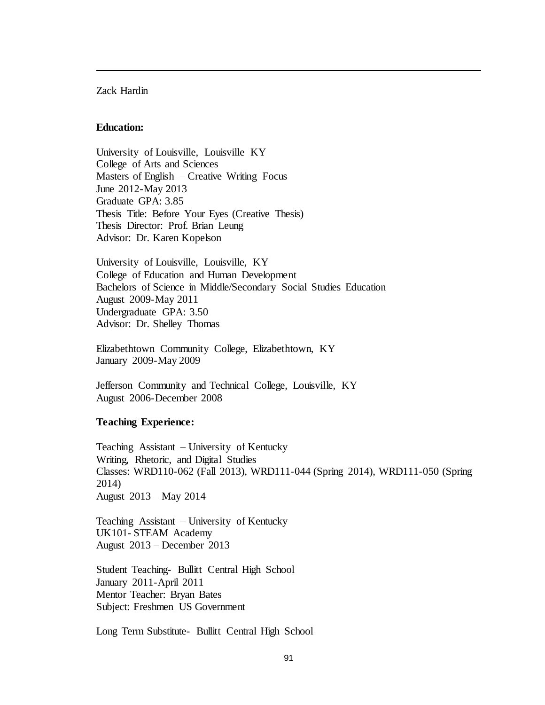## Zack Hardin

l

## **Education:**

University of Louisville, Louisville KY College of Arts and Sciences Masters of English – Creative Writing Focus June 2012-May 2013 Graduate GPA: 3.85 Thesis Title: Before Your Eyes (Creative Thesis) Thesis Director: Prof. Brian Leung Advisor: Dr. Karen Kopelson

University of Louisville, Louisville, KY College of Education and Human Development Bachelors of Science in Middle/Secondary Social Studies Education August 2009-May 2011 Undergraduate GPA: 3.50 Advisor: Dr. Shelley Thomas

Elizabethtown Community College, Elizabethtown, KY January 2009-May 2009

Jefferson Community and Technical College, Louisville, KY August 2006-December 2008

# **Teaching Experience:**

Teaching Assistant – University of Kentucky Writing, Rhetoric, and Digital Studies Classes: WRD110-062 (Fall 2013), WRD111-044 (Spring 2014), WRD111-050 (Spring 2014) August 2013 – May 2014

Teaching Assistant – University of Kentucky UK101- STEAM Academy August 2013 – December 2013

Student Teaching- Bullitt Central High School January 2011-April 2011 Mentor Teacher: Bryan Bates Subject: Freshmen US Government

Long Term Substitute- Bullitt Central High School